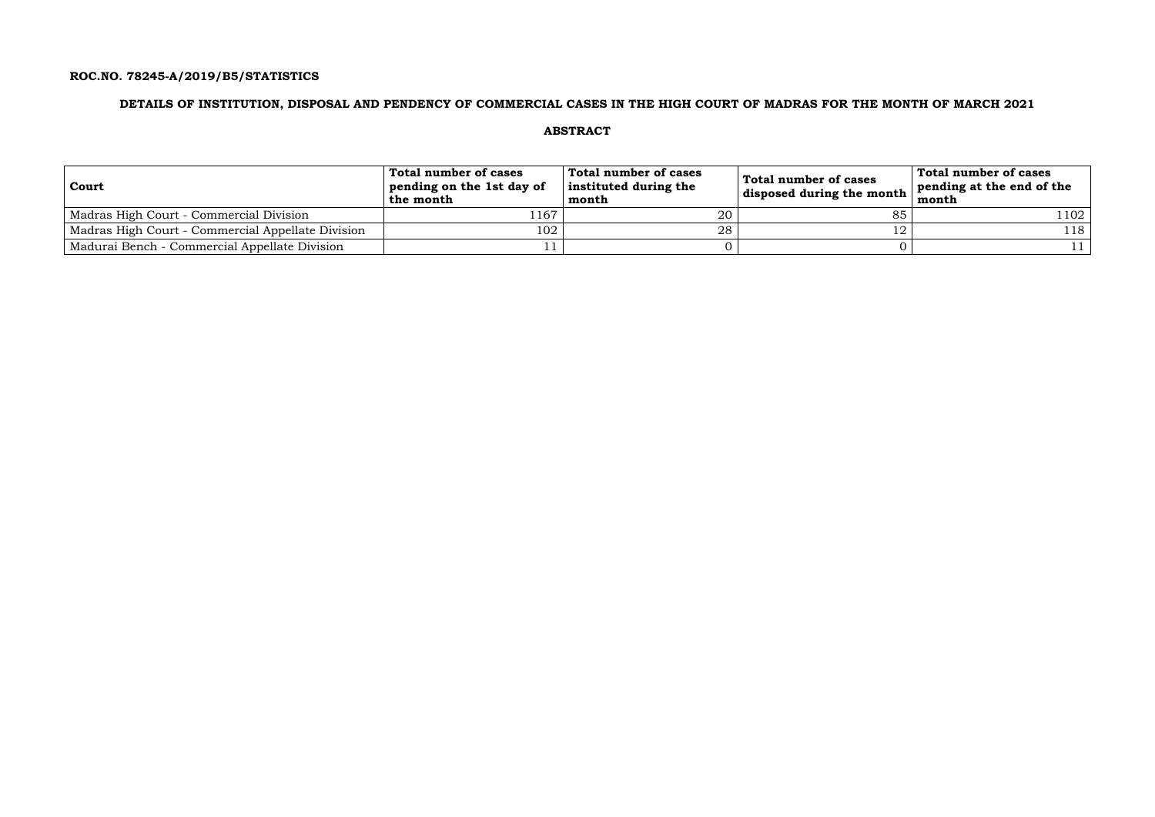# **ROC.NO. 78245-A/2019/B5/STATISTICS**

# **DETAILS OF INSTITUTION, DISPOSAL AND PENDENCY OF COMMERCIAL CASES IN THE HIGH COURT OF MADRAS FOR THE MONTH OF MARCH 2021**

## **ABSTRACT**

| Court                                             | Total number of cases<br>pending on the 1st day of<br>the month | Total number of cases<br>instituted during the<br>month | Total number of cases<br>disposed during the month $\frac{1}{2}$ | Total number of cases<br>pending at the end of the<br>month |
|---------------------------------------------------|-----------------------------------------------------------------|---------------------------------------------------------|------------------------------------------------------------------|-------------------------------------------------------------|
| Madras High Court - Commercial Division           | 167                                                             | 20                                                      |                                                                  | 1102                                                        |
| Madras High Court - Commercial Appellate Division | 102                                                             | 28                                                      |                                                                  | 118                                                         |
| Madurai Bench - Commercial Appellate Division     |                                                                 |                                                         |                                                                  |                                                             |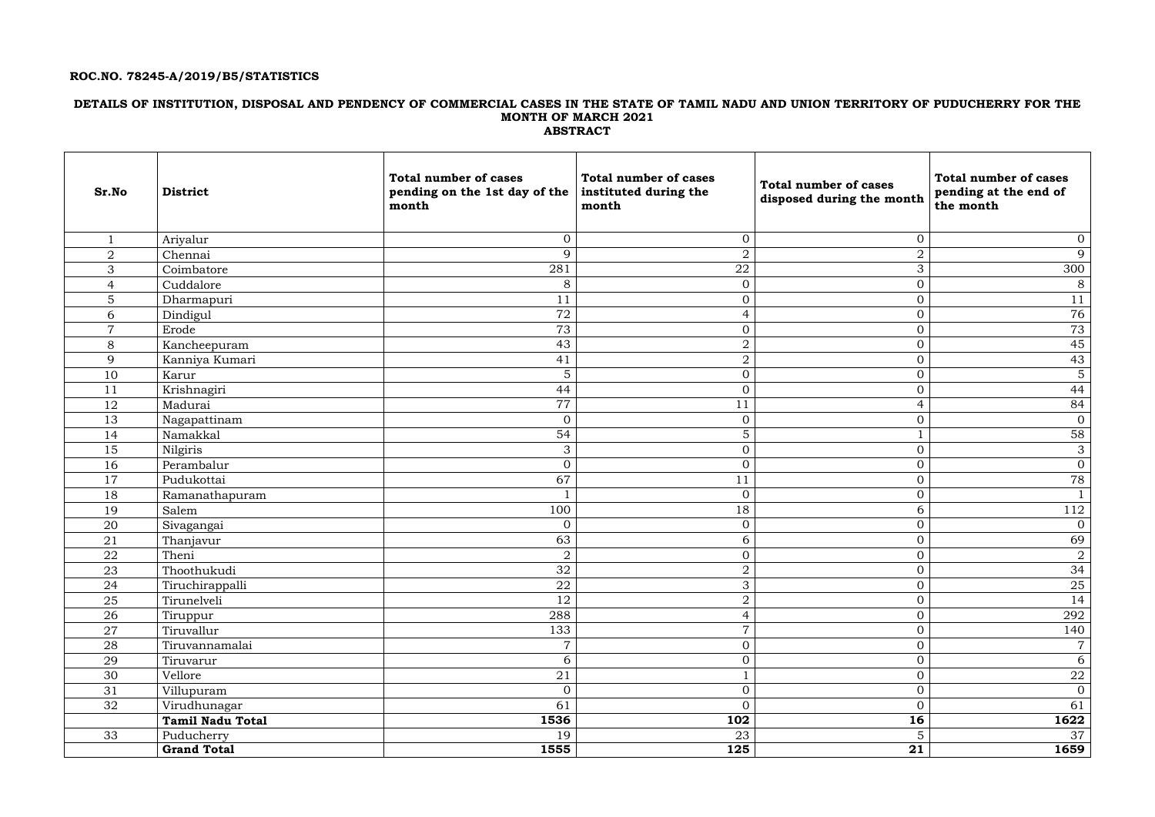# **ROC.NO. 78245-A/2019/B5/STATISTICS**

## **DETAILS OF INSTITUTION, DISPOSAL AND PENDENCY OF COMMERCIAL CASES IN THE STATE OF TAMIL NADU AND UNION TERRITORY OF PUDUCHERRY FOR THE MONTH OF MARCH 2021 ABSTRACT**

| Sr.No          | <b>District</b>         | <b>Total number of cases</b><br>pending on the 1st day of the<br>month | <b>Total number of cases</b><br>instituted during the<br>month | <b>Total number of cases</b><br>disposed during the month | <b>Total number of cases</b><br>pending at the end of<br>the month |
|----------------|-------------------------|------------------------------------------------------------------------|----------------------------------------------------------------|-----------------------------------------------------------|--------------------------------------------------------------------|
|                | Ariyalur                | $\mathbf{0}$                                                           | $\mathbf{0}$                                                   | $\overline{0}$                                            | $\overline{0}$                                                     |
| $\overline{2}$ | Chennai                 | 9                                                                      | $\overline{2}$                                                 | $\overline{a}$                                            | 9                                                                  |
| 3              | Coimbatore              | 281                                                                    | ${\bf 22}$                                                     | 3                                                         | 300                                                                |
| $\overline{4}$ | Cuddalore               | $8\,$                                                                  | $\mathbf{0}$                                                   | $\overline{0}$                                            | 8                                                                  |
| 5              | Dharmapuri              | 11                                                                     | $\overline{0}$                                                 | $\overline{0}$                                            | 11                                                                 |
| 6              | Dindigul                | 72                                                                     | $\overline{4}$                                                 | $\mathbf{0}$                                              | 76                                                                 |
| $\overline{7}$ | Erode                   | 73                                                                     | $\overline{0}$                                                 | $\boldsymbol{0}$                                          | 73                                                                 |
| 8              | Kancheepuram            | 43                                                                     | $\overline{2}$                                                 | $\overline{0}$                                            | 45                                                                 |
| 9              | Kanniya Kumari          | 41                                                                     | $\overline{2}$                                                 | $\overline{0}$                                            | 43                                                                 |
| 10             | Karur                   | 5                                                                      | $\mathbf{0}$                                                   | $\mathbf{0}$                                              | 5 <sup>1</sup>                                                     |
| 11             | Krishnagiri             | 44                                                                     | $\mathbf{0}$                                                   | $\overline{0}$                                            | 44                                                                 |
| 12             | Madurai                 | 77                                                                     | 11                                                             | $\overline{4}$                                            | 84                                                                 |
| 13             | Nagapattinam            | $\mathbf{0}$                                                           | $\mathbf{0}$                                                   | $\boldsymbol{0}$                                          | $\overline{0}$                                                     |
| 14             | Namakkal                | 54                                                                     | $\overline{5}$                                                 | $\mathbf{1}$                                              | 58                                                                 |
| 15             | Nilgiris                | 3                                                                      | $\mathbf{0}$                                                   | $\overline{0}$                                            | 3 <sup>1</sup>                                                     |
| 16             | Perambalur              | $\mathbf{0}$                                                           | $\mathbf{0}$                                                   | $\mathbf{0}$                                              | $\overline{0}$                                                     |
| 17             | Pudukottai              | 67                                                                     | 11                                                             | $\overline{0}$                                            | 78                                                                 |
| 18             | Ramanathapuram          | $\mathbf{1}$                                                           | $\mathbf{0}$                                                   | $\mathbf{0}$                                              |                                                                    |
| 19             | Salem                   | 100                                                                    | 18                                                             | 6                                                         | 112                                                                |
| 20             | Sivagangai              | $\mathbf{0}$                                                           | $\mathbf{0}$                                                   | $\mathbf{0}$                                              | $\overline{0}$                                                     |
| 21             | Thanjavur               | 63                                                                     | 6                                                              | $\overline{0}$                                            | 69                                                                 |
| 22             | Theni                   | $\sqrt{2}$                                                             | $\overline{0}$                                                 | $\overline{0}$                                            | $\overline{2}$                                                     |
| 23             | Thoothukudi             | 32                                                                     | $\overline{2}$                                                 | $\overline{0}$                                            | 34                                                                 |
| 24             | Tiruchirappalli         | 22                                                                     | $\mathcal{R}$<br>ັ                                             | $\Omega$<br>◡                                             | 25                                                                 |
| 25             | Tirunelveli             | 12                                                                     | $\overline{a}$                                                 | $\overline{0}$                                            | 14                                                                 |
| 26             | Tiruppur                | 288                                                                    | $\overline{4}$                                                 | $\overline{0}$                                            | 292                                                                |
| 27             | Tiruvallur              | 133                                                                    | $\overline{7}$                                                 | $\overline{0}$                                            | 140                                                                |
| 28             | Tiruvannamalai          | $\overline{7}$                                                         | $\mathbf{0}$                                                   | $\overline{0}$                                            | $7\overline{ }$                                                    |
| 29             | Tiruvarur               | 6                                                                      | $\overline{0}$                                                 | $\overline{0}$                                            | 6 <sup>1</sup>                                                     |
| 30             | Vellore                 | 21                                                                     |                                                                | $\overline{0}$                                            | $22\,$                                                             |
| 31             | Villupuram              | $\overline{0}$                                                         | $\mathbf{0}$                                                   | $\overline{0}$                                            | $\overline{O}$                                                     |
| 32             | Virudhunagar            | 61                                                                     | $\mathbf{0}$                                                   | $\overline{0}$                                            | 61                                                                 |
|                | <b>Tamil Nadu Total</b> | 1536                                                                   | 102                                                            | 16                                                        | 1622                                                               |
| 33             | Puducherry              | 19                                                                     | 23                                                             | $5\phantom{.}$                                            | 37                                                                 |
|                | <b>Grand Total</b>      | 1555                                                                   | 125                                                            | $\overline{21}$                                           | 1659                                                               |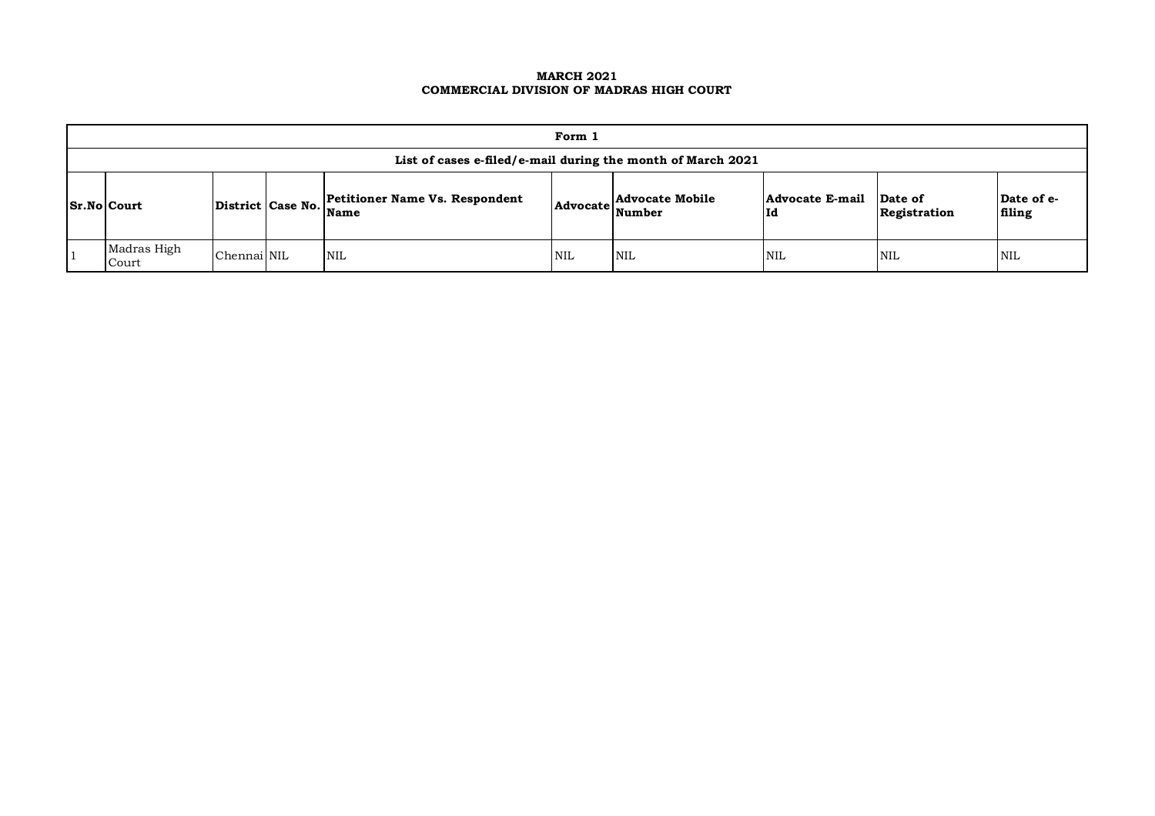#### **MARCH 2021 COMMERCIAL DIVISION OF MADRAS HIGH COURT**

|                                                                                       | Form 1                                                      |             |  |            |            |                                           |                       |                         |                      |  |  |  |
|---------------------------------------------------------------------------------------|-------------------------------------------------------------|-------------|--|------------|------------|-------------------------------------------|-----------------------|-------------------------|----------------------|--|--|--|
|                                                                                       | List of cases e-filed/e-mail during the month of March 2021 |             |  |            |            |                                           |                       |                         |                      |  |  |  |
| <b>Petitioner Name Vs. Respondent</b><br>District Case No. Name<br><b>Sr.No Court</b> |                                                             |             |  |            |            | <b>Advocate Mobile</b><br>Advocate Number | Advocate E-mail<br>Id | Date of<br>Registration | Date of e-<br>filing |  |  |  |
|                                                                                       | Madras High<br>Court                                        | Chennai NIL |  | <b>NIL</b> | <b>NIL</b> | <b>NIL</b>                                | <b>NIL</b>            | <b>NIL</b>              | NIL                  |  |  |  |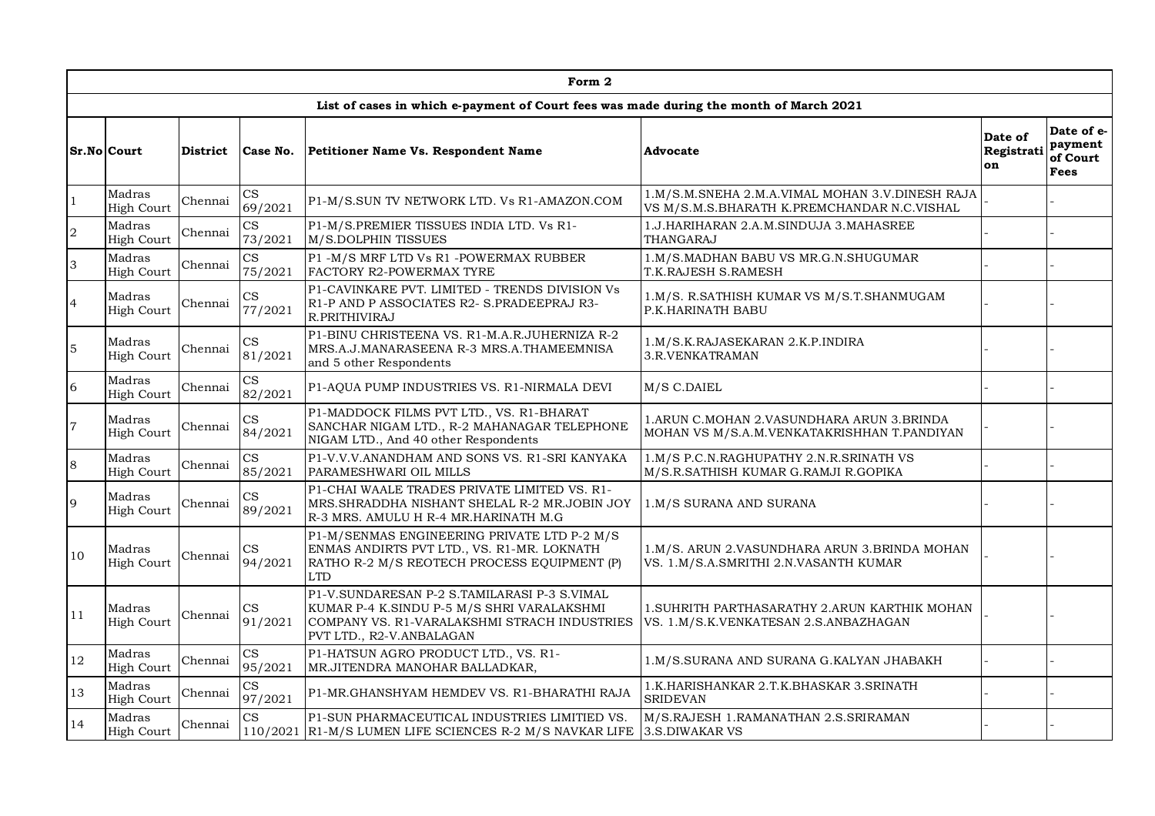|                  |                             |                 |                                   | Form 2                                                                                                                                                                 |                                                                                                |                             |                                                  |
|------------------|-----------------------------|-----------------|-----------------------------------|------------------------------------------------------------------------------------------------------------------------------------------------------------------------|------------------------------------------------------------------------------------------------|-----------------------------|--------------------------------------------------|
|                  |                             |                 |                                   | List of cases in which e-payment of Court fees was made during the month of March 2021                                                                                 |                                                                                                |                             |                                                  |
|                  | Sr.No Court                 | <b>District</b> | Case No.                          | Petitioner Name Vs. Respondent Name                                                                                                                                    | Advocate                                                                                       | Date of<br>Registrati<br>on | Date of e-<br>payment<br>of Court<br><b>Fees</b> |
| $\mathbf{1}$     | Madras<br><b>High Court</b> | Chennai         | CS<br>69/2021                     | P1-M/S.SUN TV NETWORK LTD. Vs R1-AMAZON.COM                                                                                                                            | 1.M/S.M.SNEHA 2.M.A.VIMAL MOHAN 3.V.DINESH RAJA<br>VS M/S.M.S.BHARATH K.PREMCHANDAR N.C.VISHAL |                             |                                                  |
| $\boldsymbol{2}$ | Madras<br><b>High Court</b> | Chennai         | $\mathbf{CS}$<br>73/2021          | P1-M/S.PREMIER TISSUES INDIA LTD. Vs R1-<br>M/S.DOLPHIN TISSUES                                                                                                        | 1.J.HARIHARAN 2.A.M.SINDUJA 3.MAHASREE<br>THANGARAJ                                            |                             |                                                  |
| 3                | Madras<br>High Court        | Chennai         | $\overline{\text{CS}}$<br>75/2021 | P1 -M/S MRF LTD Vs R1 -POWERMAX RUBBER<br>FACTORY R2-POWERMAX TYRE                                                                                                     | 1.M/S.MADHAN BABU VS MR.G.N.SHUGUMAR<br>T.K.RAJESH S.RAMESH                                    |                             |                                                  |
| $\overline{4}$   | Madras<br><b>High Court</b> | Chennai         | $\mathbf{CS}$<br>77/2021          | P1-CAVINKARE PVT. LIMITED - TRENDS DIVISION Vs<br>R1-P AND P ASSOCIATES R2- S.PRADEEPRAJ R3-<br>R.PRITHIVIRAJ                                                          | 1.M/S. R.SATHISH KUMAR VS M/S.T.SHANMUGAM<br>P.K.HARINATH BABU                                 |                             |                                                  |
| $\overline{5}$   | Madras<br><b>High Court</b> | Chennai         | CS<br>81/2021                     | P1-BINU CHRISTEENA VS. R1-M.A.R.JUHERNIZA R-2<br>MRS.A.J.MANARASEENA R-3 MRS.A.THAMEEMNISA<br>and 5 other Respondents                                                  | 1.M/S.K.RAJASEKARAN 2.K.P.INDIRA<br>3.R.VENKATRAMAN                                            |                             |                                                  |
| $\sqrt{6}$       | Madras<br><b>High Court</b> | Chennai         | $\mathbf{CS}$<br>82/2021          | P1-AQUA PUMP INDUSTRIES VS. R1-NIRMALA DEVI                                                                                                                            | M/S C.DAIEL                                                                                    |                             |                                                  |
| $\overline{7}$   | Madras<br><b>High Court</b> | Chennai         | $\mathbf{CS}$<br>84/2021          | P1-MADDOCK FILMS PVT LTD., VS. R1-BHARAT<br>SANCHAR NIGAM LTD., R-2 MAHANAGAR TELEPHONE<br>NIGAM LTD., And 40 other Respondents                                        | 1.ARUN C.MOHAN 2.VASUNDHARA ARUN 3.BRINDA<br>MOHAN VS M/S.A.M.VENKATAKRISHHAN T.PANDIYAN       |                             |                                                  |
| $\,8\,$          | Madras<br>High Court        | Chennai         | $\mathbf{CS}$<br>85/2021          | P1-V.V.V.ANANDHAM AND SONS VS. R1-SRI KANYAKA<br>PARAMESHWARI OIL MILLS                                                                                                | 1.M/S P.C.N.RAGHUPATHY 2.N.R.SRINATH VS<br>M/S.R.SATHISH KUMAR G.RAMJI R.GOPIKA                |                             |                                                  |
| 9                | Madras<br><b>High Court</b> | Chennai         | CS<br>89/2021                     | P1-CHAI WAALE TRADES PRIVATE LIMITED VS. R1-<br>MRS. SHRADDHA NISHANT SHELAL R-2 MR. JOBIN JOY<br>R-3 MRS. AMULU H R-4 MR.HARINATH M.G                                 | 1.M/S SURANA AND SURANA                                                                        |                             |                                                  |
| 10               | Madras<br><b>High Court</b> | Chennai         | CS<br>94/2021                     | P1-M/SENMAS ENGINEERING PRIVATE LTD P-2 M/S<br>ENMAS ANDIRTS PVT LTD., VS. R1-MR. LOKNATH<br>RATHO R-2 M/S REOTECH PROCESS EQUIPMENT (P)<br><b>LTD</b>                 | 1.M/S. ARUN 2.VASUNDHARA ARUN 3.BRINDA MOHAN<br>VS. 1.M/S.A.SMRITHI 2.N.VASANTH KUMAR          |                             |                                                  |
| 11               | Madras<br><b>High Court</b> | Chennai         | CS<br>91/2021                     | P1-V.SUNDARESAN P-2 S.TAMILARASI P-3 S.VIMAL<br>KUMAR P-4 K.SINDU P-5 M/S SHRI VARALAKSHMI<br>COMPANY VS. R1-VARALAKSHMI STRACH INDUSTRIES<br>PVT LTD., R2-V.ANBALAGAN | 1.SUHRITH PARTHASARATHY 2.ARUN KARTHIK MOHAN<br>VS. 1.M/S.K.VENKATESAN 2.S.ANBAZHAGAN          |                             |                                                  |
| 12               | Madras<br><b>High Court</b> | Chennai         | $\mathbf{CS}$<br>95/2021          | P1-HATSUN AGRO PRODUCT LTD., VS. R1-<br>MR.JITENDRA MANOHAR BALLADKAR,                                                                                                 | 1.M/S.SURANA AND SURANA G.KALYAN JHABAKH                                                       |                             |                                                  |
| 13               | Madras<br><b>High Court</b> | Chennai         | $\mathbf{CS}$<br>97/2021          | P1-MR.GHANSHYAM HEMDEV VS. R1-BHARATHI RAJA                                                                                                                            | 1.K.HARISHANKAR 2.T.K.BHASKAR 3.SRINATH<br><b>SRIDEVAN</b>                                     |                             |                                                  |
| 14               | Madras<br><b>High Court</b> | Chennai         | CS                                | P1-SUN PHARMACEUTICAL INDUSTRIES LIMITIED VS.<br>110/2021 R1-M/S LUMEN LIFE SCIENCES R-2 M/S NAVKAR LIFE                                                               | M/S.RAJESH 1.RAMANATHAN 2.S.SRIRAMAN<br>3.S.DIWAKAR VS                                         |                             |                                                  |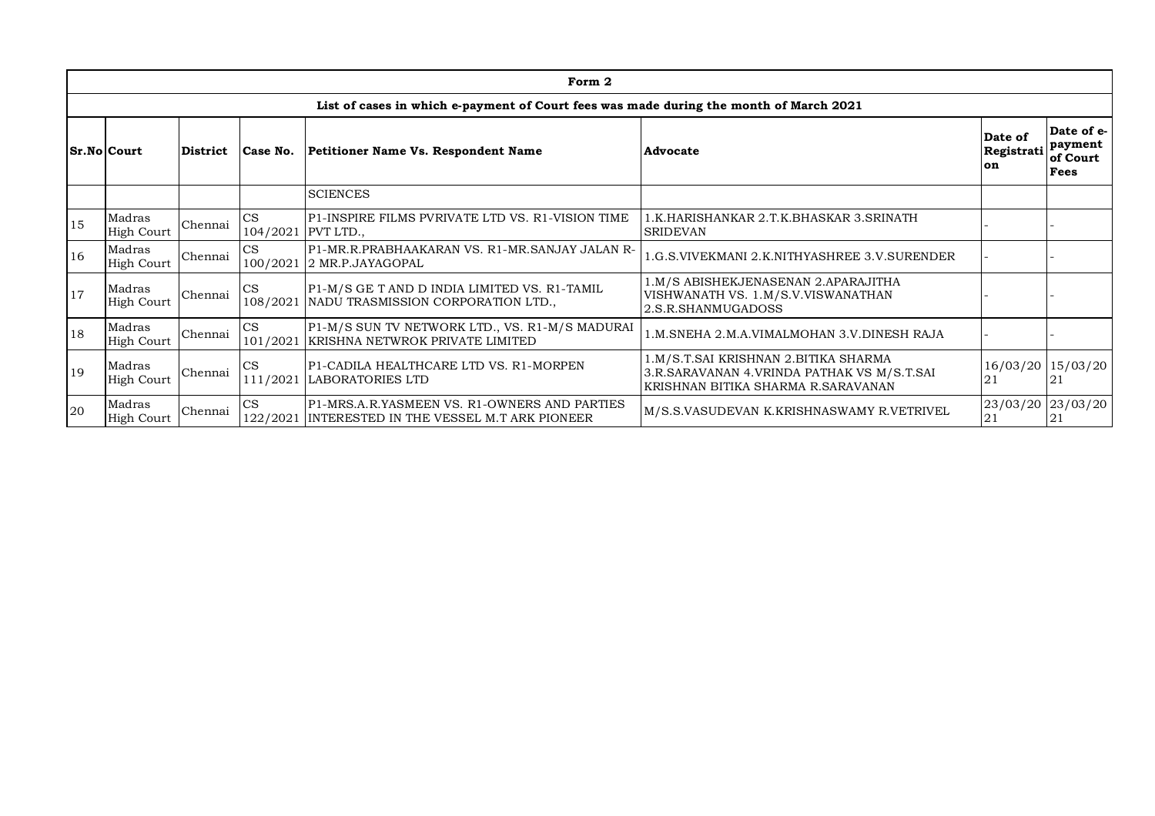|    |                             |          |           | Form 2                                                                                            |                                                                                                                          |                                    |                                           |
|----|-----------------------------|----------|-----------|---------------------------------------------------------------------------------------------------|--------------------------------------------------------------------------------------------------------------------------|------------------------------------|-------------------------------------------|
|    |                             |          |           | List of cases in which e-payment of Court fees was made during the month of March 2021            |                                                                                                                          |                                    |                                           |
|    | <b>Sr.No Court</b>          | District | Case No.  | Petitioner Name Vs. Respondent Name                                                               | Advocate                                                                                                                 | Date of<br>Registrati<br><b>on</b> | Date of e-<br>payment<br>of Court<br>Fees |
|    | <b>SCIENCES</b>             |          |           |                                                                                                   |                                                                                                                          |                                    |                                           |
| 15 | Madras<br>High Court        | Chennai  | CS        | P1-INSPIRE FILMS PVRIVATE LTD VS. R1-VISION TIME<br>104/2021 PVT LTD.,                            | 1.K.HARISHANKAR 2.T.K.BHASKAR 3.SRINATH<br><b>SRIDEVAN</b>                                                               |                                    |                                           |
| 16 | Madras<br><b>High Court</b> | Chennai  | CS        | P1-MR.R.PRABHAAKARAN VS. R1-MR.SANJAY JALAN R-<br>100/2021 2 MR.P.JAYAGOPAL                       | 1.G.S. VIVEKMANI 2.K. NITHYASHREE 3.V. SURENDER                                                                          |                                    |                                           |
| 17 | Madras<br><b>High Court</b> | Chennai  | CS        | P1-M/S GE T AND D INDIA LIMITED VS. R1-TAMIL<br>108/2021 NADU TRASMISSION CORPORATION LTD.,       | 1.M/S ABISHEKJENASENAN 2.APARAJITHA<br>VISHWANATH VS. 1.M/S.V.VISWANATHAN<br>2.S.R.SHANMUGADOSS                          |                                    |                                           |
| 18 | Madras<br><b>High Court</b> | Chennai  | CS        | P1-M/S SUN TV NETWORK LTD., VS. R1-M/S MADURAI<br>101/2021 KRISHNA NETWROK PRIVATE LIMITED        | 1.M.SNEHA 2.M.A.VIMALMOHAN 3.V.DINESH RAJA                                                                               |                                    |                                           |
| 19 | Madras<br><b>High Court</b> | Chennai  | <b>CS</b> | P1-CADILA HEALTHCARE LTD VS. R1-MORPEN<br>111/2021 LABORATORIES LTD                               | 1.M/S.T.SAI KRISHNAN 2.BITIKA SHARMA<br>3.R.SARAVANAN 4.VRINDA PATHAK VS M/S.T.SAI<br>KRISHNAN BITIKA SHARMA R.SARAVANAN | 21                                 | 16/03/20 15/03/20<br>21                   |
| 20 | Madras<br><b>High Court</b> | Chennai  | CS        | P1-MRS.A.R.YASMEEN VS. R1-OWNERS AND PARTIES<br>122/2021 INTERESTED IN THE VESSEL M.T ARK PIONEER | M/S.S.VASUDEVAN K.KRISHNASWAMY R.VETRIVEL                                                                                | 23/03/20 23/03/20<br>21            | 21                                        |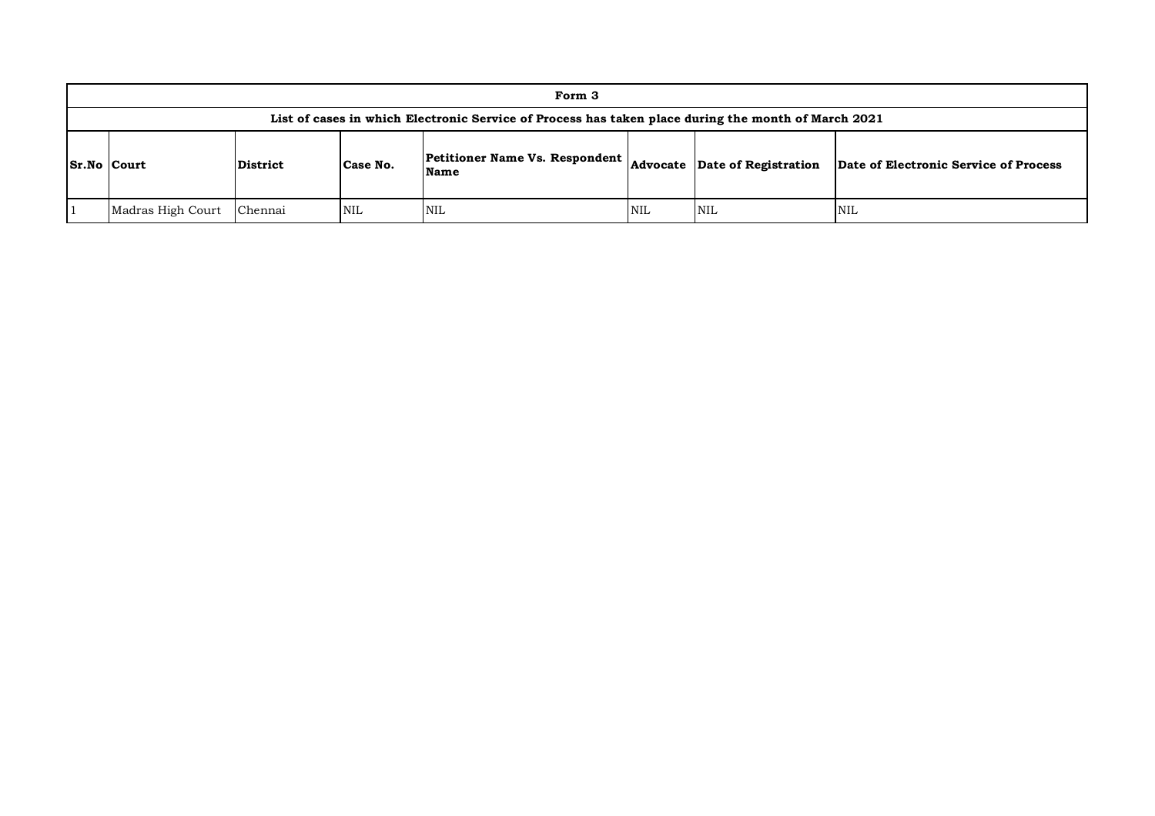| Form 3                                                                                              |                 |          |                                                      |     |                               |                                       |  |  |  |  |
|-----------------------------------------------------------------------------------------------------|-----------------|----------|------------------------------------------------------|-----|-------------------------------|---------------------------------------|--|--|--|--|
| List of cases in which Electronic Service of Process has taken place during the month of March 2021 |                 |          |                                                      |     |                               |                                       |  |  |  |  |
| <b>Sr.No Court</b>                                                                                  | <b>District</b> | Case No. | <b>Petitioner Name Vs. Respondent</b><br><b>Name</b> |     | Advocate Date of Registration | Date of Electronic Service of Process |  |  |  |  |
| Madras High Court                                                                                   | Chennai         | NIL      | <b>NIL</b>                                           | NIL | <b>NIL</b>                    | NIL                                   |  |  |  |  |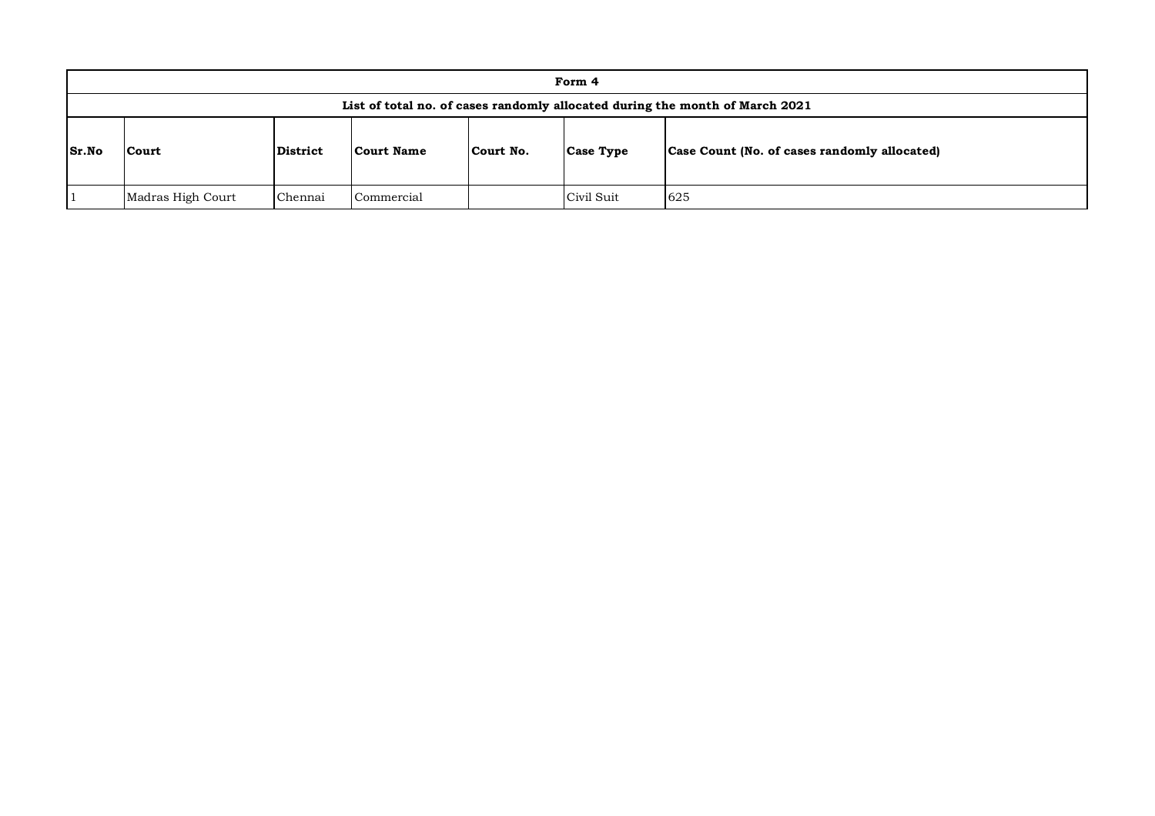|       | Form 4                                                                       |          |            |           |                  |                                              |  |  |  |  |  |
|-------|------------------------------------------------------------------------------|----------|------------|-----------|------------------|----------------------------------------------|--|--|--|--|--|
|       | List of total no. of cases randomly allocated during the month of March 2021 |          |            |           |                  |                                              |  |  |  |  |  |
| Sr.No | Court                                                                        | District | Court Name | Court No. | <b>Case Type</b> | Case Count (No. of cases randomly allocated) |  |  |  |  |  |
|       | 625<br>Civil Suit<br>Madras High Court<br>Commercial<br>Chennai              |          |            |           |                  |                                              |  |  |  |  |  |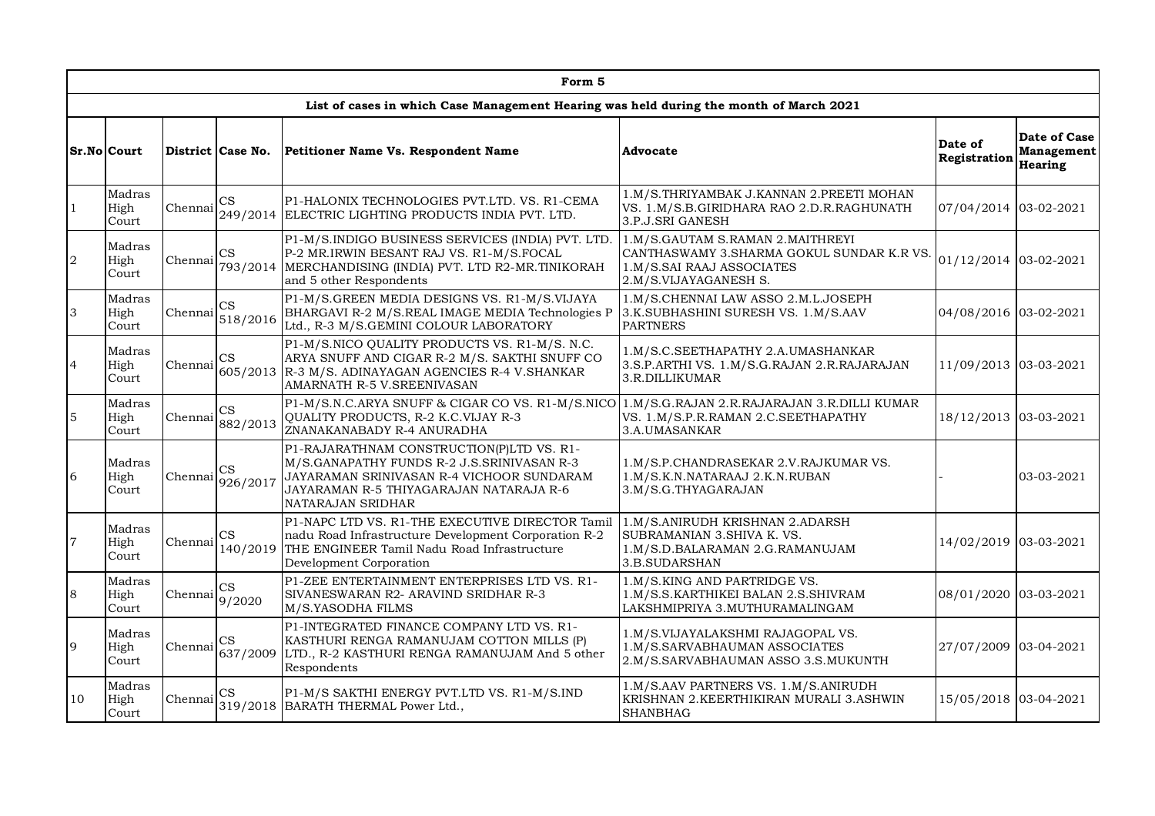|                  |                         |                                                                                                                                                                |                                      | Form 5                                                                                                                                                                                                                                                                                                                       |                                                                                                                    |                         |                                       |
|------------------|-------------------------|----------------------------------------------------------------------------------------------------------------------------------------------------------------|--------------------------------------|------------------------------------------------------------------------------------------------------------------------------------------------------------------------------------------------------------------------------------------------------------------------------------------------------------------------------|--------------------------------------------------------------------------------------------------------------------|-------------------------|---------------------------------------|
|                  |                         |                                                                                                                                                                |                                      | List of cases in which Case Management Hearing was held during the month of March 2021                                                                                                                                                                                                                                       |                                                                                                                    |                         |                                       |
|                  | <b>Sr.No Court</b>      |                                                                                                                                                                | District Case No.                    | Petitioner Name Vs. Respondent Name                                                                                                                                                                                                                                                                                          | <b>Advocate</b>                                                                                                    | Date of<br>Registration | Date of Case<br>Management<br>Hearing |
| $\mathbf{1}$     | Madras<br>High<br>Court | Chennai                                                                                                                                                        | CS                                   | P1-HALONIX TECHNOLOGIES PVT.LTD. VS. R1-CEMA<br>249/2014 ELECTRIC LIGHTING PRODUCTS INDIA PVT. LTD.                                                                                                                                                                                                                          | 1.M/S. THRIYAMBAK J. KANNAN 2. PREETI MOHAN<br>VS. 1.M/S.B.GIRIDHARA RAO 2.D.R.RAGHUNATH<br>3.P.J.SRI GANESH       | 07/04/2014 03-02-2021   |                                       |
| $\boldsymbol{2}$ | Madras<br>High<br>Court | Chennai                                                                                                                                                        | $\mathbb{C}\mathbf{S}$               | P1-M/S.INDIGO BUSINESS SERVICES (INDIA) PVT. LTD.<br>1.M/S.GAUTAM S.RAMAN 2.MAITHREYI<br>P-2 MR.IRWIN BESANT RAJ VS. R1-M/S.FOCAL<br>CANTHASWAMY 3.SHARMA GOKUL SUNDAR K.R VS.<br>793/2014   MERCHANDISING (INDIA) PVT. LTD R2-MR.TINIKORAH<br>1.M/S.SAI RAAJ ASSOCIATES<br>and 5 other Respondents<br>2.M/S.VIJAYAGANESH S. |                                                                                                                    | 01/12/2014 03-02-2021   |                                       |
| 3                | Madras<br>High<br>Court | Chennai                                                                                                                                                        | $\mathbf{CS}$<br>518/2016            | P1-M/S.GREEN MEDIA DESIGNS VS. R1-M/S.VIJAYA<br>BHARGAVI R-2 M/S.REAL IMAGE MEDIA Technologies P<br>Ltd., R-3 M/S.GEMINI COLOUR LABORATORY                                                                                                                                                                                   | 1.M/S.CHENNAI LAW ASSO 2.M.L.JOSEPH<br>3.K.SUBHASHINI SURESH VS. 1.M/S.AAV<br><b>PARTNERS</b>                      | 04/08/2016 03-02-2021   |                                       |
| $\overline{4}$   | Madras<br>High<br>Court | Chennai                                                                                                                                                        | CS                                   | P1-M/S.NICO QUALITY PRODUCTS VS. R1-M/S. N.C.<br>ARYA SNUFF AND CIGAR R-2 M/S. SAKTHI SNUFF CO<br>605/2013 R-3 M/S. ADINAYAGAN AGENCIES R-4 V.SHANKAR<br>AMARNATH R-5 V.SREENIVASAN                                                                                                                                          | 1.M/S.C.SEETHAPATHY 2.A.UMASHANKAR<br>3.S.P.ARTHI VS. 1.M/S.G.RAJAN 2.R.RAJARAJAN<br>3.R.DILLIKUMAR                | 11/09/2013 03-03-2021   |                                       |
| 5                | Madras<br>High<br>Court | Chennai                                                                                                                                                        | $\mathbf{CS}$<br>882/2013            | P1-M/S.N.C.ARYA SNUFF & CIGAR CO VS. R1-M/S.NICO<br>QUALITY PRODUCTS, R-2 K.C.VIJAY R-3<br>ZNANAKANABADY R-4 ANURADHA                                                                                                                                                                                                        | 1.M/S.G.RAJAN 2.R.RAJARAJAN 3.R.DILLI KUMAR<br>VS. 1.M/S.P.R.RAMAN 2.C.SEETHAPATHY<br>3.A.UMASANKAR                | 18/12/2013 03-03-2021   |                                       |
| 6                | Madras<br>High<br>Court | Chennai                                                                                                                                                        | <b>CS</b><br>926/2017                | P1-RAJARATHNAM CONSTRUCTION(P)LTD VS. R1-<br>M/S.GANAPATHY FUNDS R-2 J.S.SRINIVASAN R-3<br>JAYARAMAN SRINIVASAN R-4 VICHOOR SUNDARAM<br>JAYARAMAN R-5 THIYAGARAJAN NATARAJA R-6<br>NATARAJAN SRIDHAR                                                                                                                         | 1.M/S.P.CHANDRASEKAR 2.V.RAJKUMAR VS.<br>1.M/S.K.N.NATARAAJ 2.K.N.RUBAN<br>3.M/S.G.THYAGARAJAN                     |                         | 03-03-2021                            |
| 7                | Madras<br>High<br>Court | Chennai                                                                                                                                                        | $\mathbb{C}\mathbf{S}$<br>140/2019   | P1-NAPC LTD VS. R1-THE EXECUTIVE DIRECTOR Tamil<br>nadu Road Infrastructure Development Corporation R-2<br>THE ENGINEER Tamil Nadu Road Infrastructure<br>Development Corporation                                                                                                                                            | 1.M/S.ANIRUDH KRISHNAN 2.ADARSH<br>SUBRAMANIAN 3. SHIVA K. VS.<br>1.M/S.D.BALARAMAN 2.G.RAMANUJAM<br>3.B.SUDARSHAN | 14/02/2019 03-03-2021   |                                       |
| 8                | Madras<br>High<br>Court | Chennai                                                                                                                                                        | $\mathop{\rm CS}\nolimits$<br>9/2020 | P1-ZEE ENTERTAINMENT ENTERPRISES LTD VS. R1-<br>SIVANESWARAN R2- ARAVIND SRIDHAR R-3<br>M/S.YASODHA FILMS                                                                                                                                                                                                                    | 1.M/S.KING AND PARTRIDGE VS.<br>1.M/S.S.KARTHIKEI BALAN 2.S.SHIVRAM<br>LAKSHMIPRIYA 3. MUTHURAMALINGAM             | 08/01/2020 03-03-2021   |                                       |
| 9                | Madras<br>High<br>Court | Chennai                                                                                                                                                        | $\mathbb{C}\mathbf{S}$<br>637/2009   | P1-INTEGRATED FINANCE COMPANY LTD VS. R1-<br>KASTHURI RENGA RAMANUJAM COTTON MILLS (P)<br>LTD., R-2 KASTHURI RENGA RAMANUJAM And 5 other<br>Respondents                                                                                                                                                                      | 1.M/S.VIJAYALAKSHMI RAJAGOPAL VS.<br>1.M/S.SARVABHAUMAN ASSOCIATES<br>2.M/S.SARVABHAUMAN ASSO 3.S.MUKUNTH          |                         | 27/07/2009 03-04-2021                 |
| 10               | Madras<br>High<br>Court | 1.M/S.AAV PARTNERS VS. 1.M/S.ANIRUDH<br>P1-M/S SAKTHI ENERGY PVT.LTD VS. R1-M/S.IND<br>CS<br>Chennai<br>319/2018 BARATH THERMAL Power Ltd.,<br><b>SHANBHAG</b> |                                      | KRISHNAN 2.KEERTHIKIRAN MURALI 3.ASHWIN                                                                                                                                                                                                                                                                                      | 15/05/2018 03-04-2021                                                                                              |                         |                                       |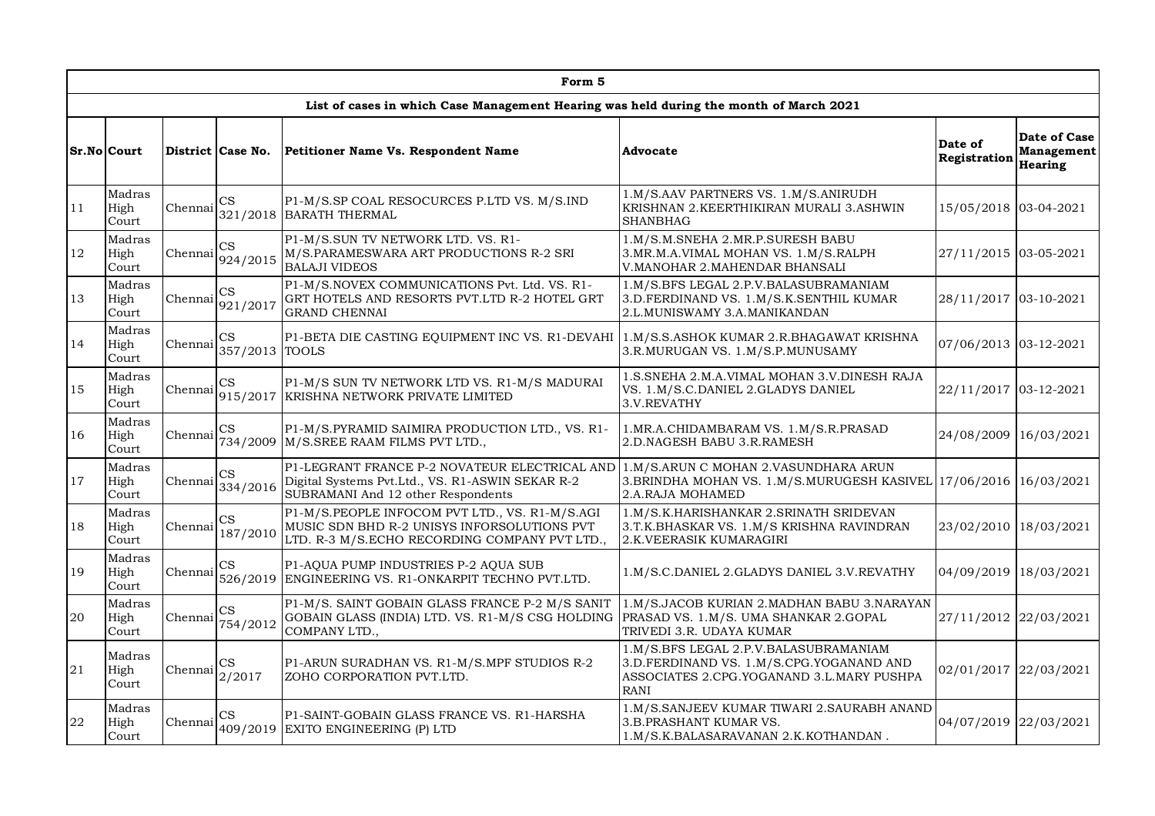|    |                         |         |                                                                                                                                                                                                                                                                                                                                                                                                                                                                                                                                                                                                                                                                                                                                                                                                                                                                                                                                                                                                                                                                                                                                                                                                                                                                                                                                                                                                                                                                                                                                                                                                                                                                                                                                                                                                                                                                                                                                                                                                                                                                                                                                                                                                                                                                                                                          | Form 5                                                                                                                            |                                                                                                              |                                              |            |
|----|-------------------------|---------|--------------------------------------------------------------------------------------------------------------------------------------------------------------------------------------------------------------------------------------------------------------------------------------------------------------------------------------------------------------------------------------------------------------------------------------------------------------------------------------------------------------------------------------------------------------------------------------------------------------------------------------------------------------------------------------------------------------------------------------------------------------------------------------------------------------------------------------------------------------------------------------------------------------------------------------------------------------------------------------------------------------------------------------------------------------------------------------------------------------------------------------------------------------------------------------------------------------------------------------------------------------------------------------------------------------------------------------------------------------------------------------------------------------------------------------------------------------------------------------------------------------------------------------------------------------------------------------------------------------------------------------------------------------------------------------------------------------------------------------------------------------------------------------------------------------------------------------------------------------------------------------------------------------------------------------------------------------------------------------------------------------------------------------------------------------------------------------------------------------------------------------------------------------------------------------------------------------------------------------------------------------------------------------------------------------------------|-----------------------------------------------------------------------------------------------------------------------------------|--------------------------------------------------------------------------------------------------------------|----------------------------------------------|------------|
|    |                         |         |                                                                                                                                                                                                                                                                                                                                                                                                                                                                                                                                                                                                                                                                                                                                                                                                                                                                                                                                                                                                                                                                                                                                                                                                                                                                                                                                                                                                                                                                                                                                                                                                                                                                                                                                                                                                                                                                                                                                                                                                                                                                                                                                                                                                                                                                                                                          |                                                                                                                                   |                                                                                                              |                                              |            |
|    | Sr.No Court             |         | List of cases in which Case Management Hearing was held during the month of March 2021<br>District Case No.<br>Petitioner Name Vs. Respondent Name<br>Advocate<br>1.M/S.AAV PARTNERS VS. 1.M/S.ANIRUDH<br>$\mathbf{CS}$<br>P1-M/S.SP COAL RESOCURCES P.LTD VS. M/S.IND<br>KRISHNAN 2.KEERTHIKIRAN MURALI 3.ASHWIN<br>321/2018 BARATH THERMAL<br><b>SHANBHAG</b><br>P1-M/S.SUN TV NETWORK LTD. VS. R1-<br>1.M/S.M.SNEHA 2.MR.P.SURESH BABU<br>CS<br>M/S.PARAMESWARA ART PRODUCTIONS R-2 SRI<br>3. MR. M. A. VIMAL MOHAN VS. 1. M/S. RALPH<br>924/2015<br><b>BALAJI VIDEOS</b><br>V. MANOHAR 2. MAHENDAR BHANSALI<br>P1-M/S.NOVEX COMMUNICATIONS Pvt. Ltd. VS. R1-<br>1.M/S.BFS LEGAL 2.P.V.BALASUBRAMANIAM<br>$_{\rm CS}$<br>GRT HOTELS AND RESORTS PVT.LTD R-2 HOTEL GRT<br>3.D.FERDINAND VS. 1.M/S.K.SENTHIL KUMAR<br>921/2017<br><b>GRAND CHENNAI</b><br>2.L.MUNISWAMY 3.A.MANIKANDAN<br>P1-BETA DIE CASTING EQUIPMENT INC VS. R1-DEVAHI<br>CS<br>357/2013 TOOLS<br>3.R.MURUGAN VS. 1.M/S.P.MUNUSAMY<br>CS<br>P1-M/S SUN TV NETWORK LTD VS. R1-M/S MADURAI<br>VS. 1.M/S.C.DANIEL 2.GLADYS DANIEL<br>915/2017 KRISHNA NETWORK PRIVATE LIMITED<br>3.V.REVATHY<br>P1-M/S.PYRAMID SAIMIRA PRODUCTION LTD., VS. R1-<br>$_{\rm CS}$<br>1. MR.A. CHIDAMBARAM VS. 1. M/S.R. PRASAD<br>734/2009<br>M/S.SREE RAAM FILMS PVT LTD.,<br>2.D.NAGESH BABU 3.R.RAMESH<br>P1-LEGRANT FRANCE P-2 NOVATEUR ELECTRICAL AND<br>1.M/S.ARUN C MOHAN 2.VASUNDHARA ARUN<br>$\mathbb{C}\mathbf{S}$<br>Digital Systems Pvt.Ltd., VS. R1-ASWIN SEKAR R-2<br>334/2016<br>SUBRAMANI And 12 other Respondents<br>2.A.RAJA MOHAMED<br>P1-M/S.PEOPLE INFOCOM PVT LTD., VS. R1-M/S.AGI<br>1.M/S.K.HARISHANKAR 2.SRINATH SRIDEVAN<br>CS<br>MUSIC SDN BHD R-2 UNISYS INFORSOLUTIONS PVT<br>3.T.K.BHASKAR VS. 1.M/S KRISHNA RAVINDRAN<br>187/2010<br>LTD. R-3 M/S.ECHO RECORDING COMPANY PVT LTD.,<br>2.K.VEERASIK KUMARAGIRI<br>CS<br>P1-AQUA PUMP INDUSTRIES P-2 AQUA SUB<br>526/2019 ENGINEERING VS. R1-ONKARPIT TECHNO PVT.LTD.<br>P1-M/S. SAINT GOBAIN GLASS FRANCE P-2 M/S SANIT<br>$\mathbf{CS}$<br>GOBAIN GLASS (INDIA) LTD. VS. R1-M/S CSG HOLDING<br>PRASAD VS. 1.M/S. UMA SHANKAR 2.GOPAL<br>754/2012<br>COMPANY LTD.,<br>TRIVEDI 3.R. UDAYA KUMAR<br>1.M/S.BFS LEGAL 2.P.V.BALASUBRAMANIAM<br>P1-ARUN SURADHAN VS. R1-M/S.MPF STUDIOS R-2<br>CS |                                                                                                                                   | Date of<br>Registration                                                                                      | Date of Case<br><b>Management</b><br>Hearing |            |
| 11 | Madras<br>High<br>Court | Chennai |                                                                                                                                                                                                                                                                                                                                                                                                                                                                                                                                                                                                                                                                                                                                                                                                                                                                                                                                                                                                                                                                                                                                                                                                                                                                                                                                                                                                                                                                                                                                                                                                                                                                                                                                                                                                                                                                                                                                                                                                                                                                                                                                                                                                                                                                                                                          |                                                                                                                                   |                                                                                                              | 15/05/2018 03-04-2021                        |            |
| 12 | Madras<br>High<br>Court | Chennai |                                                                                                                                                                                                                                                                                                                                                                                                                                                                                                                                                                                                                                                                                                                                                                                                                                                                                                                                                                                                                                                                                                                                                                                                                                                                                                                                                                                                                                                                                                                                                                                                                                                                                                                                                                                                                                                                                                                                                                                                                                                                                                                                                                                                                                                                                                                          |                                                                                                                                   |                                                                                                              | 27/11/2015 03-05-2021                        |            |
| 13 | Madras<br>High<br>Court | Chennai |                                                                                                                                                                                                                                                                                                                                                                                                                                                                                                                                                                                                                                                                                                                                                                                                                                                                                                                                                                                                                                                                                                                                                                                                                                                                                                                                                                                                                                                                                                                                                                                                                                                                                                                                                                                                                                                                                                                                                                                                                                                                                                                                                                                                                                                                                                                          |                                                                                                                                   |                                                                                                              | 28/11/2017 03-10-2021                        |            |
| 14 | Madras<br>High<br>Court | Chennai |                                                                                                                                                                                                                                                                                                                                                                                                                                                                                                                                                                                                                                                                                                                                                                                                                                                                                                                                                                                                                                                                                                                                                                                                                                                                                                                                                                                                                                                                                                                                                                                                                                                                                                                                                                                                                                                                                                                                                                                                                                                                                                                                                                                                                                                                                                                          |                                                                                                                                   | 1.M/S.S.ASHOK KUMAR 2.R.BHAGAWAT KRISHNA                                                                     | 07/06/2013 03-12-2021                        |            |
| 15 | Madras<br>High<br>Court | Chennai |                                                                                                                                                                                                                                                                                                                                                                                                                                                                                                                                                                                                                                                                                                                                                                                                                                                                                                                                                                                                                                                                                                                                                                                                                                                                                                                                                                                                                                                                                                                                                                                                                                                                                                                                                                                                                                                                                                                                                                                                                                                                                                                                                                                                                                                                                                                          |                                                                                                                                   | 1.S. SNEHA 2.M.A. VIMAL MOHAN 3.V. DINESH RAJA                                                               | 22/11/2017 03-12-2021                        |            |
| 16 | Madras<br>High<br>Court | Chennai |                                                                                                                                                                                                                                                                                                                                                                                                                                                                                                                                                                                                                                                                                                                                                                                                                                                                                                                                                                                                                                                                                                                                                                                                                                                                                                                                                                                                                                                                                                                                                                                                                                                                                                                                                                                                                                                                                                                                                                                                                                                                                                                                                                                                                                                                                                                          |                                                                                                                                   |                                                                                                              | 24/08/2009                                   | 16/03/2021 |
| 17 | Madras<br>High<br>Court | Chennai |                                                                                                                                                                                                                                                                                                                                                                                                                                                                                                                                                                                                                                                                                                                                                                                                                                                                                                                                                                                                                                                                                                                                                                                                                                                                                                                                                                                                                                                                                                                                                                                                                                                                                                                                                                                                                                                                                                                                                                                                                                                                                                                                                                                                                                                                                                                          |                                                                                                                                   | 3.BRINDHA MOHAN VS. 1.M/S.MURUGESH KASIVEL 17/06/2016                                                        |                                              | 16/03/2021 |
| 18 | Madras<br>High<br>Court | Chennai |                                                                                                                                                                                                                                                                                                                                                                                                                                                                                                                                                                                                                                                                                                                                                                                                                                                                                                                                                                                                                                                                                                                                                                                                                                                                                                                                                                                                                                                                                                                                                                                                                                                                                                                                                                                                                                                                                                                                                                                                                                                                                                                                                                                                                                                                                                                          |                                                                                                                                   |                                                                                                              | 23/02/2010                                   | 18/03/2021 |
| 19 | Madras<br>High<br>Court | Chennai |                                                                                                                                                                                                                                                                                                                                                                                                                                                                                                                                                                                                                                                                                                                                                                                                                                                                                                                                                                                                                                                                                                                                                                                                                                                                                                                                                                                                                                                                                                                                                                                                                                                                                                                                                                                                                                                                                                                                                                                                                                                                                                                                                                                                                                                                                                                          |                                                                                                                                   | 1.M/S.C.DANIEL 2.GLADYS DANIEL 3.V.REVATHY                                                                   | 04/09/2019                                   | 18/03/2021 |
| 20 | Madras<br>High<br>Court | Chennai |                                                                                                                                                                                                                                                                                                                                                                                                                                                                                                                                                                                                                                                                                                                                                                                                                                                                                                                                                                                                                                                                                                                                                                                                                                                                                                                                                                                                                                                                                                                                                                                                                                                                                                                                                                                                                                                                                                                                                                                                                                                                                                                                                                                                                                                                                                                          |                                                                                                                                   | 1.M/S.JACOB KURIAN 2.MADHAN BABU 3.NARAYAN                                                                   | 27/11/2012 22/03/2021                        |            |
| 21 | Madras<br>High<br>Court | Chennai | 2/2017                                                                                                                                                                                                                                                                                                                                                                                                                                                                                                                                                                                                                                                                                                                                                                                                                                                                                                                                                                                                                                                                                                                                                                                                                                                                                                                                                                                                                                                                                                                                                                                                                                                                                                                                                                                                                                                                                                                                                                                                                                                                                                                                                                                                                                                                                                                   | 3.D.FERDINAND VS. 1.M/S.CPG.YOGANAND AND<br>ZOHO CORPORATION PVT.LTD.<br>ASSOCIATES 2.CPG.YOGANAND 3.L.MARY PUSHPA<br><b>RANI</b> |                                                                                                              | 02/01/2017                                   | 22/03/2021 |
| 22 | Madras<br>High<br>Court | Chennai | $_{\rm CS}$                                                                                                                                                                                                                                                                                                                                                                                                                                                                                                                                                                                                                                                                                                                                                                                                                                                                                                                                                                                                                                                                                                                                                                                                                                                                                                                                                                                                                                                                                                                                                                                                                                                                                                                                                                                                                                                                                                                                                                                                                                                                                                                                                                                                                                                                                                              | P1-SAINT-GOBAIN GLASS FRANCE VS. R1-HARSHA<br>409/2019 EXITO ENGINEERING (P) LTD                                                  | 1.M/S.SANJEEV KUMAR TIWARI 2.SAURABH ANAND<br>3.B.PRASHANT KUMAR VS.<br>1.M/S.K.BALASARAVANAN 2.K.KOTHANDAN. | 04/07/2019 22/03/2021                        |            |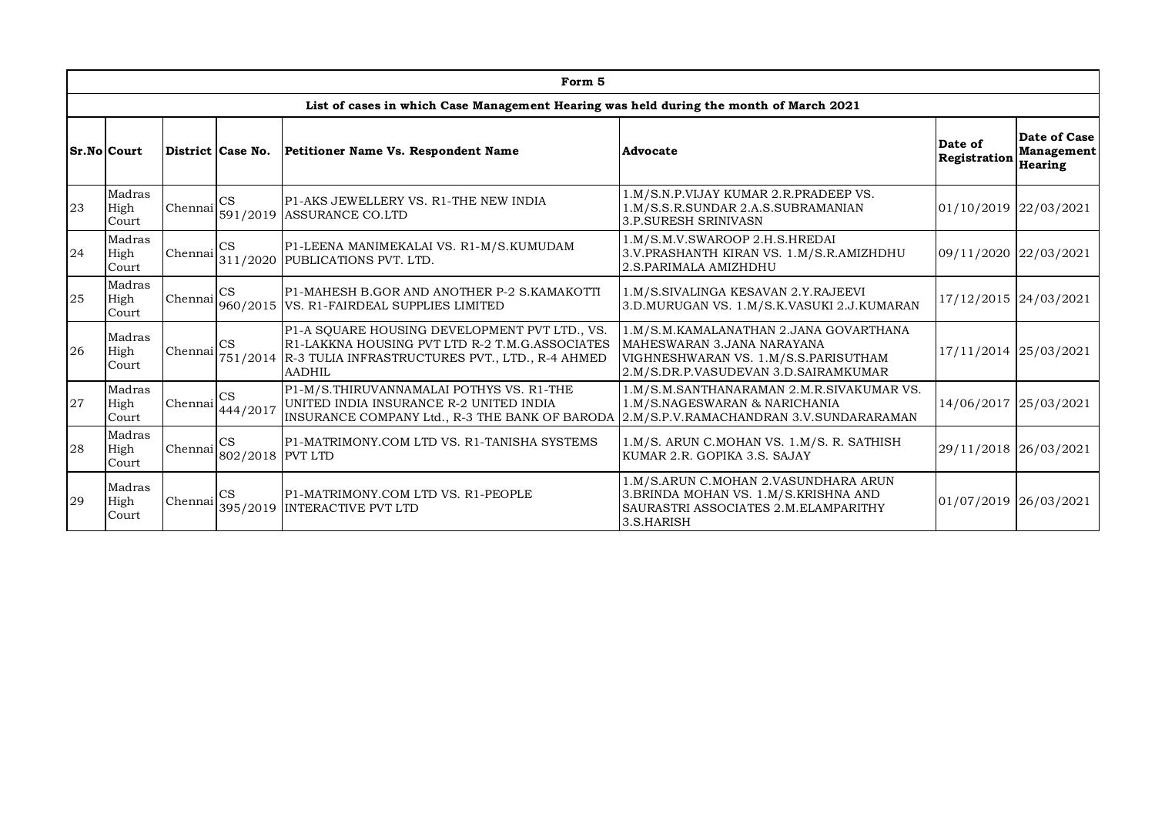|    |                                                                                                                       |         |                               | Form 5                                                                                                                                                                       |                                                                                                                                                      |                         |                                       |
|----|-----------------------------------------------------------------------------------------------------------------------|---------|-------------------------------|------------------------------------------------------------------------------------------------------------------------------------------------------------------------------|------------------------------------------------------------------------------------------------------------------------------------------------------|-------------------------|---------------------------------------|
|    |                                                                                                                       |         |                               | List of cases in which Case Management Hearing was held during the month of March 2021                                                                                       |                                                                                                                                                      |                         |                                       |
|    | Sr.No Court                                                                                                           |         | District Case No.             | Petitioner Name Vs. Respondent Name                                                                                                                                          | Advocate                                                                                                                                             | Date of<br>Registration | Date of Case<br>Management<br>Hearing |
| 23 | Madras<br>High<br>Court                                                                                               | Chennai | <b>CS</b>                     | P1-AKS JEWELLERY VS. R1-THE NEW INDIA<br>591/2019 ASSURANCE CO.LTD                                                                                                           | 1.M/S.N.P.VIJAY KUMAR 2.R.PRADEEP VS.<br>1.M/S.S.R.SUNDAR 2.A.S.SUBRAMANIAN<br><b>3.P.SURESH SRINIVASN</b>                                           | 01/10/2019 22/03/2021   |                                       |
| 24 | Madras<br>High<br>Court                                                                                               | Chennai | CS                            | P1-LEENA MANIMEKALAI VS. R1-M/S.KUMUDAM<br>311/2020 PUBLICATIONS PVT. LTD.                                                                                                   | 1.M/S.M.V.SWAROOP 2.H.S.HREDAI<br>3.V. PRASHANTH KIRAN VS. 1.M/S.R. AMIZHDHU<br>2.S.PARIMALA AMIZHDHU                                                | 09/11/2020 22/03/2021   |                                       |
| 25 | Madras<br>High<br>Court                                                                                               | Chennai | <b>CS</b>                     | P1-MAHESH B.GOR AND ANOTHER P-2 S.KAMAKOTTI<br>960/2015 VS. R1-FAIRDEAL SUPPLIES LIMITED                                                                                     | 1.M/S.SIVALINGA KESAVAN 2.Y.RAJEEVI<br>3.D.MURUGAN VS. 1.M/S.K.VASUKI 2.J.KUMARAN                                                                    | 17/12/2015 24/03/2021   |                                       |
| 26 | Madras<br>High<br>Court                                                                                               | Chennai | CS                            | P1-A SQUARE HOUSING DEVELOPMENT PVT LTD., VS.<br>R1-LAKKNA HOUSING PVT LTD R-2 T.M.G.ASSOCIATES<br>751/2014 R-3 TULIA INFRASTRUCTURES PVT., LTD., R-4 AHMED<br><b>AADHIL</b> | 1.M/S.M.KAMALANATHAN 2.JANA GOVARTHANA<br>MAHESWARAN 3.JANA NARAYANA<br>VIGHNESHWARAN VS. 1.M/S.S.PARISUTHAM<br>2.M/S.DR.P.VASUDEVAN 3.D.SAIRAMKUMAR | 17/11/2014 25/03/2021   |                                       |
| 27 | Madras<br>High<br>Court                                                                                               | Chennai | CS<br>444/2017                | P1-M/S. THIRUVANNAMALAI POTHYS VS. R1-THE<br>UNITED INDIA INSURANCE R-2 UNITED INDIA<br>INSURANCE COMPANY Ltd., R-3 THE BANK OF BARODA                                       | 1.M/S.M.SANTHANARAMAN 2.M.R.SIVAKUMAR VS.<br>1.M/S.NAGESWARAN & NARICHANIA<br>2.M/S.P.V.RAMACHANDRAN 3.V.SUNDARARAMAN                                | 14/06/2017 25/03/2021   |                                       |
| 28 | Madras<br>High<br>Court                                                                                               | Chennai | <b>CS</b><br>802/2018 PVT LTD | P1-MATRIMONY.COM LTD VS. R1-TANISHA SYSTEMS                                                                                                                                  | 1.M/S. ARUN C.MOHAN VS. 1.M/S. R. SATHISH<br>KUMAR 2.R. GOPIKA 3.S. SAJAY                                                                            | 29/11/2018 26/03/2021   |                                       |
| 29 | Madras<br><b>CS</b><br>P1-MATRIMONY.COM LTD VS. R1-PEOPLE<br>Chennai<br>High<br>395/2019 INTERACTIVE PVT LTD<br>Court |         |                               | 1.M/S.ARUN C.MOHAN 2.VASUNDHARA ARUN<br>3. BRINDA MOHAN VS. 1.M/S. KRISHNA AND<br>SAURASTRI ASSOCIATES 2.M.ELAMPARITHY<br>3.S.HARISH                                         | 01/07/2019 26/03/2021                                                                                                                                |                         |                                       |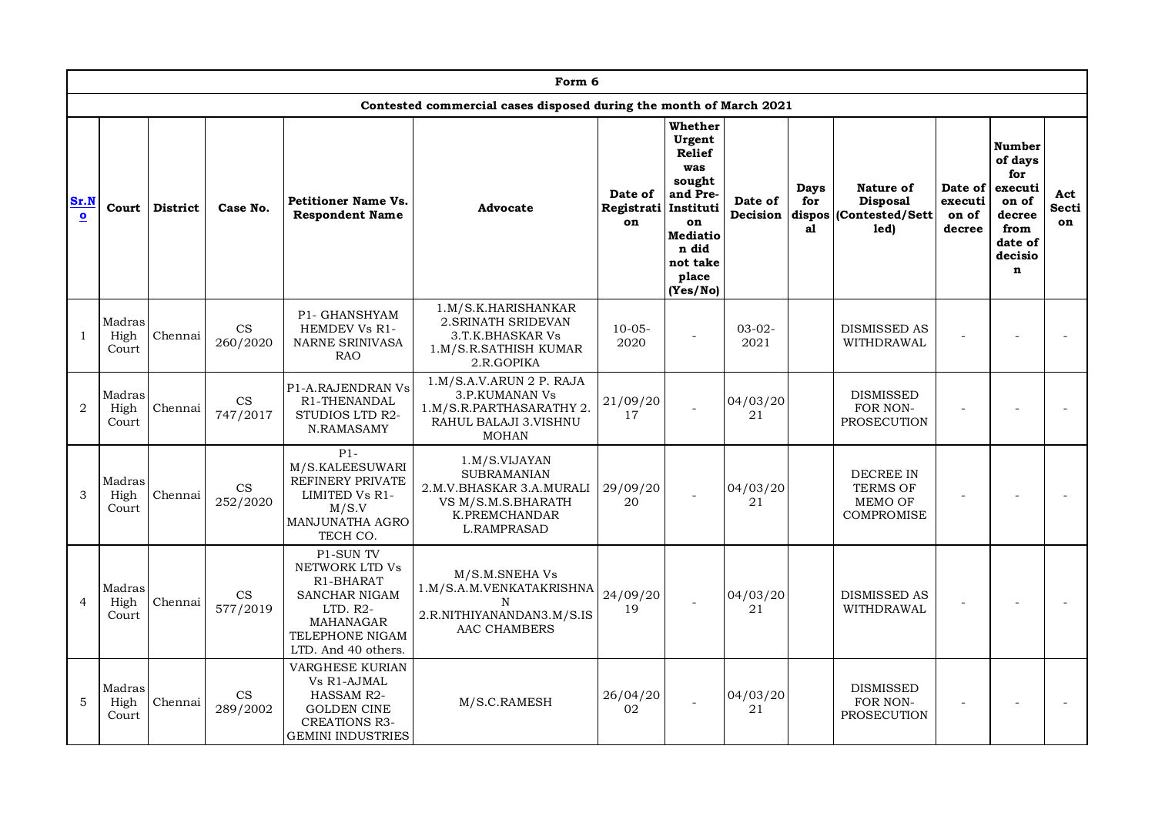|                   | Form 6<br>Contested commercial cases disposed during the month of March 2021 |                 |                                        |                                                                                                                                |                                                                                                                              |                             |                                                                                                                                                 |                     |                                    |                                                              |                                       |                                                                                                            |                           |
|-------------------|------------------------------------------------------------------------------|-----------------|----------------------------------------|--------------------------------------------------------------------------------------------------------------------------------|------------------------------------------------------------------------------------------------------------------------------|-----------------------------|-------------------------------------------------------------------------------------------------------------------------------------------------|---------------------|------------------------------------|--------------------------------------------------------------|---------------------------------------|------------------------------------------------------------------------------------------------------------|---------------------------|
|                   |                                                                              |                 |                                        |                                                                                                                                |                                                                                                                              |                             |                                                                                                                                                 |                     |                                    |                                                              |                                       |                                                                                                            |                           |
| Sr.N<br>$\bullet$ | Court                                                                        | <b>District</b> | Case No.                               | <b>Petitioner Name Vs.</b><br><b>Respondent Name</b>                                                                           | Advocate                                                                                                                     | Date of<br>Registrati<br>on | Whether<br>Urgent<br><b>Relief</b><br>was<br>sought<br>and Pre-<br>Instituti<br>on<br><b>Mediatio</b><br>n did<br>not take<br>place<br>(Yes/No) | Date of<br>Decision | <b>Days</b><br>for<br>dispos<br>a1 | Nature of<br><b>Disposal</b><br>(Contested/Sett<br>led)      | Date of<br>executi<br>on of<br>decree | <b>Number</b><br>of days<br>for<br>executi<br>on of<br>decree<br>from<br>date of<br>decisio<br>$\mathbf n$ | Act<br><b>Secti</b><br>on |
| $\mathbf{1}$      | Madras<br>High<br>Court                                                      | Chennai         | $\mathbf{CS}$<br>260/2020              | P1- GHANSHYAM<br>HEMDEV Vs R1-<br><b>NARNE SRINIVASA</b><br><b>RAO</b>                                                         | 1.M/S.K.HARISHANKAR<br>2. SRINATH SRIDEVAN<br>3.T.K.BHASKAR Vs<br>1.M/S.R.SATHISH KUMAR<br>2.R.GOPIKA                        | $10 - 05 -$<br>2020         |                                                                                                                                                 | $03-02-$<br>2021    |                                    | DISMISSED AS<br>WITHDRAWAL                                   |                                       |                                                                                                            |                           |
| $\overline{2}$    | Madras<br>High<br>Court                                                      | Chennai         | CS<br>747/2017                         | P1-A.RAJENDRAN Vs<br>R1-THENANDAL<br>STUDIOS LTD R2-<br>N.RAMASAMY                                                             | 1.M/S.A.V.ARUN 2 P. RAJA<br>3.P.KUMANAN Vs<br>1.M/S.R.PARTHASARATHY 2.<br>RAHUL BALAJI 3.VISHNU<br><b>MOHAN</b>              | 21/09/20<br>17              |                                                                                                                                                 | 04/03/20<br>21      |                                    | <b>DISMISSED</b><br>FOR NON-<br>PROSECUTION                  |                                       |                                                                                                            |                           |
| 3                 | Madras<br>High<br>Court                                                      | Chennai         | $\mathop{\rm CS}\nolimits$<br>252/2020 | $P1-$<br>M/S.KALEESUWARI<br><b>REFINERY PRIVATE</b><br>LIMITED Vs R1-<br>M/S.V<br>MANJUNATHA AGRO<br>TECH CO.                  | 1.M/S.VIJAYAN<br><b>SUBRAMANIAN</b><br>2.M.V.BHASKAR 3.A.MURALI<br>VS M/S.M.S.BHARATH<br>K.PREMCHANDAR<br><b>L.RAMPRASAD</b> | 29/09/20<br>20              |                                                                                                                                                 | 04/03/20<br>21      |                                    | <b>DECREE IN</b><br><b>TERMS OF</b><br>MEMO OF<br>COMPROMISE |                                       |                                                                                                            |                           |
| $\overline{4}$    | Madras<br>High<br>Court                                                      | Chennai         | CS<br>577/2019                         | P1-SUN TV<br>NETWORK LTD Vs<br>R1-BHARAT<br>SANCHAR NIGAM<br>$LTD. R2-$<br>MAHANAGAR<br>TELEPHONE NIGAM<br>LTD. And 40 others. | M/S.M.SNEHA Vs<br>1.M/S.A.M.VENKATAKRISHNA<br>N<br>2.R.NITHIYANANDAN3.M/S.IS<br>AAC CHAMBERS                                 | 24/09/20<br>19              |                                                                                                                                                 | 04/03/20<br>21      |                                    | <b>DISMISSED AS</b><br>WITHDRAWAL                            |                                       |                                                                                                            |                           |
| 5                 | Madras<br>High<br>Court                                                      | Chennai         | CS<br>289/2002                         | <b>VARGHESE KURIAN</b><br>Vs R1-AJMAL<br>HASSAM R2-<br><b>GOLDEN CINE</b><br><b>CREATIONS R3-</b><br><b>GEMINI INDUSTRIES</b>  | M/S.C.RAMESH                                                                                                                 | 26/04/20<br>02              |                                                                                                                                                 | 04/03/20<br>21      |                                    | <b>DISMISSED</b><br>FOR NON-<br>PROSECUTION                  |                                       |                                                                                                            |                           |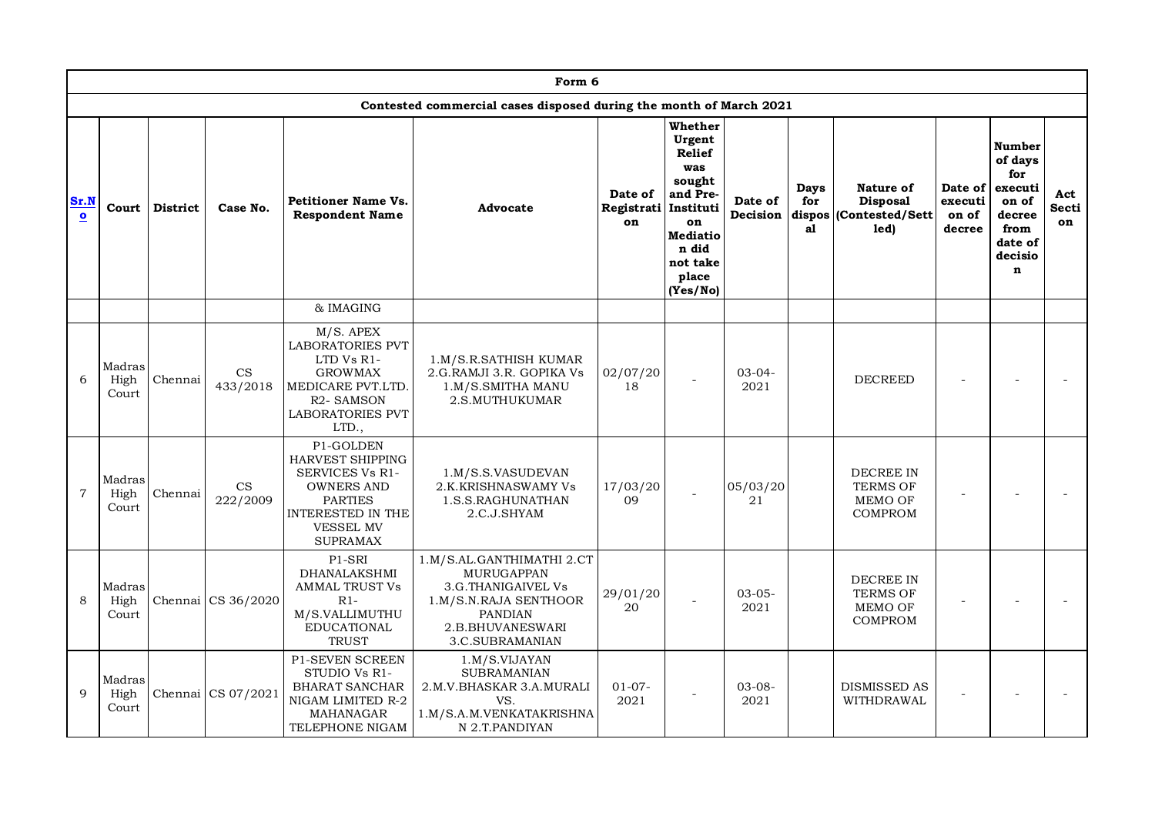|                   | Form 6                  |                 |                                        |                                                                                                                                                                   |                                                                                                                                                        |                                       |                                                                                                                                    |                     |                          |                                                                |                                       |                                                                                                     |                    |
|-------------------|-------------------------|-----------------|----------------------------------------|-------------------------------------------------------------------------------------------------------------------------------------------------------------------|--------------------------------------------------------------------------------------------------------------------------------------------------------|---------------------------------------|------------------------------------------------------------------------------------------------------------------------------------|---------------------|--------------------------|----------------------------------------------------------------|---------------------------------------|-----------------------------------------------------------------------------------------------------|--------------------|
|                   |                         |                 |                                        |                                                                                                                                                                   | Contested commercial cases disposed during the month of March 2021                                                                                     |                                       |                                                                                                                                    |                     |                          |                                                                |                                       |                                                                                                     |                    |
| Sr.N<br>$\bullet$ | Court                   | <b>District</b> | Case No.                               | <b>Petitioner Name Vs.</b><br><b>Respondent Name</b>                                                                                                              | Advocate                                                                                                                                               | Date of<br>Registrati Instituti<br>on | Whether<br>Urgent<br><b>Relief</b><br>was<br>sought<br>and Pre-<br>on<br><b>Mediatio</b><br>n did<br>not take<br>place<br>(Yes/No) | Date of<br>Decision | <b>Days</b><br>for<br>al | Nature of<br><b>Disposal</b><br>dispos (Contested/Sett<br>led) | Date of<br>executi<br>on of<br>decree | Number<br>of days<br>for<br>executi<br>on of<br>decree<br>from<br>date of<br>decisio<br>$\mathbf n$ | Act<br>Secti<br>on |
|                   |                         |                 |                                        | & IMAGING                                                                                                                                                         |                                                                                                                                                        |                                       |                                                                                                                                    |                     |                          |                                                                |                                       |                                                                                                     |                    |
| 6                 | Madras<br>High<br>Court | Chennai         | CS<br>433/2018                         | M/S. APEX<br><b>LABORATORIES PVT</b><br>LTD Vs R1-<br><b>GROWMAX</b><br>MEDICARE PVT.LTD.<br>R <sub>2</sub> - SAMSON<br><b>LABORATORIES PVT</b><br>LTD.,          | 1.M/S.R.SATHISH KUMAR<br>2.G.RAMJI 3.R. GOPIKA Vs<br>1.M/S.SMITHA MANU<br>2.S.MUTHUKUMAR                                                               | 02/07/20<br>18                        |                                                                                                                                    | $03 - 04 -$<br>2021 |                          | <b>DECREED</b>                                                 |                                       |                                                                                                     |                    |
| $\overline{7}$    | Madras<br>High<br>Court | Chennai         | $\mathop{\rm CS}\nolimits$<br>222/2009 | P1-GOLDEN<br><b>HARVEST SHIPPING</b><br>SERVICES Vs R1-<br><b>OWNERS AND</b><br><b>PARTIES</b><br><b>INTERESTED IN THE</b><br><b>VESSEL MV</b><br><b>SUPRAMAX</b> | 1.M/S.S.VASUDEVAN<br>2.K.KRISHNASWAMY Vs<br>1.S.S.RAGHUNATHAN<br>2.C.J.SHYAM                                                                           | 17/03/20<br>09                        |                                                                                                                                    | 05/03/20<br>21      |                          | DECREE IN<br><b>TERMS OF</b><br>MEMO OF<br>COMPROM             |                                       |                                                                                                     |                    |
| 8                 | Madras<br>High<br>Court |                 | Chennai CS 36/2020                     | P1-SRI<br><b>DHANALAKSHMI</b><br><b>AMMAL TRUST Vs</b><br>$R1-$<br>M/S.VALLIMUTHU<br><b>EDUCATIONAL</b><br><b>TRUST</b>                                           | 1.M/S.AL.GANTHIMATHI 2.CT<br><b>MURUGAPPAN</b><br>3.G.THANIGAIVEL Vs<br>1.M/S.N.RAJA SENTHOOR<br><b>PANDIAN</b><br>2.B.BHUVANESWARI<br>3.C.SUBRAMANIAN | 29/01/20<br>20                        |                                                                                                                                    | $03 - 05 -$<br>2021 |                          | <b>DECREE IN</b><br><b>TERMS OF</b><br>MEMO OF<br>COMPROM      |                                       |                                                                                                     |                    |
| 9                 | Madras<br>High<br>Court |                 | Chennai CS 07/2021                     | P1-SEVEN SCREEN<br>STUDIO Vs R1-<br><b>BHARAT SANCHAR</b><br>NIGAM LIMITED R-2<br>MAHANAGAR<br>TELEPHONE NIGAM                                                    | 1.M/S.VIJAYAN<br><b>SUBRAMANIAN</b><br>2.M.V.BHASKAR 3.A.MURALI<br>VS.<br>1.M/S.A.M.VENKATAKRISHNA<br>N 2.T.PANDIYAN                                   | $01-07-$<br>2021                      |                                                                                                                                    | $03 - 08 -$<br>2021 |                          | <b>DISMISSED AS</b><br>WITHDRAWAL                              |                                       |                                                                                                     |                    |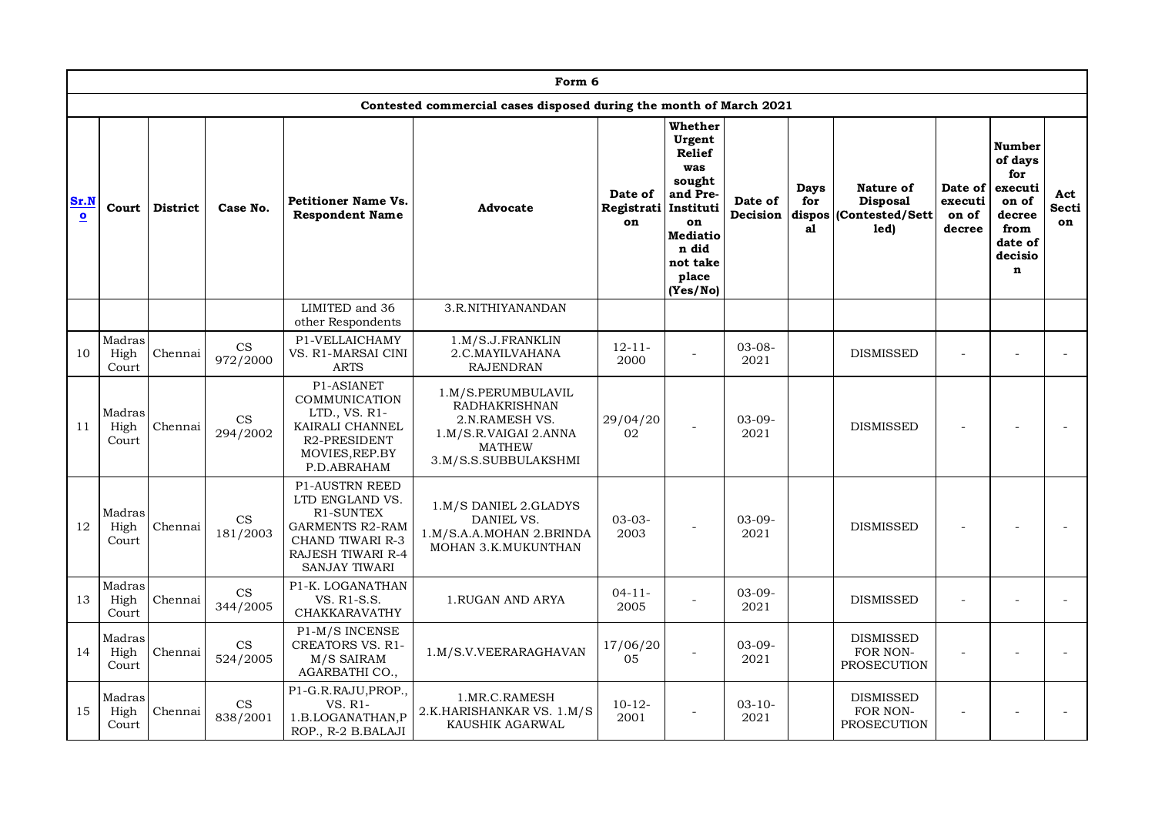|                                 |                         |                 |                                        |                                                                                                                                                         | Form 6                                                                                                                         |                                       |                                                                                                                                    |                     |                                    |                                                         |                                       |                                                                                                     |                    |
|---------------------------------|-------------------------|-----------------|----------------------------------------|---------------------------------------------------------------------------------------------------------------------------------------------------------|--------------------------------------------------------------------------------------------------------------------------------|---------------------------------------|------------------------------------------------------------------------------------------------------------------------------------|---------------------|------------------------------------|---------------------------------------------------------|---------------------------------------|-----------------------------------------------------------------------------------------------------|--------------------|
|                                 |                         |                 |                                        |                                                                                                                                                         | Contested commercial cases disposed during the month of March 2021                                                             |                                       |                                                                                                                                    |                     |                                    |                                                         |                                       |                                                                                                     |                    |
| Sr.N<br>$\overline{\mathbf{o}}$ | Court                   | <b>District</b> | Case No.                               | <b>Petitioner Name Vs.</b><br><b>Respondent Name</b>                                                                                                    | Advocate                                                                                                                       | Date of<br>Registrati Instituti<br>on | Whether<br>Urgent<br><b>Relief</b><br>was<br>sought<br>and Pre-<br>on<br><b>Mediatio</b><br>n did<br>not take<br>place<br>(Yes/No) | Date of<br>Decision | <b>Days</b><br>for<br>dispos<br>al | Nature of<br><b>Disposal</b><br>(Contested/Sett<br>led) | Date of<br>executi<br>on of<br>decree | Number<br>of days<br>for<br>executi<br>on of<br>decree<br>from<br>date of<br>decisio<br>$\mathbf n$ | Act<br>Secti<br>on |
|                                 |                         |                 |                                        | LIMITED and 36<br>other Respondents                                                                                                                     | 3.R.NITHIYANANDAN                                                                                                              |                                       |                                                                                                                                    |                     |                                    |                                                         |                                       |                                                                                                     |                    |
| 10                              | Madras<br>High<br>Court | Chennai         | $\mathop{\rm CS}\nolimits$<br>972/2000 | P1-VELLAICHAMY<br>VS. R1-MARSAI CINI<br><b>ARTS</b>                                                                                                     | 1.M/S.J.FRANKLIN<br>2.C.MAYILVAHANA<br><b>RAJENDRAN</b>                                                                        | $12 - 11 -$<br>2000                   | $\overline{a}$                                                                                                                     | $03 - 08 -$<br>2021 |                                    | <b>DISMISSED</b>                                        |                                       |                                                                                                     |                    |
| 11                              | Madras<br>High<br>Court | Chennai         | CS<br>294/2002                         | P1-ASIANET<br>COMMUNICATION<br>LTD., VS. R1-<br>KAIRALI CHANNEL<br>R2-PRESIDENT<br>MOVIES, REP.BY<br>P.D.ABRAHAM                                        | 1.M/S.PERUMBULAVIL<br><b>RADHAKRISHNAN</b><br>2.N.RAMESH VS.<br>1.M/S.R.VAIGAI 2.ANNA<br><b>MATHEW</b><br>3.M/S.S.SUBBULAKSHMI | 29/04/20<br>02                        |                                                                                                                                    | $03-09-$<br>2021    |                                    | <b>DISMISSED</b>                                        |                                       |                                                                                                     |                    |
| 12                              | Madras<br>High<br>Court | Chennai         | CS<br>181/2003                         | <b>P1-AUSTRN REED</b><br>LTD ENGLAND VS.<br>R1-SUNTEX<br><b>GARMENTS R2-RAM</b><br>CHAND TIWARI R-3<br><b>RAJESH TIWARI R-4</b><br><b>SANJAY TIWARI</b> | 1.M/S DANIEL 2.GLADYS<br>DANIEL VS.<br>1.M/S.A.A.MOHAN 2.BRINDA<br>MOHAN 3.K.MUKUNTHAN                                         | $03 - 03 -$<br>2003                   |                                                                                                                                    | $03-09-$<br>2021    |                                    | <b>DISMISSED</b>                                        |                                       |                                                                                                     |                    |
| 13                              | Madras<br>High<br>Court | Chennai         | $\mathbf{CS}$<br>344/2005              | P1-K. LOGANATHAN<br>VS. R1-S.S.<br>CHAKKARAVATHY                                                                                                        | 1.RUGAN AND ARYA                                                                                                               | $04 - 11 -$<br>2005                   |                                                                                                                                    | $03-09-$<br>2021    |                                    | <b>DISMISSED</b>                                        |                                       |                                                                                                     |                    |
| 14                              | Madras<br>High<br>Court | Chennai         | CS<br>524/2005                         | P1-M/S INCENSE<br><b>CREATORS VS. R1-</b><br>M/S SAIRAM<br>AGARBATHI CO.,                                                                               | 1.M/S.V.VEERARAGHAVAN                                                                                                          | 17/06/20<br>05                        | $\overline{\phantom{a}}$                                                                                                           | $03-09-$<br>2021    |                                    | <b>DISMISSED</b><br>FOR NON-<br><b>PROSECUTION</b>      |                                       |                                                                                                     |                    |
| 15                              | Madras<br>High<br>Court | Chennai         | $\mathop{\rm CS}\nolimits$<br>838/2001 | P1-G.R.RAJU, PROP.,<br>VS. R1-<br>1.B.LOGANATHAN, P<br>ROP., R-2 B.BALAJI                                                                               | 1.MR.C.RAMESH<br>2.K.HARISHANKAR VS. 1.M/S<br>KAUSHIK AGARWAL                                                                  | $10-12-$<br>2001                      | $\overline{a}$                                                                                                                     | $03 - 10 -$<br>2021 |                                    | <b>DISMISSED</b><br>FOR NON-<br>PROSECUTION             |                                       |                                                                                                     |                    |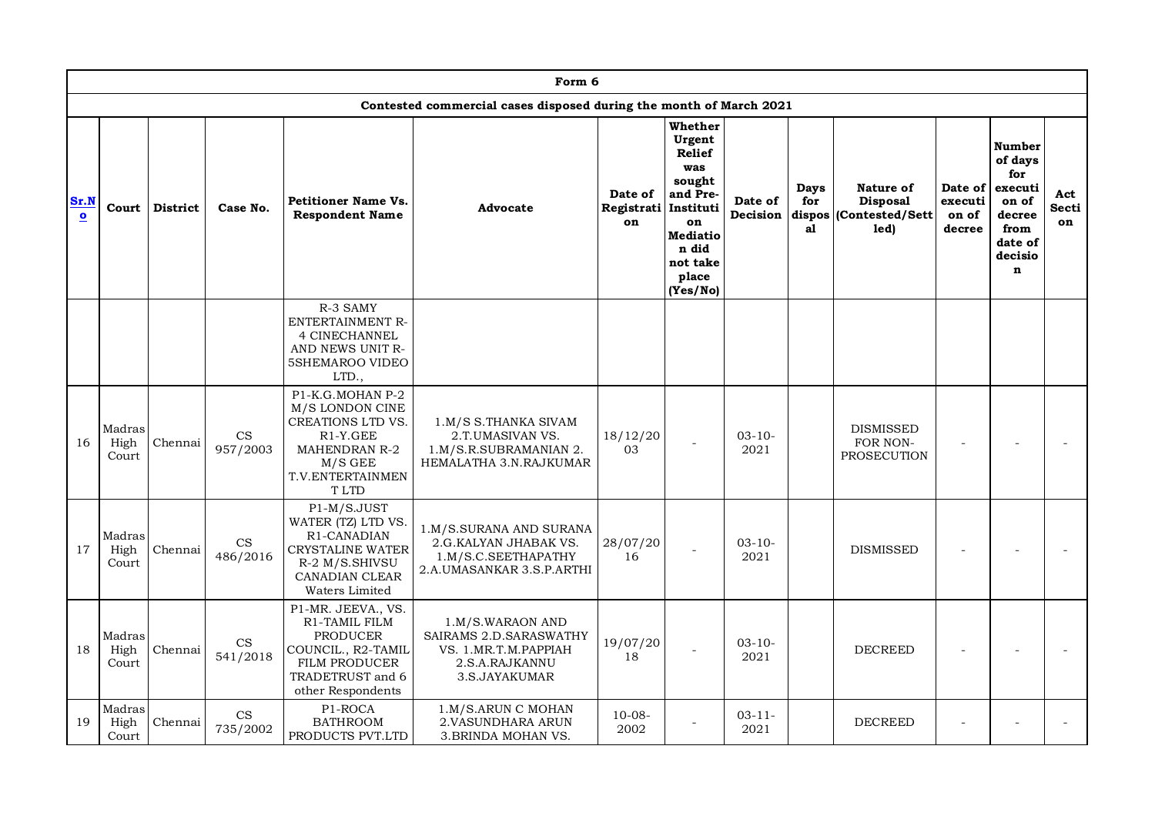|                      |                         |          |                                        |                                                                                                                                                | Form 6                                                                                                |                             |                                                                                                                                                 |                     |                          |                                                               |                                       |                                                                                                     |                    |
|----------------------|-------------------------|----------|----------------------------------------|------------------------------------------------------------------------------------------------------------------------------------------------|-------------------------------------------------------------------------------------------------------|-----------------------------|-------------------------------------------------------------------------------------------------------------------------------------------------|---------------------|--------------------------|---------------------------------------------------------------|---------------------------------------|-----------------------------------------------------------------------------------------------------|--------------------|
|                      |                         |          |                                        |                                                                                                                                                | Contested commercial cases disposed during the month of March 2021                                    |                             |                                                                                                                                                 |                     |                          |                                                               |                                       |                                                                                                     |                    |
| Sr.N<br>$\mathbf{o}$ | Court                   | District | Case No.                               | <b>Petitioner Name Vs.</b><br><b>Respondent Name</b>                                                                                           | <b>Advocate</b>                                                                                       | Date of<br>Registrati<br>on | Whether<br>Urgent<br><b>Relief</b><br>was<br>sought<br>and Pre-<br>Instituti<br>on<br><b>Mediatio</b><br>n did<br>not take<br>place<br>(Yes/No) | Date of<br>Decision | <b>Days</b><br>for<br>al | Nature of<br><b>Disposal</b><br>dispos (Contested/Sett<br>1ed | Date of<br>executi<br>on of<br>decree | Number<br>of days<br>for<br>executi<br>on of<br>decree<br>from<br>date of<br>decisio<br>$\mathbf n$ | Act<br>Secti<br>on |
|                      |                         |          |                                        | R-3 SAMY<br><b>ENTERTAINMENT R-</b><br>4 CINECHANNEL<br>AND NEWS UNIT R-<br>5SHEMAROO VIDEO<br>LTD.,                                           |                                                                                                       |                             |                                                                                                                                                 |                     |                          |                                                               |                                       |                                                                                                     |                    |
| 16                   | Madras<br>High<br>Court | Chennai  | $\mathop{\rm CS}\nolimits$<br>957/2003 | P1-K.G.MOHAN P-2<br>M/S LONDON CINE<br>CREATIONS LTD VS.<br>$R1-Y.GEE$<br><b>MAHENDRAN R-2</b><br>$M/S$ GEE<br>T.V.ENTERTAINMEN<br><b>TLTD</b> | 1.M/S S.THANKA SIVAM<br>2.T.UMASIVAN VS.<br>1.M/S.R.SUBRAMANIAN 2.<br>HEMALATHA 3.N.RAJKUMAR          | 18/12/20<br>03              |                                                                                                                                                 | $03 - 10 -$<br>2021 |                          | <b>DISMISSED</b><br>FOR NON-<br>PROSECUTION                   |                                       |                                                                                                     |                    |
| 17                   | Madras<br>High<br>Court | Chennai  | $\mathop{\rm CS}\nolimits$<br>486/2016 | P1-M/S.JUST<br>WATER (TZ) LTD VS.<br>R1-CANADIAN<br><b>CRYSTALINE WATER</b><br>R-2 M/S.SHIVSU<br>CANADIAN CLEAR<br>Waters Limited              | 1.M/S.SURANA AND SURANA<br>2.G.KALYAN JHABAK VS.<br>1.M/S.C.SEETHAPATHY<br>2.A.UMASANKAR 3.S.P.ARTHI  | 28/07/20<br>16              |                                                                                                                                                 | $03 - 10 -$<br>2021 |                          | <b>DISMISSED</b>                                              |                                       |                                                                                                     |                    |
| 18                   | Madras<br>High<br>Court | Chennai  | $\mathop{\rm CS}\nolimits$<br>541/2018 | P1-MR. JEEVA., VS.<br>R1-TAMIL FILM<br>PRODUCER<br>COUNCIL., R2-TAMIL<br>FILM PRODUCER<br>TRADETRUST and 6<br>other Respondents                | 1.M/S.WARAON AND<br>SAIRAMS 2.D.SARASWATHY<br>VS. 1.MR.T.M.PAPPIAH<br>2.S.A.RAJKANNU<br>3.S.JAYAKUMAR | 19/07/20<br>18              |                                                                                                                                                 | $03 - 10 -$<br>2021 |                          | <b>DECREED</b>                                                |                                       |                                                                                                     |                    |
| 19                   | Madras<br>High<br>Court | Chennai  | $\mathbf{CS}$<br>735/2002              | P1-ROCA<br><b>BATHROOM</b><br>PRODUCTS PVT.LTD                                                                                                 | 1.M/S.ARUN C MOHAN<br>2. VASUNDHARA ARUN<br>3. BRINDA MOHAN VS.                                       | $10-08-$<br>2002            | $\overline{a}$                                                                                                                                  | $03 - 11 -$<br>2021 |                          | <b>DECREED</b>                                                |                                       |                                                                                                     |                    |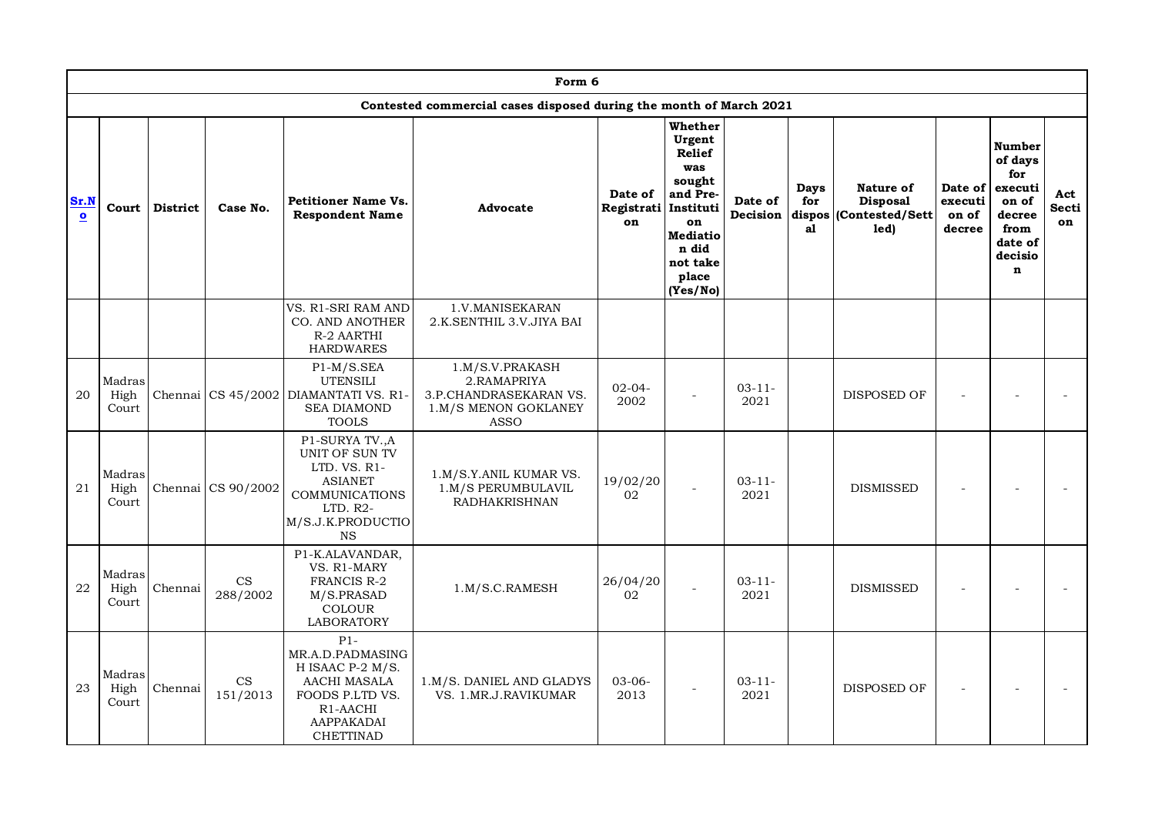|                                 |                         |                 |                                        |                                                                                                                                       | Form 6                                                                                          |                             |                                                                                                                                                 |                     |                          |                                                                |                                       |                                                                                                     |                           |
|---------------------------------|-------------------------|-----------------|----------------------------------------|---------------------------------------------------------------------------------------------------------------------------------------|-------------------------------------------------------------------------------------------------|-----------------------------|-------------------------------------------------------------------------------------------------------------------------------------------------|---------------------|--------------------------|----------------------------------------------------------------|---------------------------------------|-----------------------------------------------------------------------------------------------------|---------------------------|
|                                 |                         |                 |                                        |                                                                                                                                       | Contested commercial cases disposed during the month of March 2021                              |                             |                                                                                                                                                 |                     |                          |                                                                |                                       |                                                                                                     |                           |
| Sr.N<br>$\overline{\mathbf{o}}$ | Court                   | <b>District</b> | Case No.                               | <b>Petitioner Name Vs.</b><br><b>Respondent Name</b>                                                                                  | Advocate                                                                                        | Date of<br>Registrati<br>on | Whether<br>Urgent<br><b>Relief</b><br>was<br>sought<br>and Pre-<br>Instituti<br>on<br><b>Mediatio</b><br>n did<br>not take<br>place<br>(Yes/No) | Date of<br>Decision | <b>Days</b><br>for<br>a1 | Nature of<br><b>Disposal</b><br>dispos (Contested/Sett<br>led) | Date of<br>executi<br>on of<br>decree | Number<br>of days<br>for<br>executi<br>on of<br>decree<br>from<br>date of<br>decisio<br>$\mathbf n$ | Act<br><b>Secti</b><br>on |
|                                 |                         |                 |                                        | VS. R1-SRI RAM AND<br><b>CO. AND ANOTHER</b><br>R-2 AARTHI<br><b>HARDWARES</b>                                                        | 1.V.MANISEKARAN<br>2.K.SENTHIL 3.V.JIYA BAI                                                     |                             |                                                                                                                                                 |                     |                          |                                                                |                                       |                                                                                                     |                           |
| 20                              | Madras<br>High<br>Court | Chennai         |                                        | $P1-M/S.SEA$<br><b>UTENSILI</b><br>CS 45/2002 DIAMANTATI VS. R1<br><b>SEA DIAMOND</b><br><b>TOOLS</b>                                 | 1.M/S.V.PRAKASH<br>2.RAMAPRIYA<br>3.P.CHANDRASEKARAN VS.<br>1.M/S MENON GOKLANEY<br><b>ASSO</b> | $02 - 04 -$<br>2002         |                                                                                                                                                 | $03 - 11 -$<br>2021 |                          | DISPOSED OF                                                    |                                       |                                                                                                     |                           |
| 21                              | Madras<br>High<br>Court | Chennai         | CS 90/2002                             | P1-SURYA TV., A<br>UNIT OF SUN TV<br>LTD. VS. R1-<br><b>ASIANET</b><br>COMMUNICATIONS<br>$LTD. R2-$<br>M/S.J.K.PRODUCTIO<br><b>NS</b> | 1.M/S.Y.ANIL KUMAR VS.<br>1.M/S PERUMBULAVIL<br><b>RADHAKRISHNAN</b>                            | 19/02/20<br>02              |                                                                                                                                                 | $03 - 11 -$<br>2021 |                          | <b>DISMISSED</b>                                               |                                       |                                                                                                     |                           |
| 22                              | Madras<br>High<br>Court | Chennai         | $\mathop{\rm CS}\nolimits$<br>288/2002 | P1-K.ALAVANDAR,<br>VS. R1-MARY<br><b>FRANCIS R-2</b><br>M/S.PRASAD<br>COLOUR<br><b>LABORATORY</b>                                     | 1.M/S.C.RAMESH                                                                                  | 26/04/20<br>02              | $\overline{a}$                                                                                                                                  | $03 - 11 -$<br>2021 |                          | <b>DISMISSED</b>                                               |                                       |                                                                                                     |                           |
| 23                              | Madras<br>High<br>Court | Chennai         | $\mathop{\rm CS}\nolimits$<br>151/2013 | $P1-$<br>MR.A.D.PADMASING<br>H ISAAC P-2 M/S.<br>AACHI MASALA<br>FOODS P.LTD VS.<br>R <sub>1</sub> -AACHI<br>AAPPAKADAI<br>CHETTINAD  | 1.M/S. DANIEL AND GLADYS<br>VS. 1.MR.J.RAVIKUMAR                                                | $03-06-$<br>2013            | $\overline{a}$                                                                                                                                  | $03 - 11 -$<br>2021 |                          | DISPOSED OF                                                    |                                       |                                                                                                     |                           |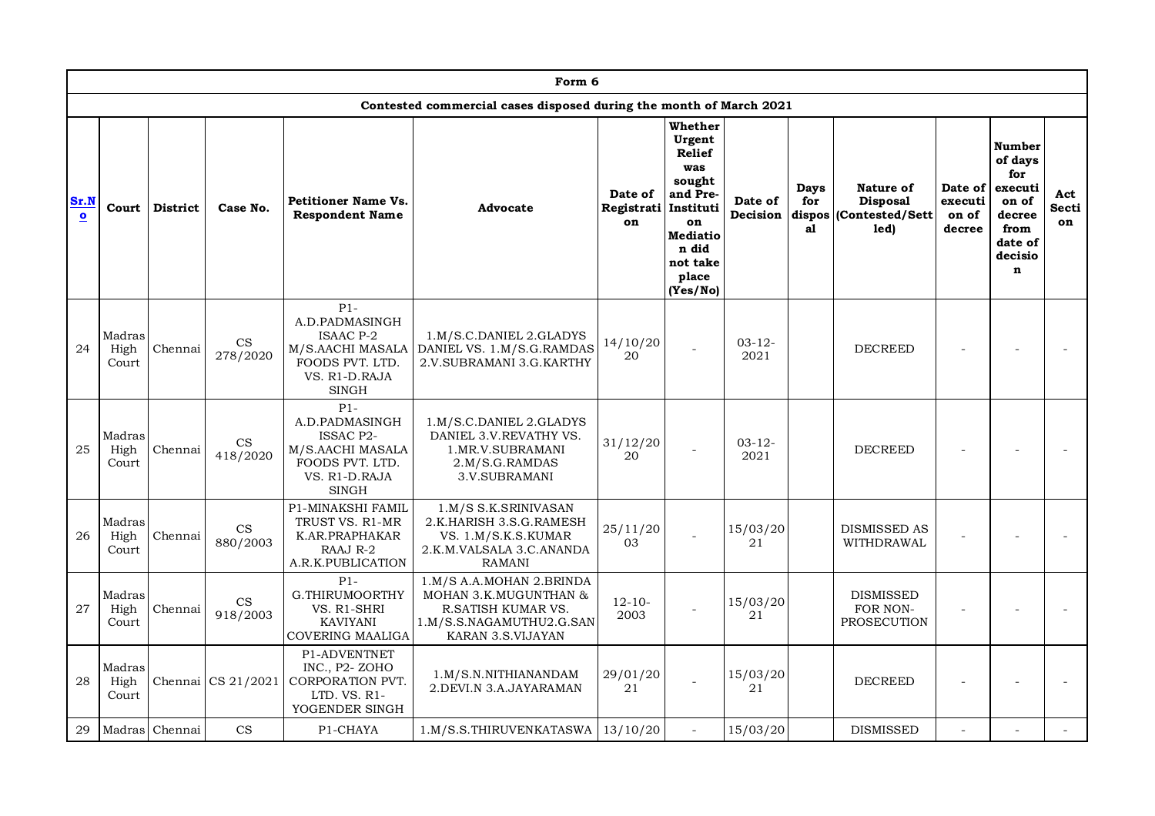|                                 |                         |                 |                                        |                                                                                                                     | Form 6                                                                                                                   |                                       |                                                                                                                                    |                     |                                    |                                                         |                                       |                                                                                                     |                    |
|---------------------------------|-------------------------|-----------------|----------------------------------------|---------------------------------------------------------------------------------------------------------------------|--------------------------------------------------------------------------------------------------------------------------|---------------------------------------|------------------------------------------------------------------------------------------------------------------------------------|---------------------|------------------------------------|---------------------------------------------------------|---------------------------------------|-----------------------------------------------------------------------------------------------------|--------------------|
|                                 |                         |                 |                                        |                                                                                                                     | Contested commercial cases disposed during the month of March 2021                                                       |                                       |                                                                                                                                    |                     |                                    |                                                         |                                       |                                                                                                     |                    |
| Sr.N<br>$\overline{\mathbf{o}}$ | Court                   | <b>District</b> | Case No.                               | <b>Petitioner Name Vs.</b><br><b>Respondent Name</b>                                                                | Advocate                                                                                                                 | Date of<br>Registrati Instituti<br>on | Whether<br>Urgent<br><b>Relief</b><br>was<br>sought<br>and Pre-<br>on<br><b>Mediatio</b><br>n did<br>not take<br>place<br>(Yes/No) | Date of<br>Decision | <b>Days</b><br>for<br>dispos<br>al | Nature of<br><b>Disposal</b><br>(Contested/Sett<br>led) | Date of<br>executi<br>on of<br>decree | Number<br>of days<br>for<br>executi<br>on of<br>decree<br>from<br>date of<br>decisio<br>$\mathbf n$ | Act<br>Secti<br>on |
| 24                              | Madras<br>High<br>Court | Chennai         | $_{\rm CS}$<br>278/2020                | $P1-$<br>A.D.PADMASINGH<br><b>ISAAC P-2</b><br>M/S.AACHI MASALA<br>FOODS PVT. LTD.<br>VS. R1-D.RAJA<br><b>SINGH</b> | 1.M/S.C.DANIEL 2.GLADYS<br>DANIEL VS. 1.M/S.G.RAMDAS<br>2.V.SUBRAMANI 3.G.KARTHY                                         | 14/10/20<br>20                        | $\overline{a}$                                                                                                                     | $03 - 12 -$<br>2021 |                                    | <b>DECREED</b>                                          |                                       |                                                                                                     |                    |
| 25                              | Madras<br>High<br>Court | Chennai         | $\mathop{\rm CS}\nolimits$<br>418/2020 | $P1-$<br>A.D.PADMASINGH<br><b>ISSAC P2-</b><br>M/S.AACHI MASALA<br>FOODS PVT. LTD.<br>VS. R1-D.RAJA<br><b>SINGH</b> | 1.M/S.C.DANIEL 2.GLADYS<br>DANIEL 3.V.REVATHY VS.<br>1.MR.V.SUBRAMANI<br>2.M/S.G.RAMDAS<br>3.V.SUBRAMANI                 | 31/12/20<br>20                        |                                                                                                                                    | $03 - 12 -$<br>2021 |                                    | <b>DECREED</b>                                          |                                       |                                                                                                     |                    |
| 26                              | Madras<br>High<br>Court | Chennai         | CS<br>880/2003                         | <b>P1-MINAKSHI FAMIL</b><br>TRUST VS. R1-MR<br>K.AR.PRAPHAKAR<br>RAAJ R-2<br>A.R.K.PUBLICATION                      | 1.M/S S.K.SRINIVASAN<br>2.K.HARISH 3.S.G.RAMESH<br>VS. 1.M/S.K.S.KUMAR<br>2.K.M.VALSALA 3.C.ANANDA<br><b>RAMANI</b>      | 25/11/20<br>03                        |                                                                                                                                    | 15/03/20<br>21      |                                    | <b>DISMISSED AS</b><br>WITHDRAWAL                       |                                       |                                                                                                     |                    |
| 27                              | Madras<br>High<br>Court | Chennai         | $\mathbf{CS}$<br>918/2003              | $P1-$<br>G.THIRUMOORTHY<br>VS. R1-SHRI<br><b>KAVIYANI</b><br>COVERING MAALIGA                                       | 1.M/S A.A.MOHAN 2.BRINDA<br>MOHAN 3.K.MUGUNTHAN &<br>R.SATISH KUMAR VS.<br>1.M/S.S.NAGAMUTHU2.G.SAN<br>KARAN 3.S.VIJAYAN | $12 - 10 -$<br>2003                   |                                                                                                                                    | 15/03/20<br>21      |                                    | <b>DISMISSED</b><br>FOR NON-<br>PROSECUTION             |                                       |                                                                                                     |                    |
| 28                              | Madras<br>High<br>Court | Chennai         | CS 21/2021                             | P1-ADVENTNET<br>INC., P2-ZOHO<br>CORPORATION PVT.<br>LTD. VS. R1-<br>YOGENDER SINGH                                 | 1.M/S.N.NITHIANANDAM<br>2.DEVI.N 3.A.JAYARAMAN                                                                           | 29/01/20<br>21                        |                                                                                                                                    | 15/03/20<br>21      |                                    | <b>DECREED</b>                                          |                                       |                                                                                                     |                    |
| 29                              | Madras                  | Chennai         | $\mathbf{CS}$                          | P1-CHAYA                                                                                                            | 1.M/S.S.THIRUVENKATASWA                                                                                                  | 13/10/20                              |                                                                                                                                    | 15/03/20            |                                    | <b>DISMISSED</b>                                        |                                       |                                                                                                     |                    |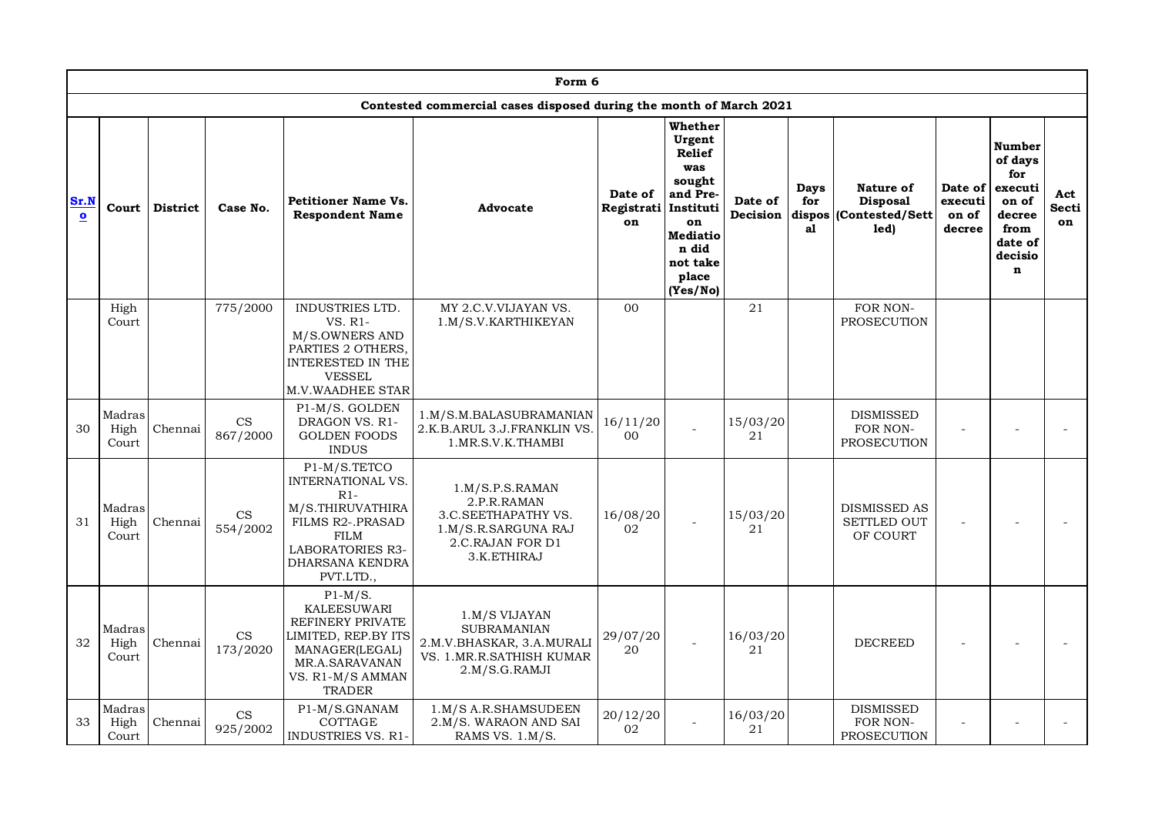|                   |                         |                 |                           |                                                                                                                                                                     | Form 6                                                                                                          |                             |                                                                                                                                                 |                     |                             |                                                         |                                       |                                                                                                     |                           |
|-------------------|-------------------------|-----------------|---------------------------|---------------------------------------------------------------------------------------------------------------------------------------------------------------------|-----------------------------------------------------------------------------------------------------------------|-----------------------------|-------------------------------------------------------------------------------------------------------------------------------------------------|---------------------|-----------------------------|---------------------------------------------------------|---------------------------------------|-----------------------------------------------------------------------------------------------------|---------------------------|
|                   |                         |                 |                           |                                                                                                                                                                     | Contested commercial cases disposed during the month of March 2021                                              |                             |                                                                                                                                                 |                     |                             |                                                         |                                       |                                                                                                     |                           |
| Sr.N<br>$\bullet$ | Court                   | <b>District</b> | Case No.                  | <b>Petitioner Name Vs.</b><br><b>Respondent Name</b>                                                                                                                | Advocate                                                                                                        | Date of<br>Registrati<br>on | Whether<br>Urgent<br><b>Relief</b><br>was<br>sought<br>and Pre-<br>Instituti<br>on<br><b>Mediatio</b><br>n did<br>not take<br>place<br>(Yes/No) | Date of<br>Decision | Days<br>for<br>dispos<br>al | Nature of<br><b>Disposal</b><br>(Contested/Sett<br>led) | Date of<br>executi<br>on of<br>decree | Number<br>of days<br>for<br>executi<br>on of<br>decree<br>from<br>date of<br>decisio<br>$\mathbf n$ | Act<br><b>Secti</b><br>on |
|                   | High<br>Court           |                 | 775/2000                  | INDUSTRIES LTD.<br>VS. R1-<br>M/S.OWNERS AND<br>PARTIES 2 OTHERS,<br>INTERESTED IN THE<br><b>VESSEL</b><br><b>M.V.WAADHEE STAR</b>                                  | MY 2.C.V.VIJAYAN VS.<br>1.M/S.V.KARTHIKEYAN                                                                     | 0 <sub>0</sub>              |                                                                                                                                                 | 21                  |                             | FOR NON-<br><b>PROSECUTION</b>                          |                                       |                                                                                                     |                           |
| 30                | Madras<br>High<br>Court | Chennai         | $\mathbf{CS}$<br>867/2000 | P1-M/S. GOLDEN<br>DRAGON VS. R1-<br><b>GOLDEN FOODS</b><br><b>INDUS</b>                                                                                             | 1.M/S.M.BALASUBRAMANIAN<br>2.K.B.ARUL 3.J.FRANKLIN VS.<br>1.MR.S.V.K.THAMBI                                     | 16/11/20<br>00              |                                                                                                                                                 | 15/03/20<br>21      |                             | <b>DISMISSED</b><br>FOR NON-<br>PROSECUTION             |                                       |                                                                                                     |                           |
| 31                | Madras<br>High<br>Court | Chennai         | CS<br>554/2002            | P1-M/S.TETCO<br><b>INTERNATIONAL VS.</b><br>$R1-$<br>M/S.THIRUVATHIRA<br>FILMS R2-.PRASAD<br><b>FILM</b><br><b>LABORATORIES R3-</b><br>DHARSANA KENDRA<br>PVT.LTD., | 1.M/S.P.S.RAMAN<br>2.P.R.RAMAN<br>3.C.SEETHAPATHY VS.<br>1.M/S.R.SARGUNA RAJ<br>2.C.RAJAN FOR D1<br>3.K.ETHIRAJ | 16/08/20<br>02              |                                                                                                                                                 | 15/03/20<br>21      |                             | <b>DISMISSED AS</b><br><b>SETTLED OUT</b><br>OF COURT   |                                       |                                                                                                     |                           |
| 32                | Madras<br>High<br>Court | Chennai         | CS<br>173/2020            | $P1-M/S.$<br><b>KALEESUWARI</b><br>REFINERY PRIVATE<br>LIMITED, REP.BY ITS<br>MANAGER(LEGAL)<br>MR.A.SARAVANAN<br>VS. R1-M/S AMMAN<br><b>TRADER</b>                 | 1.M/S VIJAYAN<br><b>SUBRAMANIAN</b><br>2.M.V.BHASKAR, 3.A.MURALI<br>VS. 1. MR.R. SATHISH KUMAR<br>2.M/S.G.RAMJI | 29/07/20<br>20              |                                                                                                                                                 | 16/03/20<br>21      |                             | <b>DECREED</b>                                          |                                       |                                                                                                     |                           |
| 33                | Madras<br>High<br>Court | Chennai         | CS<br>925/2002            | P1-M/S.GNANAM<br>COTTAGE<br><b>INDUSTRIES VS. R1-</b>                                                                                                               | 1.M/S A.R.SHAMSUDEEN<br>2.M/S. WARAON AND SAI<br>RAMS VS. 1.M/S.                                                | 20/12/20<br>02              |                                                                                                                                                 | 16/03/20<br>21      |                             | <b>DISMISSED</b><br>FOR NON-<br>PROSECUTION             |                                       |                                                                                                     |                           |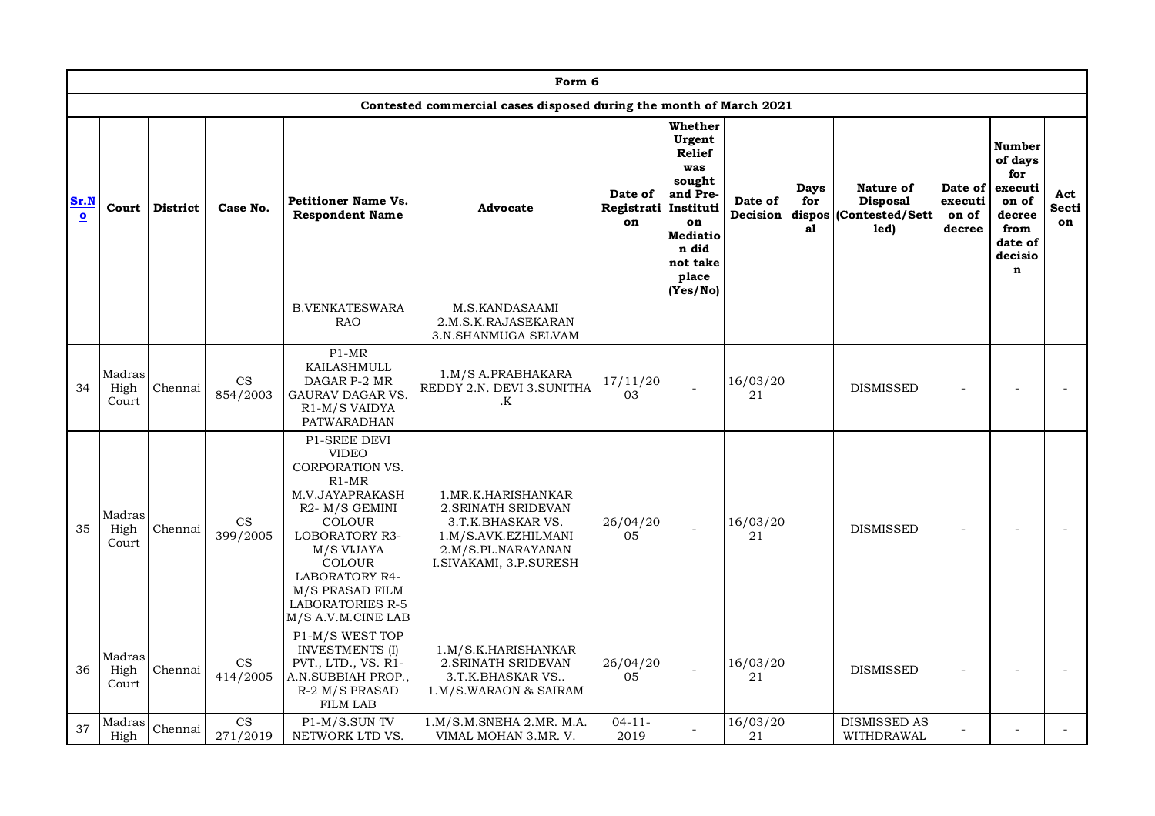|                            |                         |                 |                                        |                                                                                                                                                                                                                                                                                                  | Form 6                                                                                                                                    |                                       |                                                                                                                                    |                     |                                    |                                                                 |                                       |                                                                                                            |                    |
|----------------------------|-------------------------|-----------------|----------------------------------------|--------------------------------------------------------------------------------------------------------------------------------------------------------------------------------------------------------------------------------------------------------------------------------------------------|-------------------------------------------------------------------------------------------------------------------------------------------|---------------------------------------|------------------------------------------------------------------------------------------------------------------------------------|---------------------|------------------------------------|-----------------------------------------------------------------|---------------------------------------|------------------------------------------------------------------------------------------------------------|--------------------|
|                            |                         |                 |                                        |                                                                                                                                                                                                                                                                                                  | Contested commercial cases disposed during the month of March 2021                                                                        |                                       |                                                                                                                                    |                     |                                    |                                                                 |                                       |                                                                                                            |                    |
| $\bf Sr.N$<br>$\mathbf{o}$ | Court                   | <b>District</b> | Case No.                               | <b>Petitioner Name Vs.</b><br><b>Respondent Name</b>                                                                                                                                                                                                                                             | Advocate                                                                                                                                  | Date of<br>Registrati Instituti<br>on | Whether<br>Urgent<br><b>Relief</b><br>was<br>sought<br>and Pre-<br>on<br><b>Mediatio</b><br>n did<br>not take<br>place<br>(Yes/No) | Date of<br>Decision | <b>Days</b><br>for<br>dispos<br>a1 | <b>Nature of</b><br><b>Disposal</b><br>(Contested/Sett)<br>led) | Date of<br>executi<br>on of<br>decree | <b>Number</b><br>of days<br>for<br>executi<br>on of<br>decree<br>from<br>date of<br>decisio<br>$\mathbf n$ | Act<br>Secti<br>on |
|                            |                         |                 |                                        | <b>B.VENKATESWARA</b><br><b>RAO</b>                                                                                                                                                                                                                                                              | M.S.KANDASAAMI<br>2.M.S.K.RAJASEKARAN<br>3.N.SHANMUGA SELVAM                                                                              |                                       |                                                                                                                                    |                     |                                    |                                                                 |                                       |                                                                                                            |                    |
| 34                         | Madras<br>High<br>Court | Chennai         | $_{\rm CS}$<br>854/2003                | $P1-MR$<br>KAILASHMULL<br>DAGAR P-2 MR<br><b>GAURAV DAGAR VS</b><br>R <sub>1</sub> -M/S VAIDYA<br>PATWARADHAN                                                                                                                                                                                    | 1.M/S A.PRABHAKARA<br>REDDY 2.N. DEVI 3.SUNITHA<br>.K                                                                                     | 17/11/20<br>03                        |                                                                                                                                    | 16/03/20<br>21      |                                    | <b>DISMISSED</b>                                                |                                       |                                                                                                            |                    |
| 35                         | Madras<br>High<br>Court | Chennai         | CS<br>399/2005                         | <b>P1-SREE DEVI</b><br><b>VIDEO</b><br><b>CORPORATION VS.</b><br>$R1-MR$<br>M.V.JAYAPRAKASH<br>R <sub>2</sub> - M/S GEMINI<br><b>COLOUR</b><br><b>LOBORATORY R3-</b><br>M/S VIJAYA<br><b>COLOUR</b><br><b>LABORATORY R4-</b><br>M/S PRASAD FILM<br><b>LABORATORIES R-5</b><br>M/S A.V.M.CINE LAB | 1. MR.K. HARISHANKAR<br>2. SRINATH SRIDEVAN<br>3.T.K.BHASKAR VS.<br>1.M/S.AVK.EZHILMANI<br>2.M/S.PL.NARAYANAN<br>I. SIVAKAMI, 3.P. SURESH | 26/04/20<br>05                        |                                                                                                                                    | 16/03/20<br>21      |                                    | <b>DISMISSED</b>                                                |                                       |                                                                                                            |                    |
| 36                         | Madras<br>High<br>Court | Chennai         | $\mathop{\rm CS}\nolimits$<br>414/2005 | P1-M/S WEST TOP<br><b>INVESTMENTS (I)</b><br>PVT., LTD., VS. R1-<br>A.N.SUBBIAH PROP.,<br>R-2 M/S PRASAD<br><b>FILM LAB</b>                                                                                                                                                                      | 1.M/S.K.HARISHANKAR<br>2. SRINATH SRIDEVAN<br>3.T.K.BHASKAR VS<br>1.M/S.WARAON & SAIRAM                                                   | 26/04/20<br>05                        |                                                                                                                                    | 16/03/20<br>21      |                                    | <b>DISMISSED</b>                                                |                                       |                                                                                                            |                    |
| 37                         | Madras<br>High          | Chennai         | $\mathop{\rm CS}\nolimits$<br>271/2019 | P1-M/S.SUN TV<br>NETWORK LTD VS.                                                                                                                                                                                                                                                                 | 1.M/S.M.SNEHA 2.MR. M.A.<br>VIMAL MOHAN 3.MR. V.                                                                                          | $04 - 11 -$<br>2019                   |                                                                                                                                    | 16/03/20<br>21      |                                    | <b>DISMISSED AS</b><br>WITHDRAWAL                               |                                       |                                                                                                            |                    |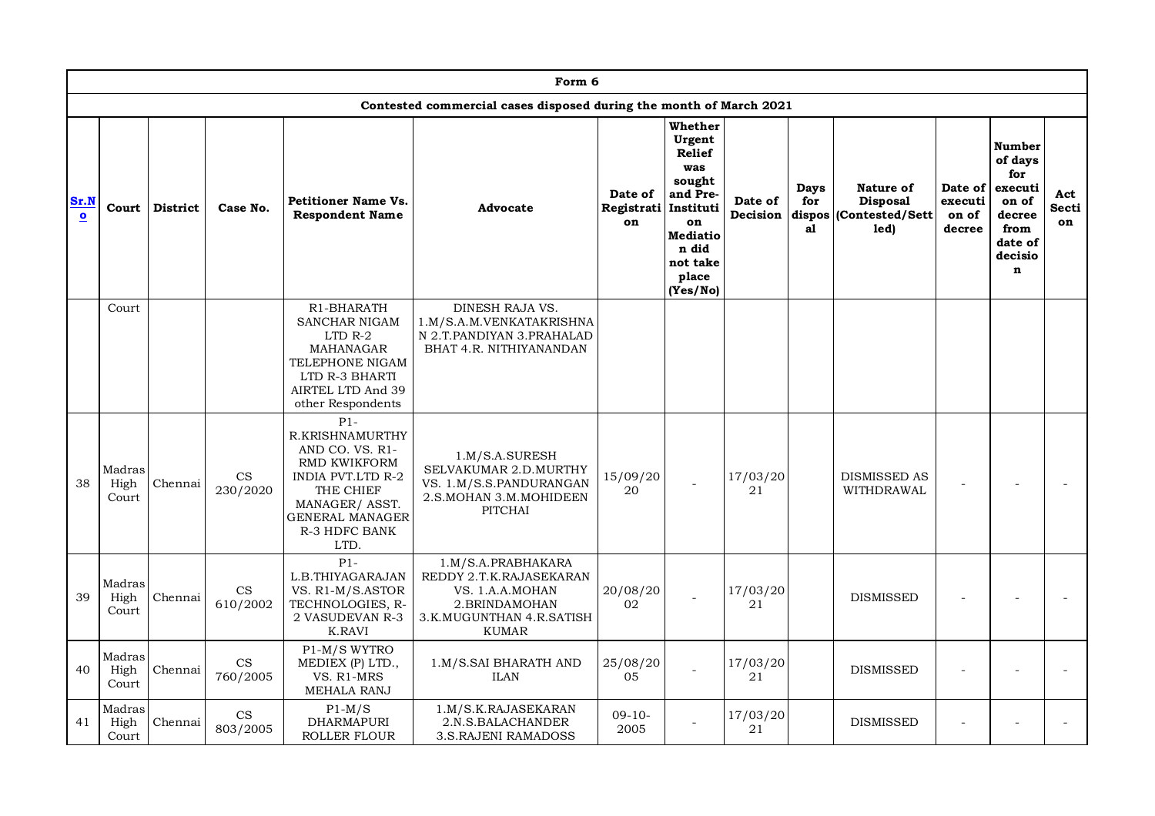|                      |                         |                 |                                        |                                                                                                                                                                   | Form 6                                                                                                                        |                             |                                                                                                                                   |                     |                   |                                                                |                                       |                                                                                                            |                    |
|----------------------|-------------------------|-----------------|----------------------------------------|-------------------------------------------------------------------------------------------------------------------------------------------------------------------|-------------------------------------------------------------------------------------------------------------------------------|-----------------------------|-----------------------------------------------------------------------------------------------------------------------------------|---------------------|-------------------|----------------------------------------------------------------|---------------------------------------|------------------------------------------------------------------------------------------------------------|--------------------|
|                      |                         |                 |                                        |                                                                                                                                                                   | Contested commercial cases disposed during the month of March 2021                                                            |                             |                                                                                                                                   |                     |                   |                                                                |                                       |                                                                                                            |                    |
| Sr.N<br>$\mathbf{o}$ | Court                   | <b>District</b> | Case No.                               | <b>Petitioner Name Vs.</b><br><b>Respondent Name</b>                                                                                                              | Advocate                                                                                                                      | Date of<br>Registrati<br>on | Whether<br>Urgent<br>Relief<br>was<br>sought<br>and Pre-<br>Instituti<br>on<br>Mediatio<br>n did<br>not take<br>place<br>(Yes/No) | Date of<br>Decision | Days<br>for<br>al | Nature of<br><b>Disposal</b><br>dispos (Contested/Sett<br>led) | Date of<br>executi<br>on of<br>decree | <b>Number</b><br>of days<br>for<br>executi<br>on of<br>decree<br>from<br>date of<br>decisio<br>$\mathbf n$ | Act<br>Secti<br>on |
|                      | Court                   |                 |                                        | R1-BHARATH<br>SANCHAR NIGAM<br>$LTD$ R-2<br>MAHANAGAR<br>TELEPHONE NIGAM<br>LTD R-3 BHARTI<br>AIRTEL LTD And 39<br>other Respondents                              | DINESH RAJA VS.<br>1.M/S.A.M.VENKATAKRISHNA<br>N 2.T.PANDIYAN 3.PRAHALAD<br>BHAT 4.R. NITHIYANANDAN                           |                             |                                                                                                                                   |                     |                   |                                                                |                                       |                                                                                                            |                    |
| 38                   | Madras<br>High<br>Court | Chennai         | $\mathop{\rm CS}\nolimits$<br>230/2020 | $P1-$<br>R.KRISHNAMURTHY<br>AND CO. VS. R1-<br>RMD KWIKFORM<br>INDIA PVT.LTD R-2<br>THE CHIEF<br>MANAGER/ASST.<br><b>GENERAL MANAGER</b><br>R-3 HDFC BANK<br>LTD. | 1.M/S.A.SURESH<br>SELVAKUMAR 2.D. MURTHY<br>VS. 1.M/S.S.PANDURANGAN<br>2.S.MOHAN 3.M.MOHIDEEN<br><b>PITCHAI</b>               | 15/09/20<br>20              |                                                                                                                                   | 17/03/20<br>21      |                   | <b>DISMISSED AS</b><br>WITHDRAWAL                              |                                       |                                                                                                            |                    |
| 39                   | Madras<br>High<br>Court | Chennai         | $\mathop{\rm CS}\nolimits$<br>610/2002 | $P1-$<br>L.B.THIYAGARAJAN<br>VS. R1-M/S.ASTOR<br>TECHNOLOGIES, R-<br>2 VASUDEVAN R-3<br>K.RAVI                                                                    | 1.M/S.A.PRABHAKARA<br>REDDY 2.T.K.RAJASEKARAN<br>VS. 1.A.A.MOHAN<br>2.BRINDAMOHAN<br>3.K.MUGUNTHAN 4.R.SATISH<br><b>KUMAR</b> | 20/08/20<br>02              |                                                                                                                                   | 17/03/20<br>21      |                   | <b>DISMISSED</b>                                               |                                       |                                                                                                            |                    |
| 40                   | Madras<br>High<br>Court | Chennai         | CS<br>760/2005                         | P1-M/S WYTRO<br>MEDIEX (P) LTD.,<br>VS. R1-MRS<br><b>MEHALA RANJ</b>                                                                                              | 1.M/S.SAI BHARATH AND<br><b>ILAN</b>                                                                                          | 25/08/20<br>05              |                                                                                                                                   | 17/03/20<br>21      |                   | <b>DISMISSED</b>                                               |                                       |                                                                                                            |                    |
| 41                   | Madras<br>High<br>Court | Chennai         | CS<br>803/2005                         | $P1-M/S$<br><b>DHARMAPURI</b><br>ROLLER FLOUR                                                                                                                     | 1.M/S.K.RAJASEKARAN<br>2.N.S.BALACHANDER<br>3.S.RAJENI RAMADOSS                                                               | $09-10-$<br>2005            |                                                                                                                                   | 17/03/20<br>21      |                   | <b>DISMISSED</b>                                               |                                       |                                                                                                            |                    |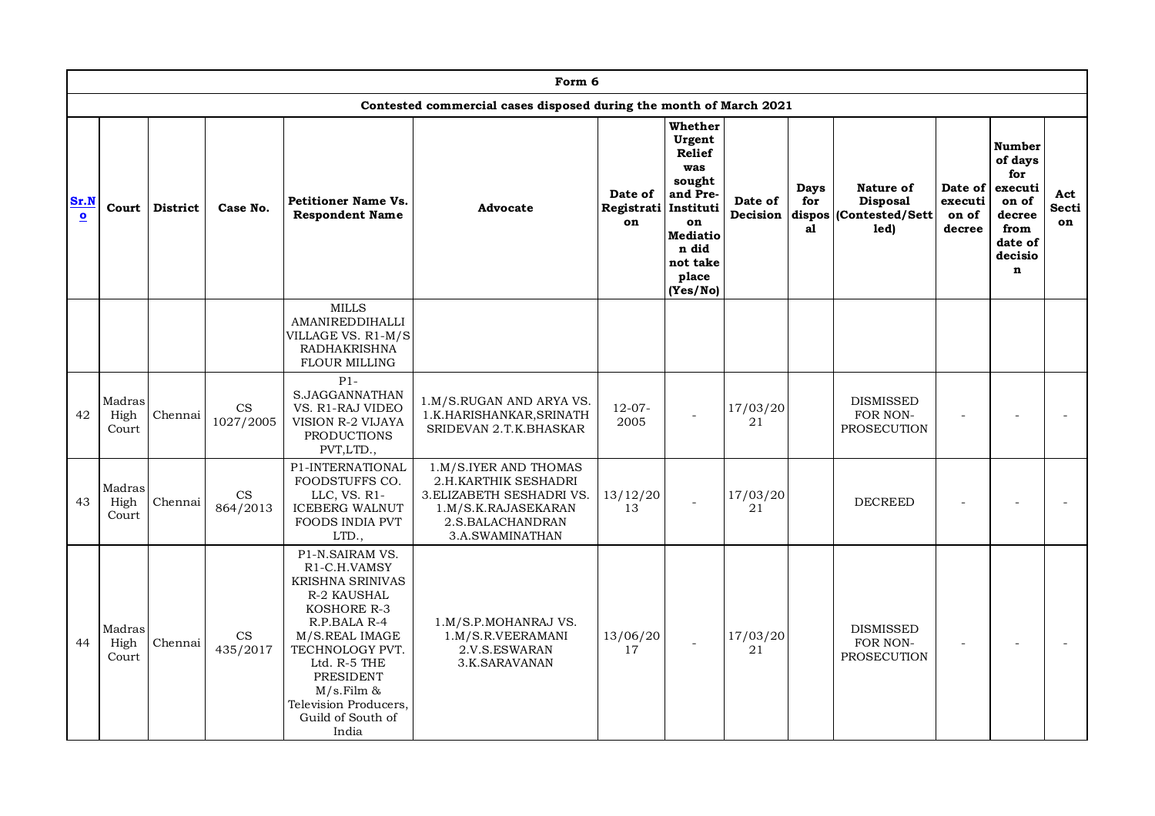|                                 |                         |                 |                                         |                                                                                                                                                                                                                                              | Form 6                                                                                                                                   |                                       |                                                                                                                             |                     |                                    |                                                         |                                       |                                                                                                     |                    |
|---------------------------------|-------------------------|-----------------|-----------------------------------------|----------------------------------------------------------------------------------------------------------------------------------------------------------------------------------------------------------------------------------------------|------------------------------------------------------------------------------------------------------------------------------------------|---------------------------------------|-----------------------------------------------------------------------------------------------------------------------------|---------------------|------------------------------------|---------------------------------------------------------|---------------------------------------|-----------------------------------------------------------------------------------------------------|--------------------|
|                                 |                         |                 |                                         |                                                                                                                                                                                                                                              | Contested commercial cases disposed during the month of March 2021                                                                       |                                       |                                                                                                                             |                     |                                    |                                                         |                                       |                                                                                                     |                    |
| Sr.N<br>$\overline{\mathbf{o}}$ | Court                   | <b>District</b> | Case No.                                | <b>Petitioner Name Vs.</b><br><b>Respondent Name</b>                                                                                                                                                                                         | Advocate                                                                                                                                 | Date of<br>Registrati Instituti<br>on | Whether<br>Urgent<br>Relief<br>was<br>sought<br>and Pre-<br>on<br><b>Mediatio</b><br>n did<br>not take<br>place<br>(Yes/No) | Date of<br>Decision | <b>Days</b><br>for<br>dispos<br>al | Nature of<br><b>Disposal</b><br>(Contested/Sett<br>led) | Date of<br>executi<br>on of<br>decree | Number<br>of days<br>for<br>executi<br>on of<br>decree<br>from<br>date of<br>decisio<br>$\mathbf n$ | Act<br>Secti<br>on |
|                                 |                         |                 |                                         | <b>MILLS</b><br>AMANIREDDIHALLI<br>VILLAGE VS. R1-M/S<br><b>RADHAKRISHNA</b><br><b>FLOUR MILLING</b>                                                                                                                                         |                                                                                                                                          |                                       |                                                                                                                             |                     |                                    |                                                         |                                       |                                                                                                     |                    |
| 42                              | Madras<br>High<br>Court | Chennai         | $\mathop{\rm CS}\nolimits$<br>1027/2005 | $P1 -$<br>S.JAGGANNATHAN<br>VS. R1-RAJ VIDEO<br><b>VISION R-2 VIJAYA</b><br>PRODUCTIONS<br>PVT,LTD.,                                                                                                                                         | 1.M/S.RUGAN AND ARYA VS.<br>1.K.HARISHANKAR, SRINATH<br>SRIDEVAN 2.T.K.BHASKAR                                                           | $12-07-$<br>2005                      |                                                                                                                             | 17/03/20<br>21      |                                    | <b>DISMISSED</b><br>FOR NON-<br>PROSECUTION             | $\overline{a}$                        |                                                                                                     |                    |
| 43                              | Madras<br>High<br>Court | Chennai         | $\mathop{\rm CS}\nolimits$<br>864/2013  | P1-INTERNATIONAL<br>FOODSTUFFS CO.<br>LLC, VS. R1-<br><b>ICEBERG WALNUT</b><br><b>FOODS INDIA PVT</b><br>LTD.,                                                                                                                               | 1.M/S.IYER AND THOMAS<br>2.H.KARTHIK SESHADRI<br>3. ELIZABETH SESHADRI VS.<br>1.M/S.K.RAJASEKARAN<br>2.S.BALACHANDRAN<br>3.A.SWAMINATHAN | 13/12/20<br>13                        |                                                                                                                             | 17/03/20<br>21      |                                    | <b>DECREED</b>                                          |                                       |                                                                                                     |                    |
| 44                              | Madras<br>High<br>Court | Chennai         | $\mathop{\rm CS}\nolimits$<br>435/2017  | P1-N.SAIRAM VS.<br>R1-C.H.VAMSY<br>KRISHNA SRINIVAS<br>R-2 KAUSHAL<br>KOSHORE R-3<br>R.P.BALA R-4<br>M/S.REAL IMAGE<br>TECHNOLOGY PVT.<br>Ltd. R-5 THE<br>PRESIDENT<br>$M/s$ . Film &<br>Television Producers,<br>Guild of South of<br>India | 1.M/S.P.MOHANRAJ VS.<br>1.M/S.R.VEERAMANI<br>2.V.S.ESWARAN<br>3.K.SARAVANAN                                                              | 13/06/20<br>17                        |                                                                                                                             | 17/03/20<br>21      |                                    | <b>DISMISSED</b><br>FOR NON-<br>PROSECUTION             | $\overline{a}$                        |                                                                                                     |                    |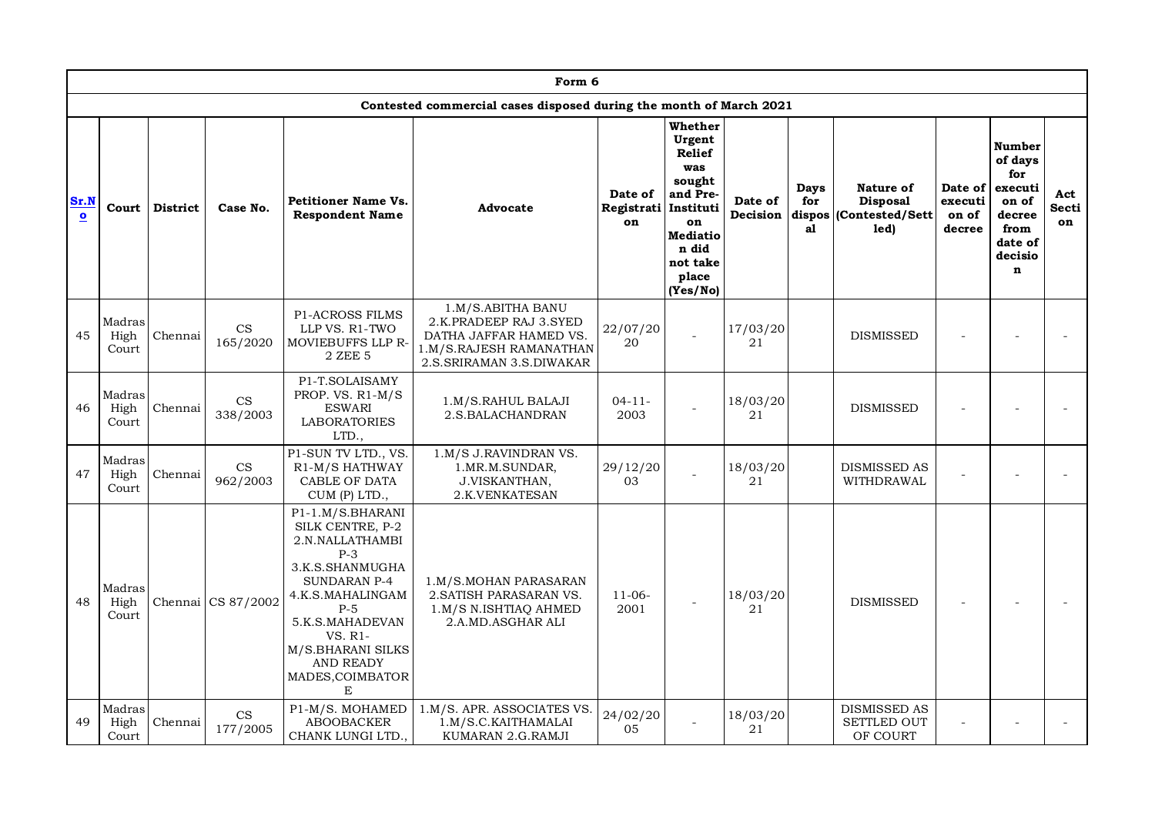|                      |                         |                 |                           |                                                                                                                                                                                                                                         | Form 6                                                                                                                         |                             |                                                                                                                                          |                     |                             |                                                         |                                       |                                                                                                     |                           |
|----------------------|-------------------------|-----------------|---------------------------|-----------------------------------------------------------------------------------------------------------------------------------------------------------------------------------------------------------------------------------------|--------------------------------------------------------------------------------------------------------------------------------|-----------------------------|------------------------------------------------------------------------------------------------------------------------------------------|---------------------|-----------------------------|---------------------------------------------------------|---------------------------------------|-----------------------------------------------------------------------------------------------------|---------------------------|
|                      |                         |                 |                           |                                                                                                                                                                                                                                         | Contested commercial cases disposed during the month of March 2021                                                             |                             |                                                                                                                                          |                     |                             |                                                         |                                       |                                                                                                     |                           |
| Sr.N<br>$\mathbf{o}$ | Court                   | <b>District</b> | Case No.                  | <b>Petitioner Name Vs.</b><br><b>Respondent Name</b>                                                                                                                                                                                    | Advocate                                                                                                                       | Date of<br>Registrati<br>on | Whether<br>Urgent<br>Relief<br>was<br>sought<br>and Pre-<br>Instituti<br>on<br><b>Mediatio</b><br>n did<br>not take<br>place<br>(Yes/No) | Date of<br>Decision | Days<br>for<br>dispos<br>al | Nature of<br><b>Disposal</b><br>(Contested/Sett<br>led) | Date of<br>executi<br>on of<br>decree | Number<br>of days<br>for<br>executi<br>on of<br>decree<br>from<br>date of<br>decisio<br>$\mathbf n$ | Act<br><b>Secti</b><br>on |
| 45                   | Madras<br>High<br>Court | Chennai         | $\mathbf{CS}$<br>165/2020 | P1-ACROSS FILMS<br>LLP VS. R1-TWO<br><b>MOVIEBUFFS LLP R-</b><br>2 ZEE 5                                                                                                                                                                | 1.M/S.ABITHA BANU<br>2.K.PRADEEP RAJ 3.SYED<br>DATHA JAFFAR HAMED VS.<br>1.M/S.RAJESH RAMANATHAN<br>2.S. SRIRAMAN 3.S. DIWAKAR | 22/07/20<br>20              |                                                                                                                                          | 17/03/20<br>21      |                             | <b>DISMISSED</b>                                        |                                       |                                                                                                     |                           |
| 46                   | Madras<br>High<br>Court | Chennai         | $\mathbf{CS}$<br>338/2003 | P1-T.SOLAISAMY<br>PROP. VS. R1-M/S<br><b>ESWARI</b><br><b>LABORATORIES</b><br>LTD.,                                                                                                                                                     | 1.M/S.RAHUL BALAJI<br>2.S.BALACHANDRAN                                                                                         | $04 - 11 -$<br>2003         |                                                                                                                                          | 18/03/20<br>21      |                             | <b>DISMISSED</b>                                        |                                       |                                                                                                     |                           |
| 47                   | Madras<br>High<br>Court | Chennai         | CS<br>962/2003            | P1-SUN TV LTD., VS<br>R <sub>1</sub> -M/S HATHWAY<br>CABLE OF DATA<br>CUM (P) LTD.,                                                                                                                                                     | 1.M/S J.RAVINDRAN VS.<br>1.MR.M.SUNDAR,<br>J.VISKANTHAN,<br>2.K.VENKATESAN                                                     | 29/12/20<br>03              |                                                                                                                                          | 18/03/20<br>21      |                             | <b>DISMISSED AS</b><br>WITHDRAWAL                       |                                       |                                                                                                     |                           |
| 48                   | Madras<br>High<br>Court |                 | Chennai CS 87/2002        | P1-1.M/S.BHARANI<br>SILK CENTRE, P-2<br>2.N.NALLATHAMBI<br>$P-3$<br>3.K.S.SHANMUGHA<br><b>SUNDARAN P-4</b><br>4.K.S.MAHALINGAM<br>$P-5$<br>5.K.S.MAHADEVAN<br>VS. R1-<br>M/S.BHARANI SILKS<br><b>AND READY</b><br>MADES, COIMBATOR<br>E | 1.M/S.MOHAN PARASARAN<br>2. SATISH PARASARAN VS.<br>1.M/S N.ISHTIAQ AHMED<br>2.A.MD.ASGHAR ALI                                 | $11-06-$<br>2001            |                                                                                                                                          | 18/03/20<br>21      |                             | <b>DISMISSED</b>                                        |                                       |                                                                                                     |                           |
| 49                   | Madras<br>High<br>Court | Chennai         | CS<br>177/2005            | P1-M/S. MOHAMED<br><b>ABOOBACKER</b><br>CHANK LUNGI LTD.,                                                                                                                                                                               | 1.M/S. APR. ASSOCIATES VS.<br>1.M/S.C.KAITHAMALAI<br>KUMARAN 2.G.RAMJI                                                         | 24/02/20<br>05              |                                                                                                                                          | 18/03/20<br>21      |                             | <b>DISMISSED AS</b><br><b>SETTLED OUT</b><br>OF COURT   |                                       |                                                                                                     |                           |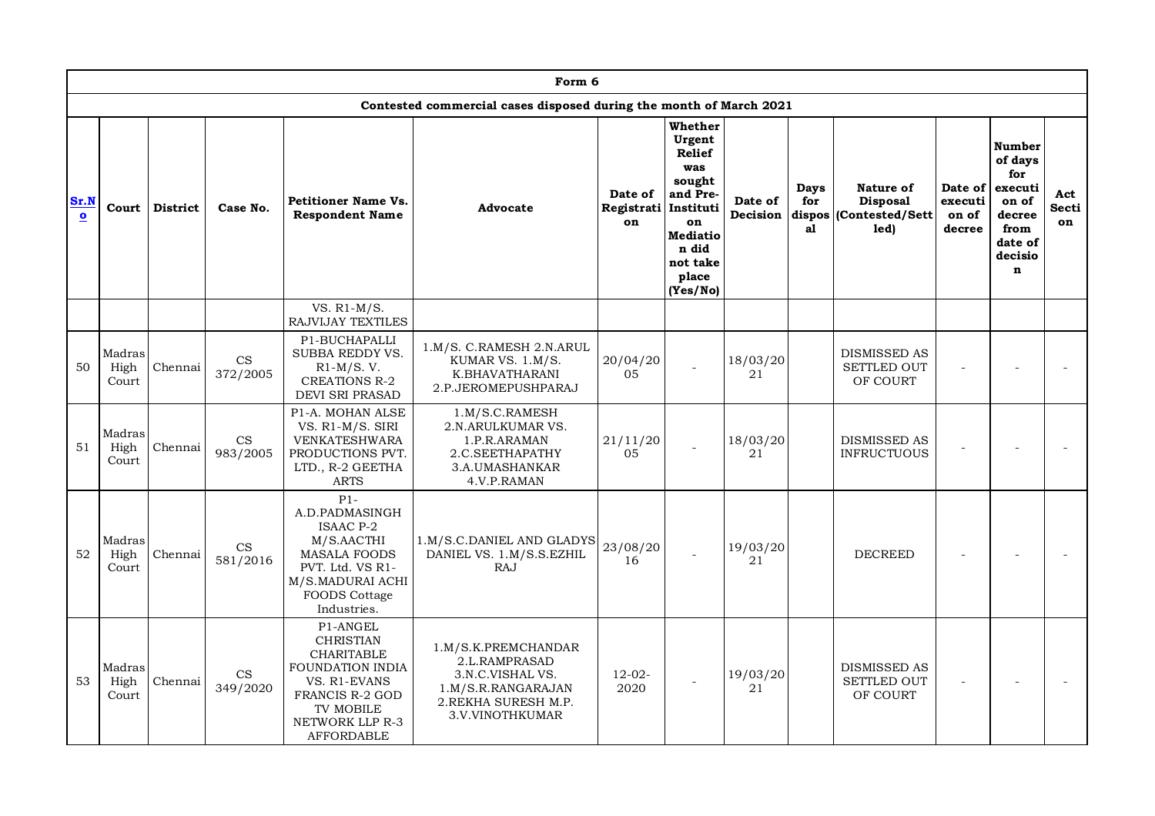|                      |                         |                 |                                        |                                                                                                                                                                             | Form 6                                                                                                                    |                                       |                                                                                                                                    |                     |                             |                                                          |                                       |                                                                                                            |                           |
|----------------------|-------------------------|-----------------|----------------------------------------|-----------------------------------------------------------------------------------------------------------------------------------------------------------------------------|---------------------------------------------------------------------------------------------------------------------------|---------------------------------------|------------------------------------------------------------------------------------------------------------------------------------|---------------------|-----------------------------|----------------------------------------------------------|---------------------------------------|------------------------------------------------------------------------------------------------------------|---------------------------|
|                      |                         |                 |                                        |                                                                                                                                                                             | Contested commercial cases disposed during the month of March 2021                                                        |                                       |                                                                                                                                    |                     |                             |                                                          |                                       |                                                                                                            |                           |
| Sr.N<br>$\mathbf{o}$ | Court                   | <b>District</b> | Case No.                               | <b>Petitioner Name Vs.</b><br><b>Respondent Name</b>                                                                                                                        | Advocate                                                                                                                  | Date of<br>Registrati Instituti<br>on | Whether<br>Urgent<br><b>Relief</b><br>was<br>sought<br>and Pre-<br>on<br><b>Mediatio</b><br>n did<br>not take<br>place<br>(Yes/No) | Date of<br>Decision | Days<br>for<br>dispos<br>al | Nature of<br><b>Disposal</b><br>(Contested/Sett)<br>led) | Date of<br>executi<br>on of<br>decree | <b>Number</b><br>of days<br>for<br>executi<br>on of<br>decree<br>from<br>date of<br>decisio<br>$\mathbf n$ | Act<br><b>Secti</b><br>on |
|                      |                         |                 |                                        | VS. $R1-M/S$ .<br>RAJVIJAY TEXTILES                                                                                                                                         |                                                                                                                           |                                       |                                                                                                                                    |                     |                             |                                                          |                                       |                                                                                                            |                           |
| 50                   | Madras<br>High<br>Court | Chennai         | $\mathop{\rm CS}\nolimits$<br>372/2005 | P1-BUCHAPALLI<br>SUBBA REDDY VS.<br>$R1-M/S.$ V.<br><b>CREATIONS R-2</b><br>DEVI SRI PRASAD                                                                                 | 1.M/S. C.RAMESH 2.N.ARUL<br>KUMAR VS. 1.M/S.<br>K.BHAVATHARANI<br>2.P.JEROMEPUSHPARAJ                                     | 20/04/20<br>05                        | $\overline{a}$                                                                                                                     | 18/03/20<br>21      |                             | <b>DISMISSED AS</b><br><b>SETTLED OUT</b><br>OF COURT    |                                       |                                                                                                            |                           |
| 51                   | Madras<br>High<br>Court | Chennai         | $\mathop{\rm CS}\nolimits$<br>983/2005 | P1-A. MOHAN ALSE<br>VS. R1-M/S. SIRI<br><b>VENKATESHWARA</b><br>PRODUCTIONS PVT.<br>LTD., R-2 GEETHA<br><b>ARTS</b>                                                         | 1.M/S.C.RAMESH<br>2.N.ARULKUMAR VS.<br>1.P.R.ARAMAN<br>2.C.SEETHAPATHY<br>3.A.UMASHANKAR<br>4.V.P.RAMAN                   | 21/11/20<br>05                        |                                                                                                                                    | 18/03/20<br>21      |                             | <b>DISMISSED AS</b><br><b>INFRUCTUOUS</b>                |                                       |                                                                                                            |                           |
| 52                   | Madras<br>High<br>Court | Chennai         | $\mathop{\rm CS}\nolimits$<br>581/2016 | $P1-$<br>A.D.PADMASINGH<br><b>ISAAC P-2</b><br>M/S.AACTHI<br><b>MASALA FOODS</b><br>PVT. Ltd. VS R1-<br>M/S.MADURAI ACHI<br><b>FOODS Cottage</b><br>Industries.             | 1.M/S.C.DANIEL AND GLADYS<br>DANIEL VS. 1.M/S.S.EZHIL<br><b>RAJ</b>                                                       | 23/08/20<br>16                        |                                                                                                                                    | 19/03/20<br>21      |                             | <b>DECREED</b>                                           |                                       |                                                                                                            |                           |
| 53                   | Madras<br>High<br>Court | Chennai         | CS<br>349/2020                         | P1-ANGEL<br><b>CHRISTIAN</b><br><b>CHARITABLE</b><br>FOUNDATION INDIA<br>VS. R1-EVANS<br><b>FRANCIS R-2 GOD</b><br><b>TV MOBILE</b><br>NETWORK LLP R-3<br><b>AFFORDABLE</b> | 1.M/S.K.PREMCHANDAR<br>2.L.RAMPRASAD<br>3.N.C.VISHAL VS.<br>1.M/S.R.RANGARAJAN<br>2. REKHA SURESH M.P.<br>3.V.VINOTHKUMAR | $12 - 02 -$<br>2020                   |                                                                                                                                    | 19/03/20<br>21      |                             | <b>DISMISSED AS</b><br><b>SETTLED OUT</b><br>OF COURT    |                                       |                                                                                                            |                           |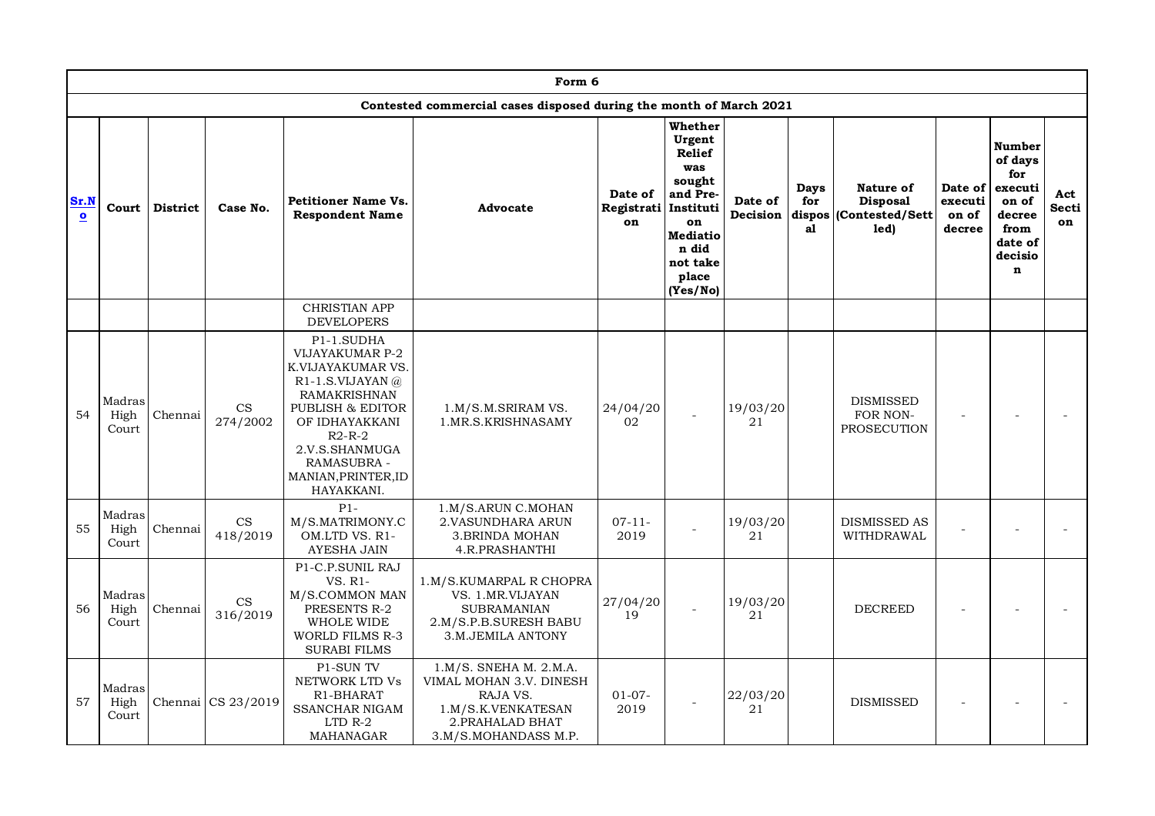|                                 |                         |                 |                                        |                                                                                                                                                                                                                               | Form 6                                                                                                                              |                             |                                                                                                                                          |                     |                   |                                                                |                                       |                                                                                                     |                           |
|---------------------------------|-------------------------|-----------------|----------------------------------------|-------------------------------------------------------------------------------------------------------------------------------------------------------------------------------------------------------------------------------|-------------------------------------------------------------------------------------------------------------------------------------|-----------------------------|------------------------------------------------------------------------------------------------------------------------------------------|---------------------|-------------------|----------------------------------------------------------------|---------------------------------------|-----------------------------------------------------------------------------------------------------|---------------------------|
|                                 |                         |                 |                                        |                                                                                                                                                                                                                               | Contested commercial cases disposed during the month of March 2021                                                                  |                             |                                                                                                                                          |                     |                   |                                                                |                                       |                                                                                                     |                           |
| Sr.N<br>$\overline{\mathbf{o}}$ | Court                   | <b>District</b> | Case No.                               | <b>Petitioner Name Vs.</b><br><b>Respondent Name</b>                                                                                                                                                                          | Advocate                                                                                                                            | Date of<br>Registrati<br>on | Whether<br>Urgent<br><b>Relief</b><br>was<br>sought<br>and Pre-<br>Instituti<br>on<br>Mediatio<br>n did<br>not take<br>place<br>(Yes/No) | Date of<br>Decision | Days<br>for<br>a1 | Nature of<br><b>Disposal</b><br>dispos (Contested/Sett<br>led) | Date of<br>executi<br>on of<br>decree | Number<br>of days<br>for<br>executi<br>on of<br>decree<br>from<br>date of<br>decisio<br>$\mathbf n$ | Act<br><b>Secti</b><br>on |
|                                 |                         |                 |                                        | <b>CHRISTIAN APP</b><br><b>DEVELOPERS</b>                                                                                                                                                                                     |                                                                                                                                     |                             |                                                                                                                                          |                     |                   |                                                                |                                       |                                                                                                     |                           |
| 54                              | Madras<br>High<br>Court | Chennai         | $\mathop{\rm CS}\nolimits$<br>274/2002 | P1-1.SUDHA<br>VIJAYAKUMAR P-2<br>K.VIJAYAKUMAR VS.<br>R <sub>1</sub> -1.S.VIJAYAN $@$<br>RAMAKRISHNAN<br>PUBLISH & EDITOR<br>OF IDHAYAKKANI<br>$R2-R-2$<br>2.V.S.SHANMUGA<br>RAMASUBRA -<br>MANIAN, PRINTER, ID<br>HAYAKKANI. | 1.M/S.M.SRIRAM VS.<br>1.MR.S.KRISHNASAMY                                                                                            | 24/04/20<br>02              |                                                                                                                                          | 19/03/20<br>21      |                   | <b>DISMISSED</b><br>FOR NON-<br>PROSECUTION                    |                                       |                                                                                                     |                           |
| 55                              | Madras<br>High<br>Court | Chennai         | $\mathop{\rm CS}\nolimits$<br>418/2019 | $P1-$<br>M/S.MATRIMONY.C<br>OM.LTD VS. R1-<br><b>AYESHA JAIN</b>                                                                                                                                                              | 1.M/S.ARUN C.MOHAN<br>2. VASUNDHARA ARUN<br>3. BRINDA MOHAN<br>4.R.PRASHANTHI                                                       | $07 - 11 -$<br>2019         |                                                                                                                                          | 19/03/20<br>21      |                   | <b>DISMISSED AS</b><br>WITHDRAWAL                              |                                       |                                                                                                     |                           |
| 56                              | Madras<br>High<br>Court | Chennai         | CS<br>316/2019                         | P1-C.P.SUNIL RAJ<br>VS. R1-<br>M/S.COMMON MAN<br>PRESENTS R-2<br>WHOLE WIDE<br>WORLD FILMS R-3<br><b>SURABI FILMS</b>                                                                                                         | 1.M/S.KUMARPAL R CHOPRA<br>VS. 1.MR.VIJAYAN<br><b>SUBRAMANIAN</b><br>2.M/S.P.B.SURESH BABU<br>3.M.JEMILA ANTONY                     | 27/04/20<br>19              |                                                                                                                                          | 19/03/20<br>21      |                   | <b>DECREED</b>                                                 |                                       |                                                                                                     |                           |
| 57                              | Madras<br>High<br>Court |                 | Chennai CS 23/2019                     | P1-SUN TV<br>NETWORK LTD Vs<br>R1-BHARAT<br><b>SSANCHAR NIGAM</b><br>LTD R-2<br>MAHANAGAR                                                                                                                                     | $1.M/S.$ SNEHA M. $2.M.A.$<br>VIMAL MOHAN 3.V. DINESH<br>RAJA VS.<br>1.M/S.K.VENKATESAN<br>2. PRAHALAD BHAT<br>3.M/S.MOHANDASS M.P. | $01-07-$<br>2019            |                                                                                                                                          | 22/03/20<br>21      |                   | <b>DISMISSED</b>                                               |                                       |                                                                                                     |                           |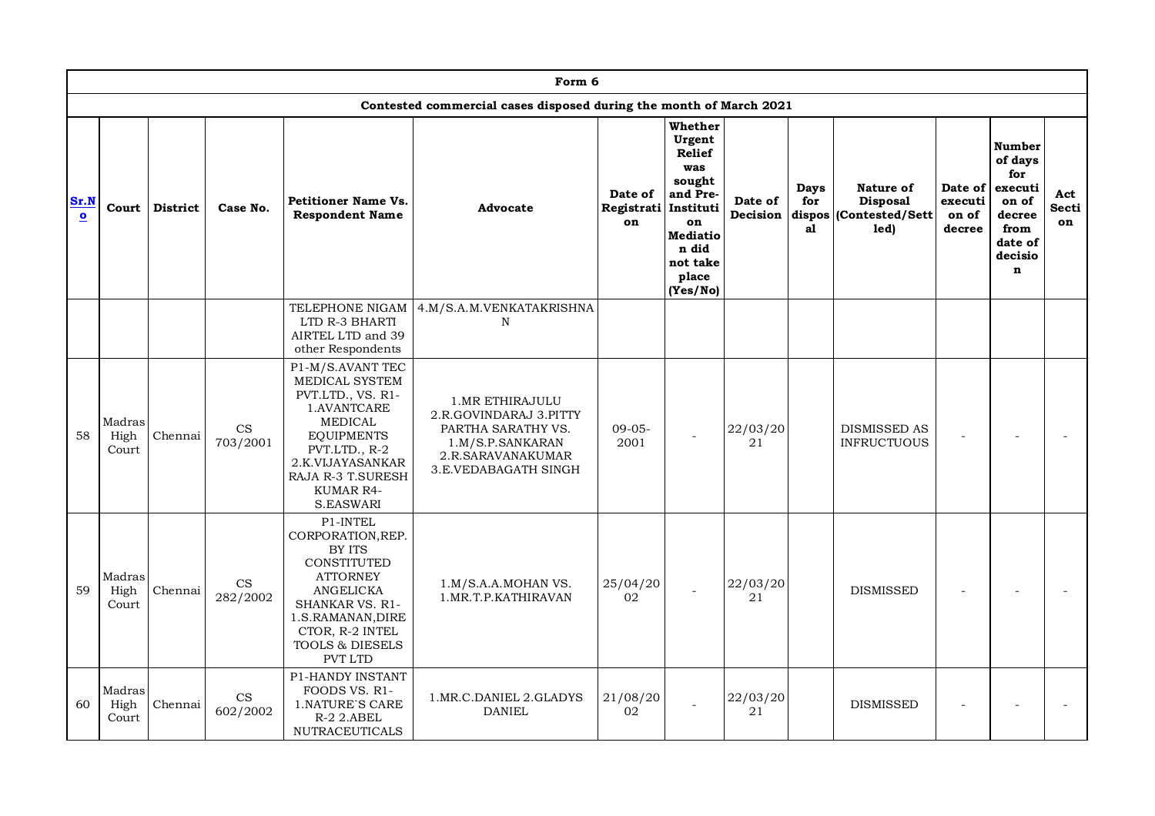|                                 |                         |                 |                                        |                                                                                                                                                                                                          | Form 6                                                                                                                           |                                       |                                                                                                                                    |                     |                                    |                                                          |                                       |                                                                                                     |                    |
|---------------------------------|-------------------------|-----------------|----------------------------------------|----------------------------------------------------------------------------------------------------------------------------------------------------------------------------------------------------------|----------------------------------------------------------------------------------------------------------------------------------|---------------------------------------|------------------------------------------------------------------------------------------------------------------------------------|---------------------|------------------------------------|----------------------------------------------------------|---------------------------------------|-----------------------------------------------------------------------------------------------------|--------------------|
|                                 |                         |                 |                                        |                                                                                                                                                                                                          | Contested commercial cases disposed during the month of March 2021                                                               |                                       |                                                                                                                                    |                     |                                    |                                                          |                                       |                                                                                                     |                    |
| Sr.N<br>$\overline{\mathbf{o}}$ | Court                   | <b>District</b> | Case No.                               | <b>Petitioner Name Vs.</b><br><b>Respondent Name</b>                                                                                                                                                     | Advocate                                                                                                                         | Date of<br>Registrati Instituti<br>on | Whether<br>Urgent<br><b>Relief</b><br>was<br>sought<br>and Pre-<br>on<br><b>Mediatio</b><br>n did<br>not take<br>place<br>(Yes/No) | Date of<br>Decision | <b>Days</b><br>for<br>dispos<br>al | Nature of<br><b>Disposal</b><br>(Contested/Sett)<br>led) | Date of<br>executi<br>on of<br>decree | Number<br>of days<br>for<br>executi<br>on of<br>decree<br>from<br>date of<br>decisio<br>$\mathbf n$ | Act<br>Secti<br>on |
|                                 |                         |                 |                                        | TELEPHONE NIGAM<br>LTD R-3 BHARTI<br>AIRTEL LTD and 39<br>other Respondents                                                                                                                              | 4.M/S.A.M.VENKATAKRISHNA<br>N                                                                                                    |                                       |                                                                                                                                    |                     |                                    |                                                          |                                       |                                                                                                     |                    |
| 58                              | Madras<br>High<br>Court | Chennai         | CS<br>703/2001                         | P1-M/S.AVANT TEC<br>MEDICAL SYSTEM<br>PVT.LTD., VS. R1-<br>1.AVANTCARE<br><b>MEDICAL</b><br><b>EQUIPMENTS</b><br>PVT.LTD., R-2<br>2.K.VIJAYASANKAR<br>RAJA R-3 T.SURESH<br>KUMAR R4-<br><b>S.EASWARI</b> | 1.MR ETHIRAJULU<br>2.R.GOVINDARAJ 3.PITTY<br>PARTHA SARATHY VS.<br>1.M/S.P.SANKARAN<br>2.R.SARAVANAKUMAR<br>3.E.VEDABAGATH SINGH | $09-05-$<br>2001                      |                                                                                                                                    | 22/03/20<br>21      |                                    | <b>DISMISSED AS</b><br><b>INFRUCTUOUS</b>                |                                       |                                                                                                     |                    |
| 59                              | Madras<br>High<br>Court | Chennai         | $\mathop{\rm CS}\nolimits$<br>282/2002 | P1-INTEL<br>CORPORATION, REP.<br>BY ITS<br>CONSTITUTED<br><b>ATTORNEY</b><br>ANGELICKA<br>SHANKAR VS. R1-<br>1.S.RAMANAN, DIRE<br>CTOR, R-2 INTEL<br>TOOLS & DIESELS<br><b>PVT LTD</b>                   | 1.M/S.A.A.MOHAN VS.<br>1. MR. T. P. KATHIRAVAN                                                                                   | 25/04/20<br>02                        |                                                                                                                                    | 22/03/20<br>21      |                                    | <b>DISMISSED</b>                                         |                                       |                                                                                                     |                    |
| 60                              | Madras<br>High<br>Court | Chennai         | $\mathbf{CS}$<br>602/2002              | P1-HANDY INSTANT<br>FOODS VS. R1-<br>1. NATURE'S CARE<br>R-2 2.ABEL<br><b>NUTRACEUTICALS</b>                                                                                                             | 1.MR.C.DANIEL 2.GLADYS<br><b>DANIEL</b>                                                                                          | 21/08/20<br>02                        |                                                                                                                                    | 22/03/20<br>21      |                                    | <b>DISMISSED</b>                                         |                                       |                                                                                                     |                    |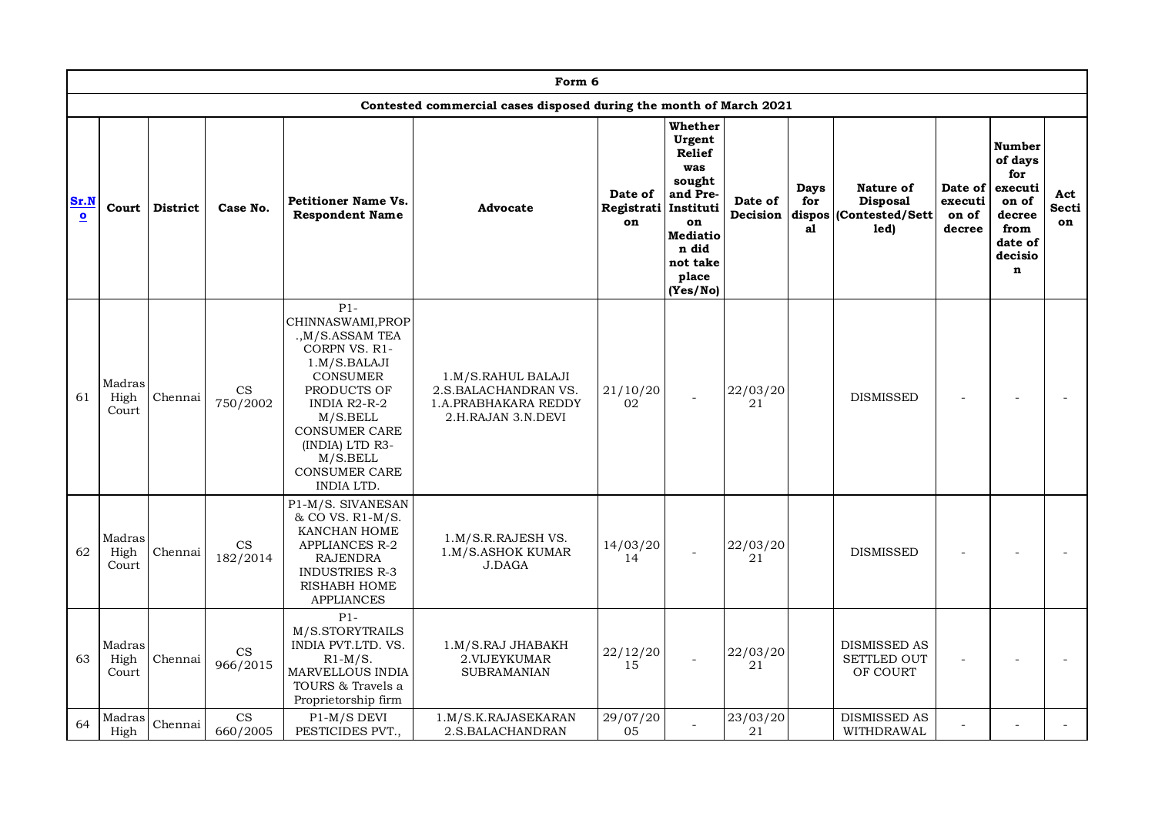|                   |                         |                 |                                        |                                                                                                                                                                                                                                            | Form 6                                                                                   |                                       |                                                                                                                                    |                     |                          |                                                                |                                       |                                                                                                     |                           |
|-------------------|-------------------------|-----------------|----------------------------------------|--------------------------------------------------------------------------------------------------------------------------------------------------------------------------------------------------------------------------------------------|------------------------------------------------------------------------------------------|---------------------------------------|------------------------------------------------------------------------------------------------------------------------------------|---------------------|--------------------------|----------------------------------------------------------------|---------------------------------------|-----------------------------------------------------------------------------------------------------|---------------------------|
|                   |                         |                 |                                        |                                                                                                                                                                                                                                            | Contested commercial cases disposed during the month of March 2021                       |                                       |                                                                                                                                    |                     |                          |                                                                |                                       |                                                                                                     |                           |
| Sr.N<br>$\bullet$ | Court                   | <b>District</b> | Case No.                               | <b>Petitioner Name Vs.</b><br><b>Respondent Name</b>                                                                                                                                                                                       | Advocate                                                                                 | Date of<br>Registrati Instituti<br>on | Whether<br>Urgent<br><b>Relief</b><br>was<br>sought<br>and Pre-<br>on<br><b>Mediatio</b><br>n did<br>not take<br>place<br>(Yes/No) | Date of<br>Decision | <b>Days</b><br>for<br>al | Nature of<br><b>Disposal</b><br>dispos (Contested/Sett<br>led) | Date of<br>executi<br>on of<br>decree | Number<br>of days<br>for<br>executi<br>on of<br>decree<br>from<br>date of<br>decisio<br>$\mathbf n$ | Act<br><b>Secti</b><br>on |
| 61                | Madras<br>High<br>Court | Chennai         | CS<br>750/2002                         | $P1-$<br>CHINNASWAMI, PROP<br>., M/S.ASSAM TEA<br>CORPN VS. R1-<br>1.M/S.BALAJI<br><b>CONSUMER</b><br>PRODUCTS OF<br>INDIA R2-R-2<br>M/S.BELL<br><b>CONSUMER CARE</b><br>(INDIA) LTD R3-<br>M/S.BELL<br><b>CONSUMER CARE</b><br>INDIA LTD. | 1.M/S.RAHUL BALAJI<br>2.S.BALACHANDRAN VS.<br>1.A.PRABHAKARA REDDY<br>2.H.RAJAN 3.N.DEVI | 21/10/20<br>02                        |                                                                                                                                    | 22/03/20<br>21      |                          | <b>DISMISSED</b>                                               |                                       |                                                                                                     |                           |
| 62                | Madras<br>High<br>Court | Chennai         | $\mathop{\rm CS}\nolimits$<br>182/2014 | P1-M/S. SIVANESAN<br>& CO VS. R1-M/S.<br>KANCHAN HOME<br><b>APPLIANCES R-2</b><br>RAJENDRA<br><b>INDUSTRIES R-3</b><br>RISHABH HOME<br>APPLIANCES                                                                                          | 1.M/S.R.RAJESH VS.<br>1.M/S.ASHOK KUMAR<br><b>J.DAGA</b>                                 | 14/03/20<br>14                        |                                                                                                                                    | 22/03/20<br>21      |                          | <b>DISMISSED</b>                                               |                                       |                                                                                                     |                           |
| 63                | Madras<br>High<br>Court | Chennai         | CS<br>966/2015                         | $P1-$<br>M/S.STORYTRAILS<br>INDIA PVT.LTD. VS.<br>$R1-M/S.$<br><b>MARVELLOUS INDIA</b><br>TOURS & Travels a<br>Proprietorship firm                                                                                                         | 1.M/S.RAJ JHABAKH<br>2.VIJEYKUMAR<br><b>SUBRAMANIAN</b>                                  | 22/12/20<br>15                        |                                                                                                                                    | 22/03/20<br>21      |                          | <b>DISMISSED AS</b><br><b>SETTLED OUT</b><br>OF COURT          |                                       |                                                                                                     |                           |
| 64                | Madras<br>High          | Chennai         | CS<br>660/2005                         | P1-M/S DEVI<br>PESTICIDES PVT.,                                                                                                                                                                                                            | 1.M/S.K.RAJASEKARAN<br>2.S.BALACHANDRAN                                                  | 29/07/20<br>05                        |                                                                                                                                    | 23/03/20<br>21      |                          | DISMISSED AS<br>WITHDRAWAL                                     |                                       |                                                                                                     |                           |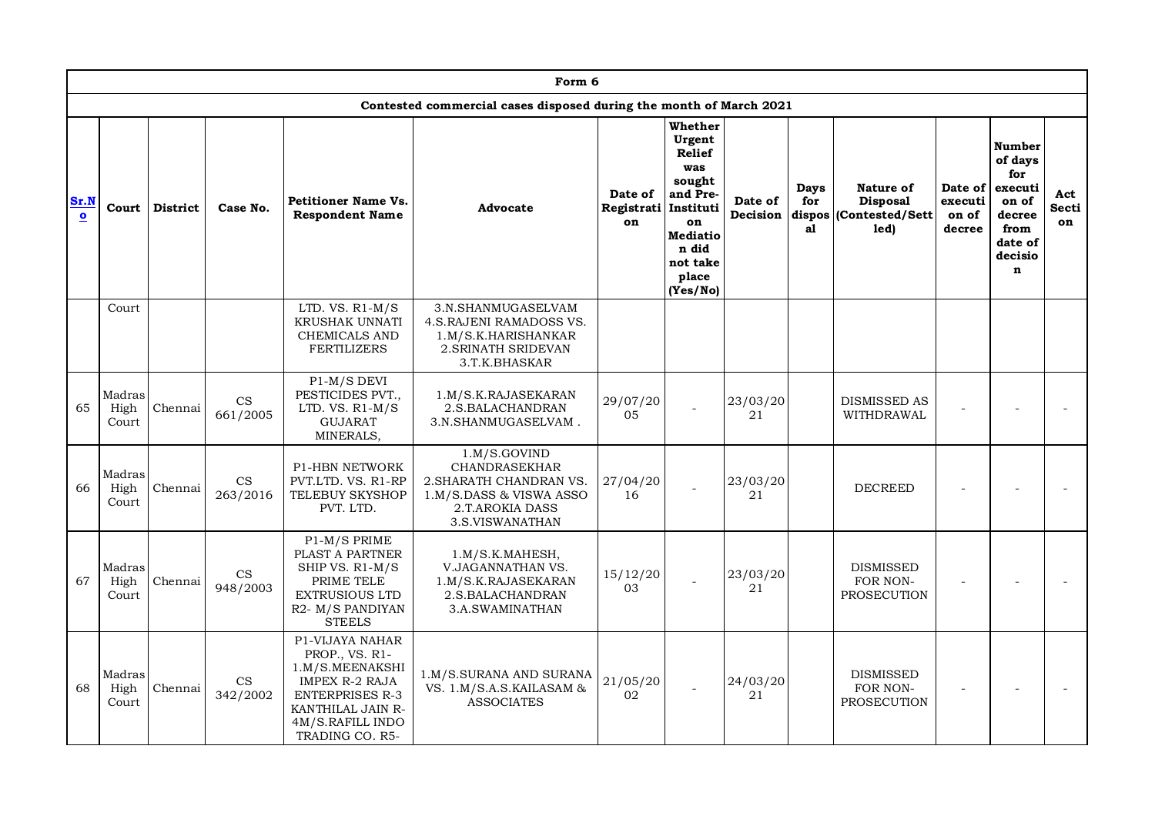|                                 |                         |                 |                                        |                                                                                                                                                              | Form 6                                                                                                                           |                             |                                                                                                                                                 |                     |                                    |                                                         |                                       |                                                                                                     |                           |
|---------------------------------|-------------------------|-----------------|----------------------------------------|--------------------------------------------------------------------------------------------------------------------------------------------------------------|----------------------------------------------------------------------------------------------------------------------------------|-----------------------------|-------------------------------------------------------------------------------------------------------------------------------------------------|---------------------|------------------------------------|---------------------------------------------------------|---------------------------------------|-----------------------------------------------------------------------------------------------------|---------------------------|
|                                 |                         |                 |                                        |                                                                                                                                                              | Contested commercial cases disposed during the month of March 2021                                                               |                             |                                                                                                                                                 |                     |                                    |                                                         |                                       |                                                                                                     |                           |
| Sr.N<br>$\overline{\mathbf{o}}$ | Court                   | <b>District</b> | Case No.                               | <b>Petitioner Name Vs.</b><br><b>Respondent Name</b>                                                                                                         | Advocate                                                                                                                         | Date of<br>Registrati<br>on | Whether<br>Urgent<br><b>Relief</b><br>was<br>sought<br>and Pre-<br>Instituti<br>on<br><b>Mediatio</b><br>n did<br>not take<br>place<br>(Yes/No) | Date of<br>Decision | <b>Days</b><br>for<br>dispos<br>al | Nature of<br><b>Disposal</b><br>(Contested/Sett<br>led) | Date of<br>executi<br>on of<br>decree | Number<br>of days<br>for<br>executi<br>on of<br>decree<br>from<br>date of<br>decisio<br>$\mathbf n$ | Act<br><b>Secti</b><br>on |
|                                 | Court                   |                 |                                        | LTD. VS. $R1-M/S$<br>KRUSHAK UNNATI<br>CHEMICALS AND<br>FERTILIZERS                                                                                          | 3.N.SHANMUGASELVAM<br>4.S. RAJENI RAMADOSS VS.<br>1.M/S.K.HARISHANKAR<br>2. SRINATH SRIDEVAN<br>3.T.K.BHASKAR                    |                             |                                                                                                                                                 |                     |                                    |                                                         |                                       |                                                                                                     |                           |
| 65                              | Madras<br>High<br>Court | Chennai         | $\mathbf{CS}$<br>661/2005              | P1-M/S DEVI<br>PESTICIDES PVT.,<br>LTD. VS. $R1-M/S$<br><b>GUJARAT</b><br>MINERALS,                                                                          | 1.M/S.K.RAJASEKARAN<br>2.S.BALACHANDRAN<br>3.N.SHANMUGASELVAM.                                                                   | 29/07/20<br>05              |                                                                                                                                                 | 23/03/20<br>21      |                                    | <b>DISMISSED AS</b><br>WITHDRAWAL                       |                                       |                                                                                                     |                           |
| 66                              | Madras<br>High<br>Court | Chennai         | $\mathop{\rm CS}\nolimits$<br>263/2016 | <b>P1-HBN NETWORK</b><br>PVT.LTD. VS. R1-RP<br><b>TELEBUY SKYSHOP</b><br>PVT. LTD.                                                                           | 1.M/S.GOVIND<br><b>CHANDRASEKHAR</b><br>2. SHARATH CHANDRAN VS.<br>1.M/S.DASS & VISWA ASSO<br>2.T.AROKIA DASS<br>3.S.VISWANATHAN | 27/04/20<br>16              |                                                                                                                                                 | 23/03/20<br>21      |                                    | <b>DECREED</b>                                          |                                       |                                                                                                     |                           |
| 67                              | Madras<br>High<br>Court | Chennai         | $\mathbf{CS}$<br>948/2003              | P1-M/S PRIME<br>PLAST A PARTNER<br>SHIP VS. R1-M/S<br>PRIME TELE<br>EXTRUSIOUS LTD<br>R2- M/S PANDIYAN<br><b>STEELS</b>                                      | 1.M/S.K.MAHESH,<br>V.JAGANNATHAN VS.<br>1.M/S.K.RAJASEKARAN<br>2.S.BALACHANDRAN<br>3.A.SWAMINATHAN                               | 15/12/20<br>03              |                                                                                                                                                 | 23/03/20<br>21      |                                    | <b>DISMISSED</b><br>FOR NON-<br>PROSECUTION             |                                       |                                                                                                     |                           |
| 68                              | Madras<br>High<br>Court | Chennai         | $\mathop{\rm CS}\nolimits$<br>342/2002 | P1-VIJAYA NAHAR<br>PROP., VS. R1-<br>1.M/S.MEENAKSHI<br>IMPEX R-2 RAJA<br><b>ENTERPRISES R-3</b><br>KANTHILAL JAIN R-<br>4M/S.RAFILL INDO<br>TRADING CO. R5- | 1.M/S.SURANA AND SURANA<br>VS. 1.M/S.A.S.KAILASAM &<br><b>ASSOCIATES</b>                                                         | 21/05/20<br>02              |                                                                                                                                                 | 24/03/20<br>21      |                                    | <b>DISMISSED</b><br>FOR NON-<br>PROSECUTION             |                                       |                                                                                                     |                           |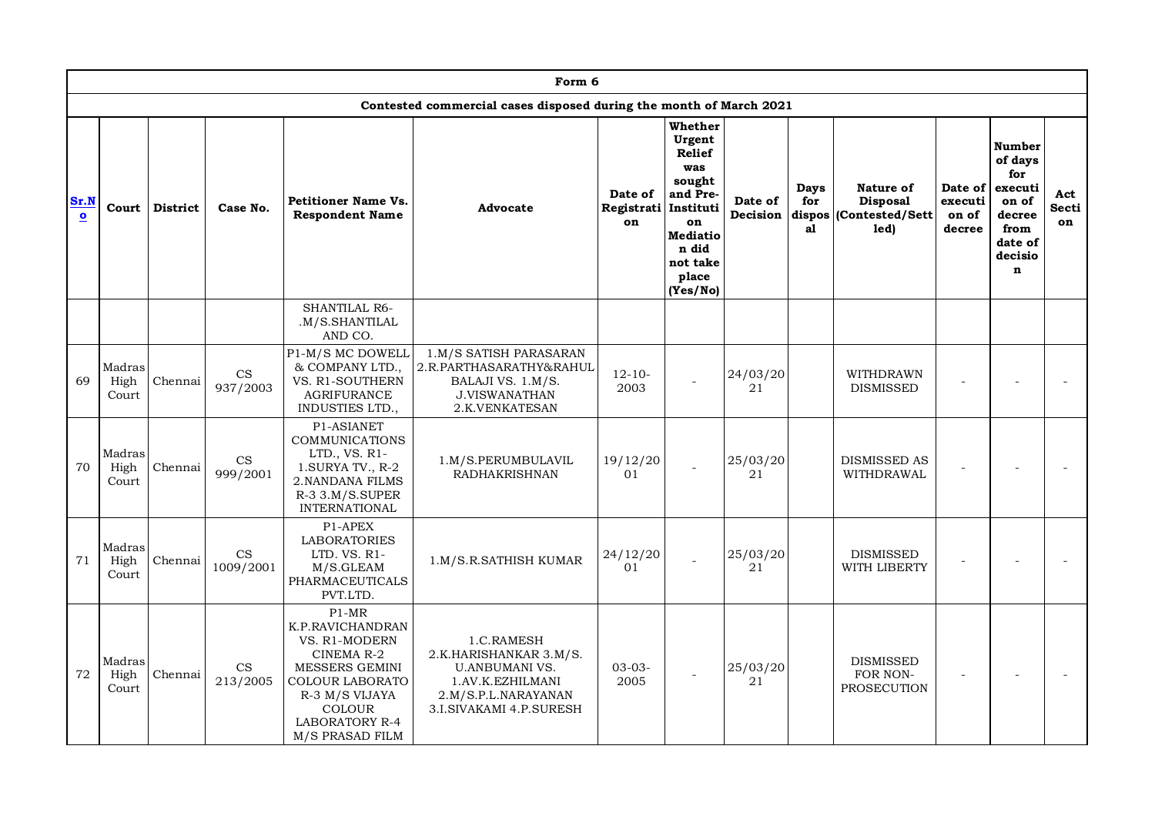|                      |                         |          |                                        |                                                                                                                                                                                 | Form 6                                                                                                                              |                             |                                                                                                                                          |                     |                   |                                                                |                                       |                                                                                                            |                    |
|----------------------|-------------------------|----------|----------------------------------------|---------------------------------------------------------------------------------------------------------------------------------------------------------------------------------|-------------------------------------------------------------------------------------------------------------------------------------|-----------------------------|------------------------------------------------------------------------------------------------------------------------------------------|---------------------|-------------------|----------------------------------------------------------------|---------------------------------------|------------------------------------------------------------------------------------------------------------|--------------------|
|                      |                         |          |                                        |                                                                                                                                                                                 | Contested commercial cases disposed during the month of March 2021                                                                  |                             |                                                                                                                                          |                     |                   |                                                                |                                       |                                                                                                            |                    |
| Sr.N<br>$\mathbf{o}$ | Court                   | District | Case No.                               | <b>Petitioner Name Vs.</b><br><b>Respondent Name</b>                                                                                                                            | <b>Advocate</b>                                                                                                                     | Date of<br>Registrati<br>on | Whether<br>Urgent<br>Relief<br>was<br>sought<br>and Pre-<br>Instituti<br>on<br><b>Mediatio</b><br>n did<br>not take<br>place<br>(Yes/No) | Date of<br>Decision | Days<br>for<br>a1 | Nature of<br><b>Disposal</b><br>dispos (Contested/Sett<br>led) | Date of<br>executi<br>on of<br>decree | <b>Number</b><br>of days<br>for<br>executi<br>on of<br>decree<br>from<br>date of<br>decisio<br>$\mathbf n$ | Act<br>Secti<br>on |
|                      |                         |          |                                        | SHANTILAL R6-<br>.M/S.SHANTILAL<br>AND CO.                                                                                                                                      |                                                                                                                                     |                             |                                                                                                                                          |                     |                   |                                                                |                                       |                                                                                                            |                    |
| 69                   | Madras<br>High<br>Court | Chennai  | $\mathop{\rm CS}\nolimits$<br>937/2003 | P1-M/S MC DOWELL<br>& COMPANY LTD.,<br>VS. R1-SOUTHERN<br><b>AGRIFURANCE</b><br>INDUSTIES LTD.,                                                                                 | 1.M/S SATISH PARASARAN<br>2.R.PARTHASARATHY&RAHUL<br>BALAJI VS. 1.M/S.<br><b>J.VISWANATHAN</b><br>2.K.VENKATESAN                    | $12 - 10 -$<br>2003         |                                                                                                                                          | 24/03/20<br>21      |                   | WITHDRAWN<br><b>DISMISSED</b>                                  |                                       |                                                                                                            |                    |
| 70                   | Madras<br>High<br>Court | Chennai  | CS<br>999/2001                         | P1-ASIANET<br>COMMUNICATIONS<br>LTD., VS. R1-<br>1.SURYA TV., R-2<br>2. NANDANA FILMS<br>$R-3$ 3.M/S.SUPER<br><b>INTERNATIONAL</b>                                              | 1.M/S.PERUMBULAVIL<br><b>RADHAKRISHNAN</b>                                                                                          | 19/12/20<br>01              |                                                                                                                                          | 25/03/20<br>21      |                   | <b>DISMISSED AS</b><br>WITHDRAWAL                              |                                       |                                                                                                            |                    |
| 71                   | Madras<br>High<br>Court | Chennai  | $\rm{CS}$<br>1009/2001                 | P1-APEX<br><b>LABORATORIES</b><br>LTD. VS. R1-<br>M/S.GLEAM<br>PHARMACEUTICALS<br>PVT.LTD.                                                                                      | 1.M/S.R.SATHISH KUMAR                                                                                                               | 24/12/20<br>01              |                                                                                                                                          | 25/03/20<br>21      |                   | <b>DISMISSED</b><br>WITH LIBERTY                               |                                       |                                                                                                            |                    |
| 72                   | Madras<br>High<br>Court | Chennai  | CS<br>213/2005                         | $P1-MR$<br>K.P. RAVICHANDRAN<br>VS. R1-MODERN<br>CINEMA R-2<br>MESSERS GEMINI<br>COLOUR LABORATO<br>R-3 M/S VIJAYA<br><b>COLOUR</b><br><b>LABORATORY R-4</b><br>M/S PRASAD FILM | 1.C.RAMESH<br>2.K.HARISHANKAR 3.M/S.<br><b>U.ANBUMANI VS.</b><br>1.AV.K.EZHILMANI<br>2.M/S.P.L.NARAYANAN<br>3.I.SIVAKAMI 4.P.SURESH | $03-03-$<br>2005            |                                                                                                                                          | 25/03/20<br>21      |                   | <b>DISMISSED</b><br>FOR NON-<br>PROSECUTION                    |                                       |                                                                                                            |                    |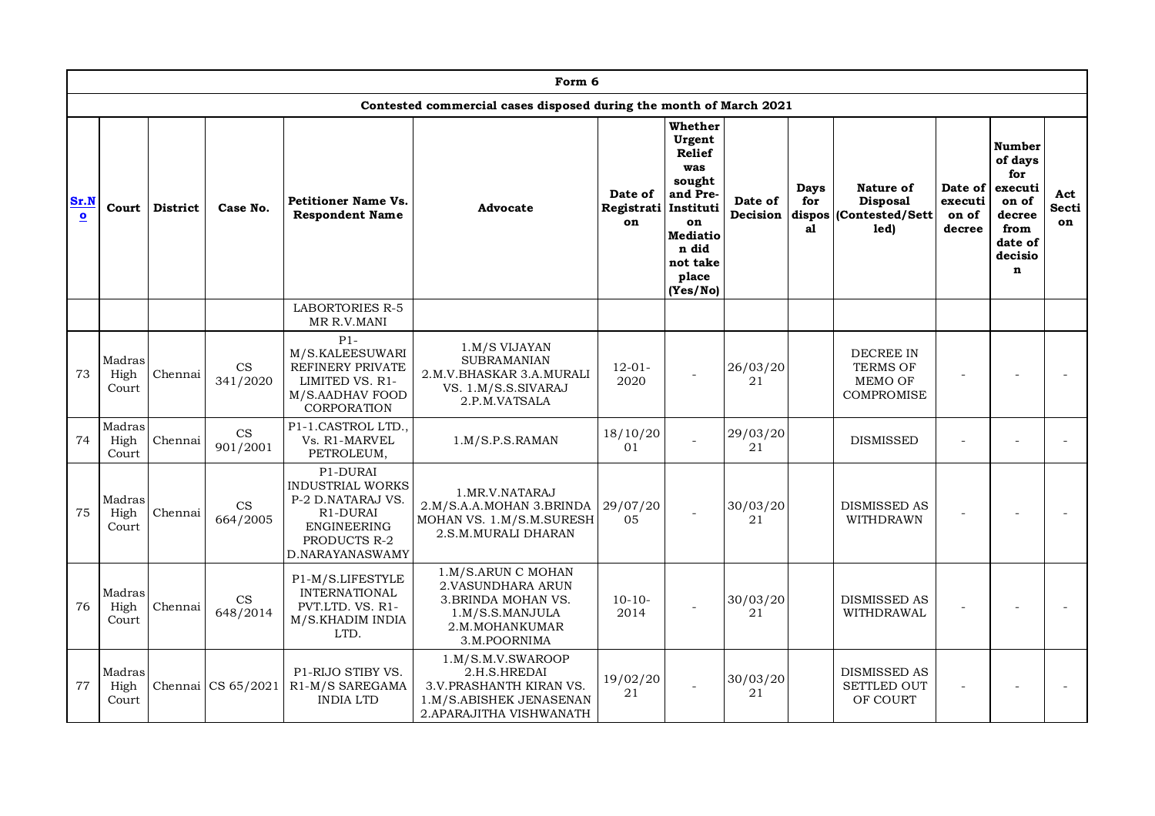|                      |                                                                               |                 |                      |                                                                                                                               | Form 6                                                                                                               |                             |                                                                                                                                      |                     |                   |                                                                     |                                       |                                                                                                            |                    |
|----------------------|-------------------------------------------------------------------------------|-----------------|----------------------|-------------------------------------------------------------------------------------------------------------------------------|----------------------------------------------------------------------------------------------------------------------|-----------------------------|--------------------------------------------------------------------------------------------------------------------------------------|---------------------|-------------------|---------------------------------------------------------------------|---------------------------------------|------------------------------------------------------------------------------------------------------------|--------------------|
|                      | Contested commercial cases disposed during the month of March 2021<br>Whether |                 |                      |                                                                                                                               |                                                                                                                      |                             |                                                                                                                                      |                     |                   |                                                                     |                                       |                                                                                                            |                    |
| Sr.N<br>$\mathbf{o}$ | Court                                                                         | <b>District</b> | Case No.             | <b>Petitioner Name Vs.</b><br><b>Respondent Name</b>                                                                          | Advocate                                                                                                             | Date of<br>Registrati<br>on | Urgent<br><b>Relief</b><br>was<br>sought<br>and Pre-<br>Instituti<br>on<br><b>Mediatio</b><br>n did<br>not take<br>place<br>(Yes/No) | Date of<br>Decision | Days<br>for<br>al | Nature of<br><b>Disposal</b><br>dispos (Contested/Sett)<br>led)     | Date of<br>executi<br>on of<br>decree | <b>Number</b><br>of days<br>for<br>executi<br>on of<br>decree<br>from<br>date of<br>decisio<br>$\mathbf n$ | Act<br>Secti<br>on |
|                      |                                                                               |                 |                      | <b>LABORTORIES R-5</b><br>MR R.V.MANI                                                                                         |                                                                                                                      |                             |                                                                                                                                      |                     |                   |                                                                     |                                       |                                                                                                            |                    |
| 73                   | Madras<br>High<br>Court                                                       | Chennai         | CS<br>341/2020       | $P1-$<br>M/S.KALEESUWARI<br><b>REFINERY PRIVATE</b><br>LIMITED VS. R1-<br>M/S.AADHAV FOOD<br>CORPORATION                      | 1.M/S VIJAYAN<br><b>SUBRAMANIAN</b><br>2.M.V.BHASKAR 3.A.MURALI<br>VS. 1.M/S.S.SIVARAJ<br>2.P.M.VATSALA              | $12 - 01 -$<br>2020         |                                                                                                                                      | 26/03/20<br>21      |                   | <b>DECREE IN</b><br><b>TERMS OF</b><br>MEMO OF<br><b>COMPROMISE</b> |                                       |                                                                                                            |                    |
| 74                   | Madras<br>High<br>Court                                                       | Chennai         | CS<br>901/2001       | P1-1.CASTROL LTD.<br>Vs. R1-MARVEL<br>PETROLEUM,                                                                              | 1.M/S.P.S.RAMAN                                                                                                      | 18/10/20<br>01              |                                                                                                                                      | 29/03/20<br>21      |                   | <b>DISMISSED</b>                                                    |                                       | $\overline{a}$                                                                                             |                    |
| 75                   | Madras<br>High<br>Court                                                       | Chennai         | CS<br>664/2005       | P1-DURAI<br><b>INDUSTRIAL WORKS</b><br>P-2 D.NATARAJ VS.<br>R1-DURAI<br><b>ENGINEERING</b><br>PRODUCTS R-2<br>D.NARAYANASWAMY | 1.MR.V.NATARAJ<br>2.M/S.A.A.MOHAN 3.BRINDA<br>MOHAN VS. 1.M/S.M.SURESH<br>2.S.M.MURALI DHARAN                        | 29/07/20<br>05              |                                                                                                                                      | 30/03/20<br>21      |                   | <b>DISMISSED AS</b><br>WITHDRAWN                                    |                                       |                                                                                                            |                    |
| 76                   | Madras<br>High<br>Court                                                       | Chennai         | CS<br>648/2014       | P1-M/S.LIFESTYLE<br><b>INTERNATIONAL</b><br>PVT.LTD. VS. R1-<br>M/S.KHADIM INDIA<br>LTD.                                      | 1.M/S.ARUN C MOHAN<br>2. VASUNDHARA ARUN<br>3. BRINDA MOHAN VS.<br>1.M/S.S.MANJULA<br>2.M.MOHANKUMAR<br>3.M.POORNIMA | $10-10-$<br>2014            |                                                                                                                                      | 30/03/20<br>21      |                   | <b>DISMISSED AS</b><br>WITHDRAWAL                                   |                                       |                                                                                                            |                    |
| 77                   | Madras<br>High<br>Court                                                       |                 | Chennai $CS 65/2021$ | P1-RIJO STIBY VS.<br>R1-M/S SAREGAMA<br><b>INDIA LTD</b>                                                                      | 1.M/S.M.V.SWAROOP<br>2.H.S.HREDAI<br>3.V.PRASHANTH KIRAN VS.<br>1.M/S.ABISHEK JENASENAN<br>2. APARAJITHA VISHWANATH  | 19/02/20<br>21              |                                                                                                                                      | 30/03/20<br>21      |                   | <b>DISMISSED AS</b><br><b>SETTLED OUT</b><br>OF COURT               |                                       |                                                                                                            |                    |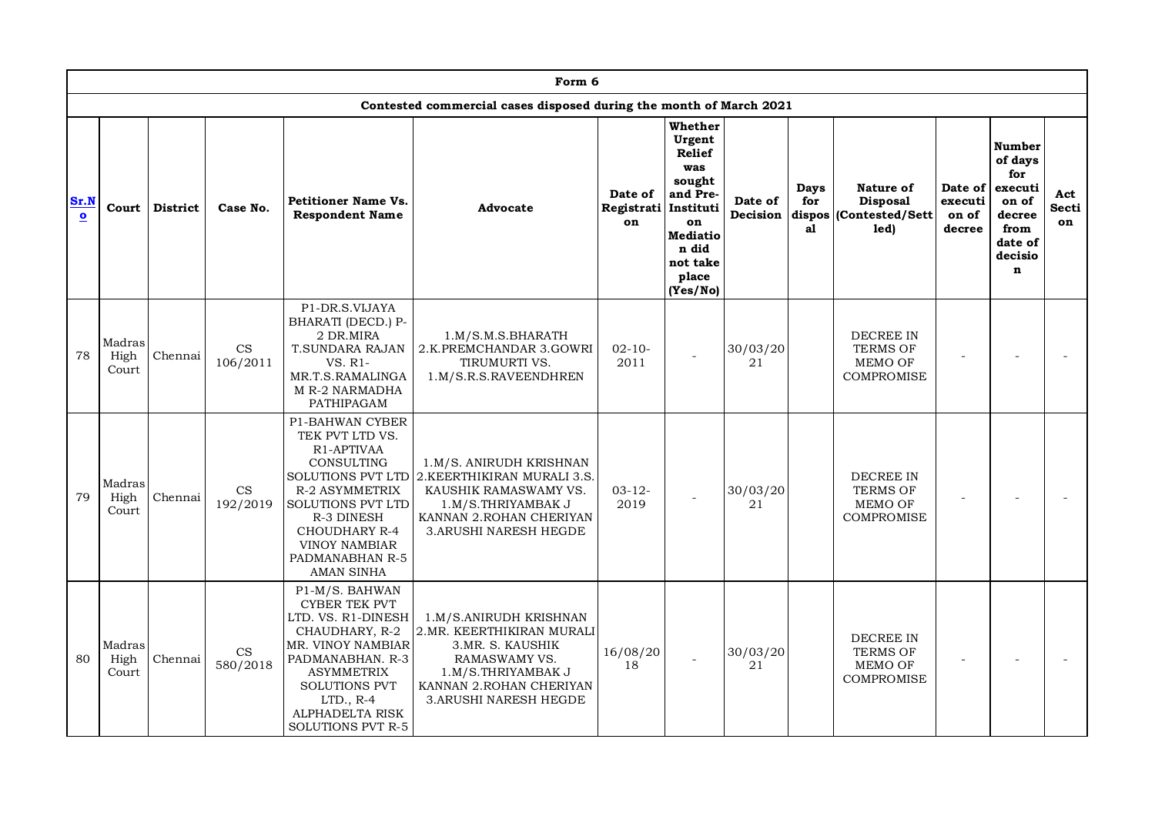|                   |                         |                 |                                        |                                                                                                                                                                                                                                  | Form 6                                                                                                                                                                     |                                       |                                                                                                                                    |                     |                             |                                                                            |                                       |                                                                                                            |                           |
|-------------------|-------------------------|-----------------|----------------------------------------|----------------------------------------------------------------------------------------------------------------------------------------------------------------------------------------------------------------------------------|----------------------------------------------------------------------------------------------------------------------------------------------------------------------------|---------------------------------------|------------------------------------------------------------------------------------------------------------------------------------|---------------------|-----------------------------|----------------------------------------------------------------------------|---------------------------------------|------------------------------------------------------------------------------------------------------------|---------------------------|
|                   |                         |                 |                                        |                                                                                                                                                                                                                                  | Contested commercial cases disposed during the month of March 2021                                                                                                         |                                       |                                                                                                                                    |                     |                             |                                                                            |                                       |                                                                                                            |                           |
| Sr.N<br>$\bullet$ | Court                   | <b>District</b> | Case No.                               | Petitioner Name Vs.<br><b>Respondent Name</b>                                                                                                                                                                                    | Advocate                                                                                                                                                                   | Date of<br>Registrati Instituti<br>on | Whether<br>Urgent<br><b>Relief</b><br>was<br>sought<br>and Pre-<br>on<br><b>Mediatio</b><br>n did<br>not take<br>place<br>(Yes/No) | Date of<br>Decision | Days<br>for<br>dispos<br>al | Nature of<br><b>Disposal</b><br>Contested/Sett<br>led)                     | Date of<br>executi<br>on of<br>decree | <b>Number</b><br>of days<br>for<br>executi<br>on of<br>decree<br>from<br>date of<br>decisio<br>$\mathbf n$ | Act<br><b>Secti</b><br>on |
| 78                | Madras<br>High<br>Court | Chennai         | $\mathop{\rm CS}\nolimits$<br>106/2011 | P1-DR.S.VIJAYA<br>BHARATI (DECD.) P-<br>2 DR.MIRA<br>T.SUNDARA RAJAN<br>VS. R1-<br>MR.T.S.RAMALINGA<br>M R-2 NARMADHA<br>PATHIPAGAM                                                                                              | 1.M/S.M.S.BHARATH<br>2.K.PREMCHANDAR 3.GOWRI<br>TIRUMURTI VS.<br>1.M/S.R.S.RAVEENDHREN                                                                                     | $02 - 10 -$<br>2011                   |                                                                                                                                    | 30/03/20<br>21      |                             | <b>DECREE IN</b><br><b>TERMS OF</b><br>MEMO OF<br><b>COMPROMISE</b>        |                                       |                                                                                                            |                           |
| 79                | Madras<br>High<br>Court | Chennai         | $\mathop{\rm CS}\nolimits$<br>192/2019 | P1-BAHWAN CYBER<br>TEK PVT LTD VS.<br>R1-APTIVAA<br>CONSULTING<br>SOLUTIONS PVT LTD<br><b>R-2 ASYMMETRIX</b><br>SOLUTIONS PVT LTD<br>R-3 DINESH<br><b>CHOUDHARY R-4</b><br><b>VINOY NAMBIAR</b><br>PADMANABHAN R-5<br>AMAN SINHA | 1.M/S. ANIRUDH KRISHNAN<br>2. KEERTHIKIRAN MURALI 3.S.<br>KAUSHIK RAMASWAMY VS.<br>1.M/S.THRIYAMBAK J<br>KANNAN 2.ROHAN CHERIYAN<br>3. ARUSHI NARESH HEGDE                 | $03 - 12 -$<br>2019                   |                                                                                                                                    | 30/03/20<br>21      |                             | DECREE IN<br><b>TERMS OF</b><br><b>MEMO OF</b><br><b>COMPROMISE</b>        |                                       |                                                                                                            |                           |
| 80                | Madras<br>High<br>Court | Chennai         | $\mathop{\rm CS}\nolimits$<br>580/2018 | P1-M/S. BAHWAN<br>CYBER TEK PVT<br>LTD. VS. R1-DINESH<br>CHAUDHARY, R-2<br>MR. VINOY NAMBIAR<br>PADMANABHAN. R-3<br><b>ASYMMETRIX</b><br>SOLUTIONS PVT<br>$LTD.$ , R-4<br>ALPHADELTA RISK<br>SOLUTIONS PVT R-5                   | 1.M/S.ANIRUDH KRISHNAN<br>2.MR. KEERTHIKIRAN MURALI<br>3.MR. S. KAUSHIK<br>RAMASWAMY VS.<br>1.M/S.THRIYAMBAK J<br>KANNAN 2.ROHAN CHERIYAN<br><b>3. ARUSHI NARESH HEGDE</b> | 16/08/20<br>18                        |                                                                                                                                    | 30/03/20<br>21      |                             | <b>DECREE IN</b><br><b>TERMS OF</b><br><b>MEMO OF</b><br><b>COMPROMISE</b> |                                       |                                                                                                            |                           |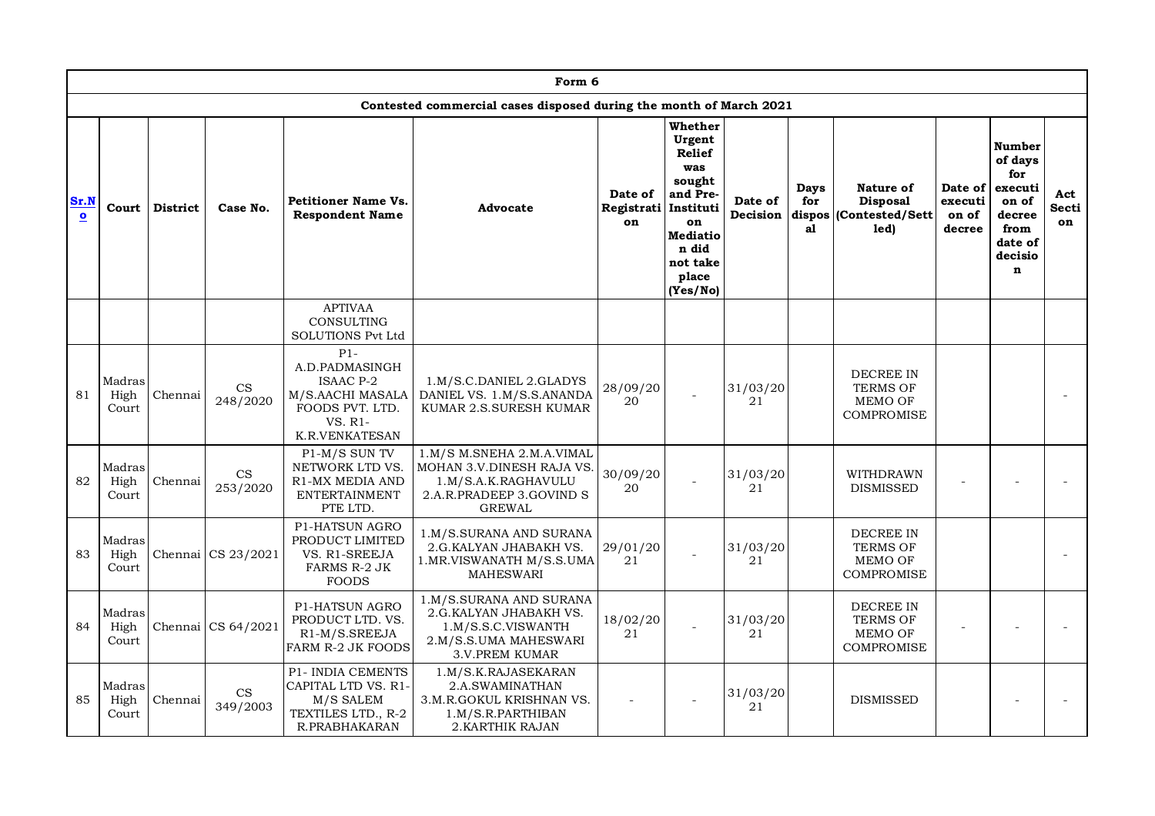|                      |                         |          |                                        |                                                                                                                 | Form 6                                                                                                                     |                                       |                                                                                                                                    |                     |                                    |                                                                            |                                       |                                                                                                            |                    |
|----------------------|-------------------------|----------|----------------------------------------|-----------------------------------------------------------------------------------------------------------------|----------------------------------------------------------------------------------------------------------------------------|---------------------------------------|------------------------------------------------------------------------------------------------------------------------------------|---------------------|------------------------------------|----------------------------------------------------------------------------|---------------------------------------|------------------------------------------------------------------------------------------------------------|--------------------|
|                      |                         |          |                                        |                                                                                                                 | Contested commercial cases disposed during the month of March 2021                                                         |                                       |                                                                                                                                    |                     |                                    |                                                                            |                                       |                                                                                                            |                    |
| Sr.N<br>$\mathbf{o}$ | Court                   | District | Case No.                               | <b>Petitioner Name Vs.</b><br><b>Respondent Name</b>                                                            | Advocate                                                                                                                   | Date of<br>Registrati Instituti<br>on | Whether<br>Urgent<br><b>Relief</b><br>was<br>sought<br>and Pre-<br>on<br><b>Mediatio</b><br>n did<br>not take<br>place<br>(Yes/No) | Date of<br>Decision | <b>Days</b><br>for<br>dispos<br>al | Nature of<br><b>Disposal</b><br>(Contested/Sett<br>led)                    | Date of<br>executi<br>on of<br>decree | <b>Number</b><br>of days<br>for<br>executi<br>on of<br>decree<br>from<br>date of<br>decisio<br>$\mathbf n$ | Act<br>Secti<br>on |
|                      |                         |          |                                        | <b>APTIVAA</b><br><b>CONSULTING</b><br><b>SOLUTIONS Pvt Ltd</b>                                                 |                                                                                                                            |                                       |                                                                                                                                    |                     |                                    |                                                                            |                                       |                                                                                                            |                    |
| 81                   | Madras<br>High<br>Court | Chennai  | $\mathop{\rm CS}\nolimits$<br>248/2020 | $P1-$<br>A.D.PADMASINGH<br><b>ISAAC P-2</b><br>M/S.AACHI MASALA<br>FOODS PVT. LTD.<br>VS. R1-<br>K.R.VENKATESAN | 1.M/S.C.DANIEL 2.GLADYS<br>DANIEL VS. 1.M/S.S.ANANDA<br>KUMAR 2.S.SURESH KUMAR                                             | 28/09/20<br>20                        |                                                                                                                                    | 31/03/20<br>21      |                                    | <b>DECREE IN</b><br><b>TERMS OF</b><br><b>MEMO OF</b><br><b>COMPROMISE</b> |                                       |                                                                                                            |                    |
| 82                   | Madras<br>High<br>Court | Chennai  | CS<br>253/2020                         | P1-M/S SUN TV<br>NETWORK LTD VS.<br>R1-MX MEDIA AND<br><b>ENTERTAINMENT</b><br>PTE LTD.                         | 1.M/S M.SNEHA 2.M.A.VIMAL<br>MOHAN 3.V.DINESH RAJA VS.<br>1.M/S.A.K.RAGHAVULU<br>2.A.R.PRADEEP 3.GOVIND S<br><b>GREWAL</b> | 30/09/20<br>20                        |                                                                                                                                    | 31/03/20<br>21      |                                    | WITHDRAWN<br><b>DISMISSED</b>                                              |                                       |                                                                                                            |                    |
| 83                   | Madras<br>High<br>Court | Chennai  | CS 23/2021                             | P1-HATSUN AGRO<br>PRODUCT LIMITED<br>VS. R1-SREEJA<br><b>FARMS R-2 JK</b><br><b>FOODS</b>                       | 1.M/S.SURANA AND SURANA<br>2.G.KALYAN JHABAKH VS.<br>1.MR.VISWANATH M/S.S.UMA<br><b>MAHESWARI</b>                          | 29/01/20<br>21                        |                                                                                                                                    | 31/03/20<br>21      |                                    | DECREE IN<br><b>TERMS OF</b><br><b>MEMO OF</b><br><b>COMPROMISE</b>        |                                       |                                                                                                            |                    |
| 84                   | Madras<br>High<br>Court | Chennai  | CS 64/2021                             | <b>P1-HATSUN AGRO</b><br>PRODUCT LTD. VS.<br>R1-M/S.SREEJA<br><b>FARM R-2 JK FOODS</b>                          | 1.M/S.SURANA AND SURANA<br>2.G. KALYAN JHABAKH VS.<br>1.M/S.S.C.VISWANTH<br>2.M/S.S.UMA MAHESWARI<br><b>3.V.PREM KUMAR</b> | 18/02/20<br>21                        |                                                                                                                                    | 31/03/20<br>21      |                                    | DECREE IN<br><b>TERMS OF</b><br><b>MEMO OF</b><br><b>COMPROMISE</b>        |                                       |                                                                                                            |                    |
| 85                   | Madras<br>High<br>Court | Chennai  | $\mathbf{CS}$<br>349/2003              | <b>P1- INDIA CEMENTS</b><br>CAPITAL LTD VS. R1-<br>M/S SALEM<br>TEXTILES LTD., R-2<br>R.PRABHAKARAN             | 1.M/S.K.RAJASEKARAN<br>2.A.SWAMINATHAN<br>3.M.R.GOKUL KRISHNAN VS.<br>1.M/S.R.PARTHIBAN<br>2. KARTHIK RAJAN                |                                       |                                                                                                                                    | 31/03/20<br>21      |                                    | <b>DISMISSED</b>                                                           |                                       |                                                                                                            |                    |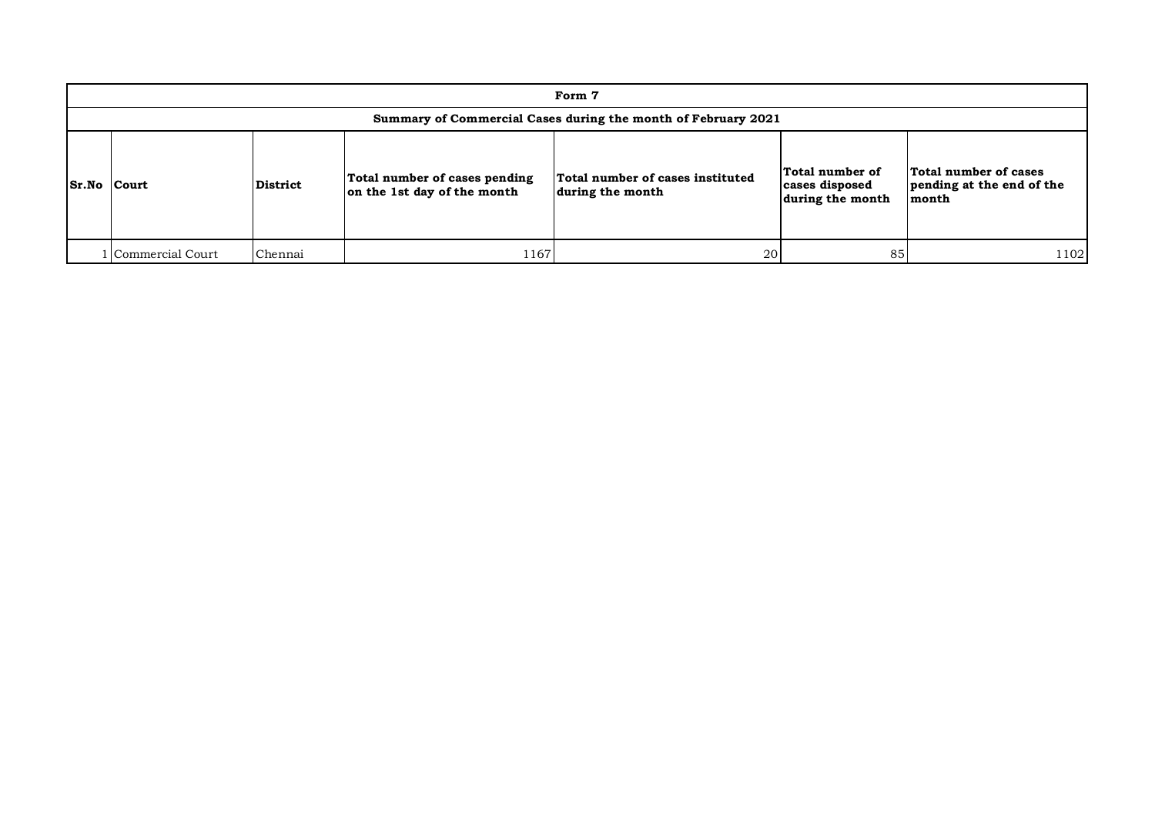|             |                  |          |                                                              | Form 7                                                        |                                                       |                                                             |
|-------------|------------------|----------|--------------------------------------------------------------|---------------------------------------------------------------|-------------------------------------------------------|-------------------------------------------------------------|
|             |                  |          |                                                              | Summary of Commercial Cases during the month of February 2021 |                                                       |                                                             |
| Sr.No Court |                  | District | Total number of cases pending<br>on the 1st day of the month | Total number of cases instituted<br>during the month          | Total number of<br>cases disposed<br>during the month | Total number of cases<br>pending at the end of the<br>month |
|             | Commercial Court | Chennai  | 1167                                                         | 20                                                            | 85                                                    | 1102                                                        |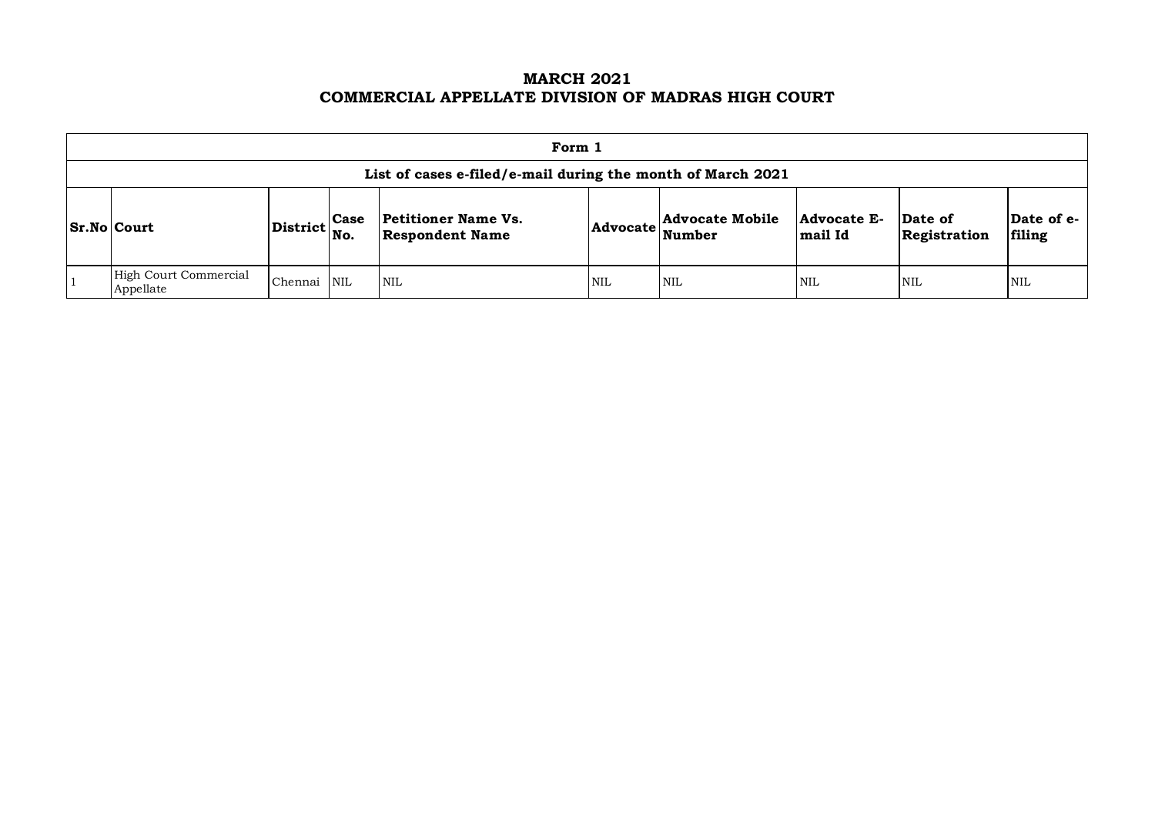### **MARCH 2021 COMMERCIAL APPELLATE DIVISION OF MADRAS HIGH COURT**

| Form 1                                                                                                                                                                                                                             |  |  |  |  |  |  |  |  |  |  |  |
|------------------------------------------------------------------------------------------------------------------------------------------------------------------------------------------------------------------------------------|--|--|--|--|--|--|--|--|--|--|--|
| List of cases e-filed/e-mail during the month of March 2021                                                                                                                                                                        |  |  |  |  |  |  |  |  |  |  |  |
| Advocate Mobile<br>Date of e-<br><b>Petitioner Name Vs.</b><br>Advocate E-<br>Date of<br>Case<br><b>Sr.No Court</b><br>District<br><b>Advocate</b><br>Number<br><b>Respondent Name</b><br>mail Id<br>filing<br>Registration<br>No. |  |  |  |  |  |  |  |  |  |  |  |
| High Court Commercial<br>Chennai<br><b>NIL</b><br>$\overline{\text{NIL}}$<br><b>NIL</b><br><b>NIL</b><br><b>NIL</b><br>NIL<br><b>NIL</b><br>Appellate                                                                              |  |  |  |  |  |  |  |  |  |  |  |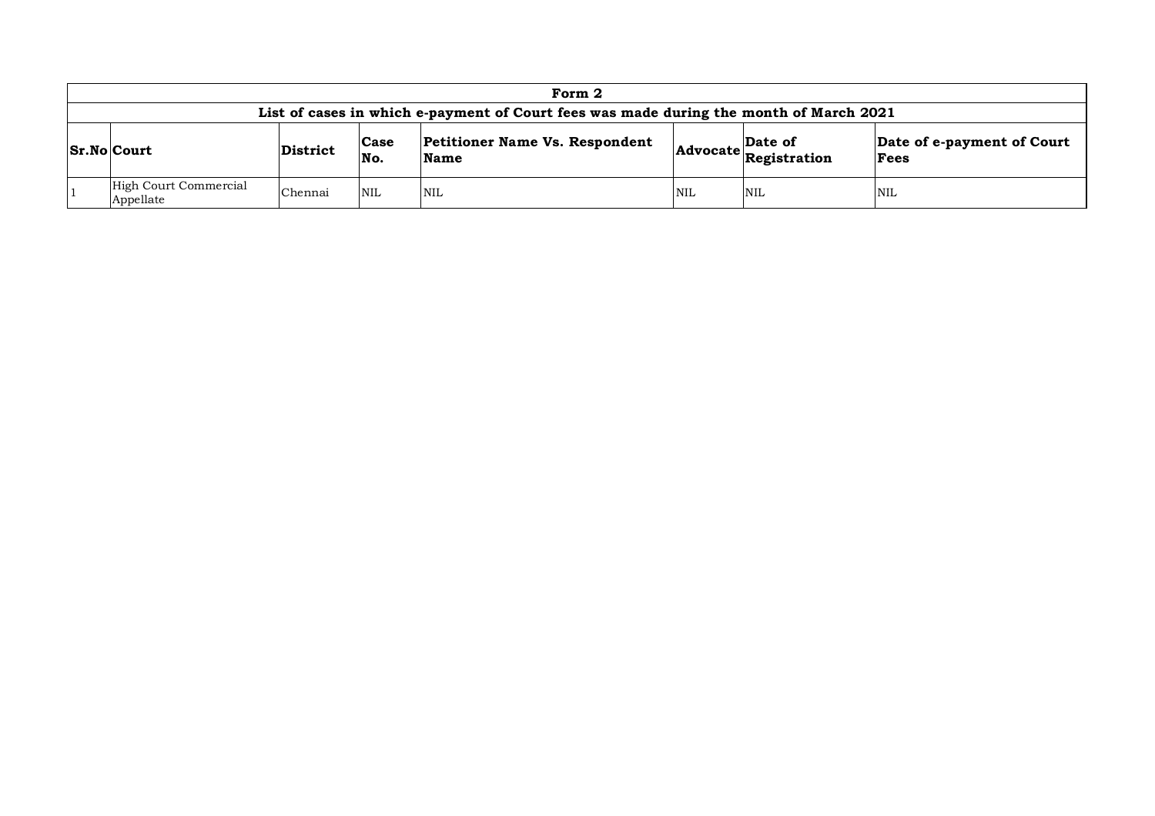|                                                                                                                                                                              |         |            | Form 2                                                                                 |            |            |            |  |  |  |  |
|------------------------------------------------------------------------------------------------------------------------------------------------------------------------------|---------|------------|----------------------------------------------------------------------------------------|------------|------------|------------|--|--|--|--|
|                                                                                                                                                                              |         |            | List of cases in which e-payment of Court fees was made during the month of March 2021 |            |            |            |  |  |  |  |
| <b>Petitioner Name Vs. Respondent</b><br>Date of e-payment of Court<br>Date of<br>Case<br>$ Sr.No $ Court<br>District<br>Advocate Registration<br>No.<br><b>Name</b><br>Fees |         |            |                                                                                        |            |            |            |  |  |  |  |
| High Court Commercial<br>Appellate                                                                                                                                           | Chennai | <b>NIL</b> | <b>NIL</b>                                                                             | <b>NIL</b> | <b>NIL</b> | <b>NIL</b> |  |  |  |  |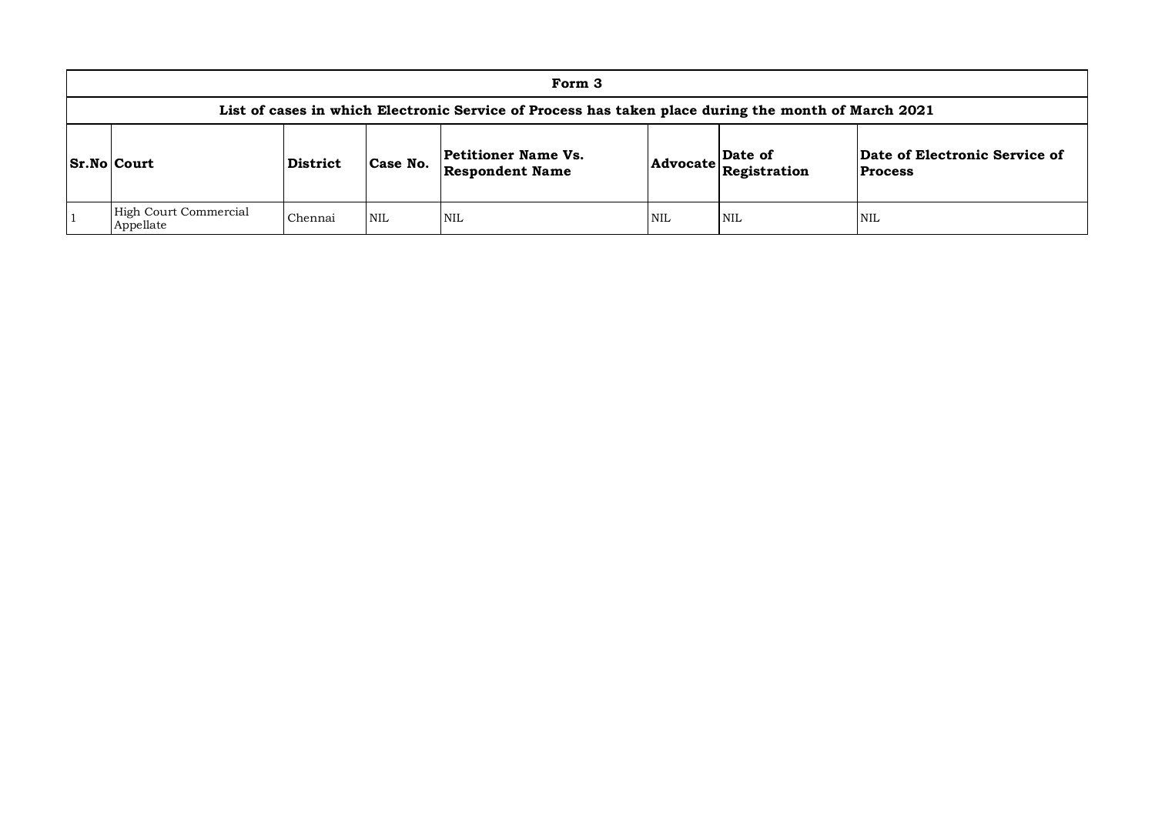| Form 3                                                                                                                                                                                                   |         |            |                                                                                                     |            |     |     |  |  |  |  |
|----------------------------------------------------------------------------------------------------------------------------------------------------------------------------------------------------------|---------|------------|-----------------------------------------------------------------------------------------------------|------------|-----|-----|--|--|--|--|
|                                                                                                                                                                                                          |         |            | List of cases in which Electronic Service of Process has taken place during the month of March 2021 |            |     |     |  |  |  |  |
| Date of Electronic Service of<br>Petitioner Name Vs.<br>Date of<br>$ S_rN_0 $ Court<br>Case No.<br>District<br>$ {\bf Advocate} \overline{\bf Registration}$<br><b>Respondent Name</b><br><b>Process</b> |         |            |                                                                                                     |            |     |     |  |  |  |  |
| High Court Commercial<br>Appellate                                                                                                                                                                       | Chennai | <b>NIL</b> | NIL                                                                                                 | <b>NIL</b> | NIL | NIL |  |  |  |  |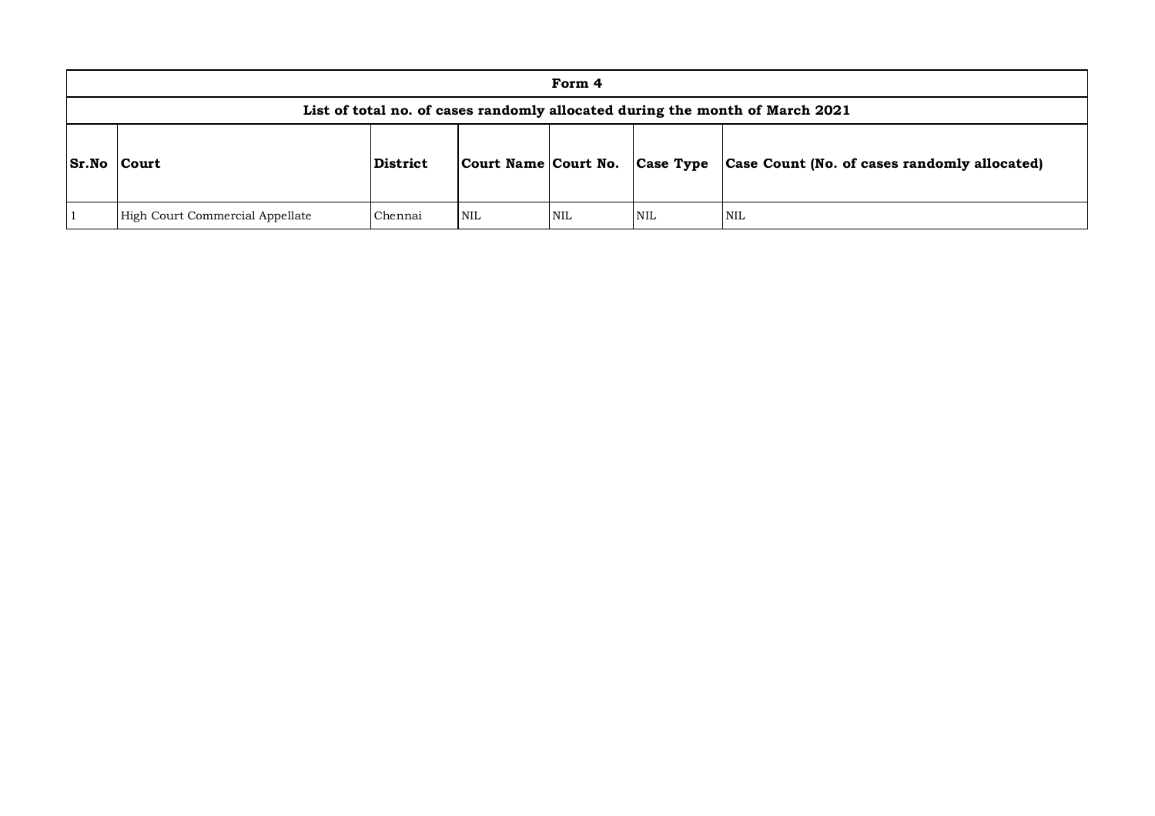|                 |                                 |          |     | Form 4 |            |                                                                              |
|-----------------|---------------------------------|----------|-----|--------|------------|------------------------------------------------------------------------------|
|                 |                                 |          |     |        |            | List of total no. of cases randomly allocated during the month of March 2021 |
| $ Sr.No $ Court |                                 | District |     |        |            | Court Name Court No. Case Type Case Count (No. of cases randomly allocated)  |
|                 | High Court Commercial Appellate | Chennai  | NIL | NIL    | <b>NIL</b> | <b>NIL</b>                                                                   |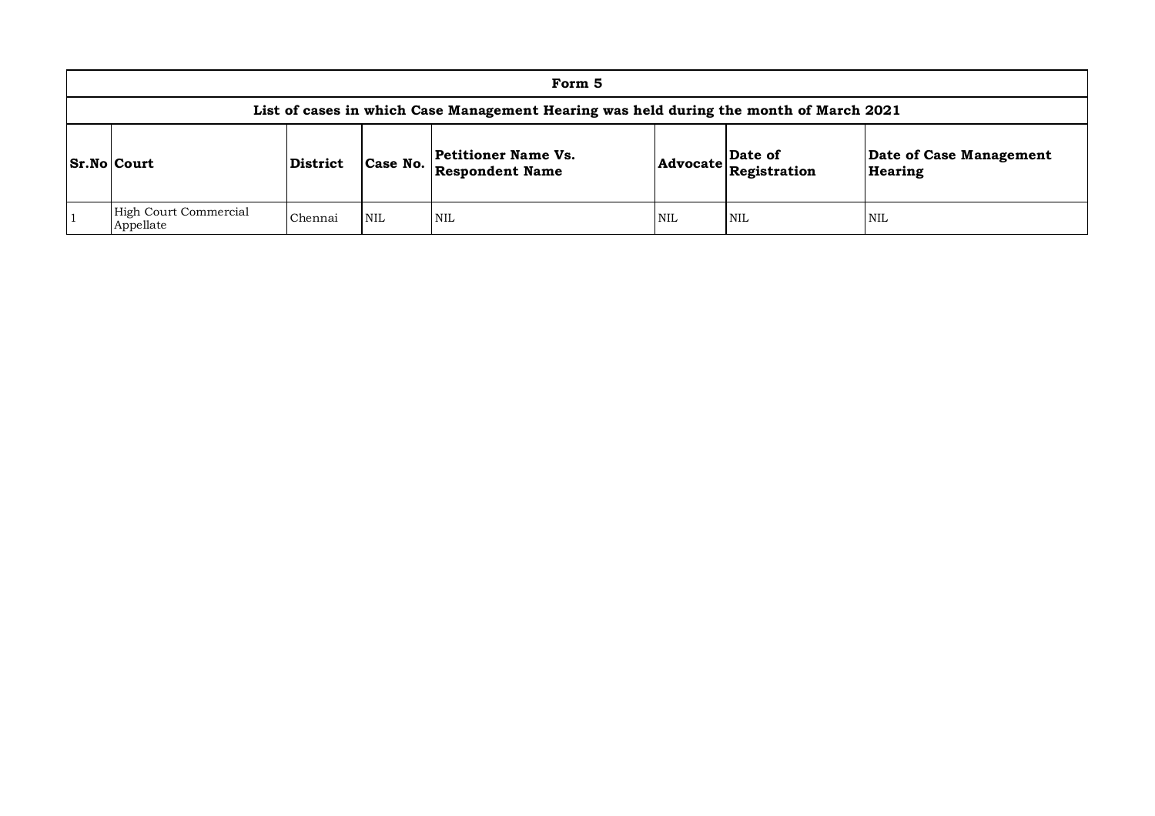| Form 5                                                                                                                                                                                       |         |            |                                                                                        |            |            |            |  |  |  |  |
|----------------------------------------------------------------------------------------------------------------------------------------------------------------------------------------------|---------|------------|----------------------------------------------------------------------------------------|------------|------------|------------|--|--|--|--|
|                                                                                                                                                                                              |         |            | List of cases in which Case Management Hearing was held during the month of March 2021 |            |            |            |  |  |  |  |
| Date of Case Management<br><b>Petitioner Name Vs.</b><br> Date of<br>Case No.<br>Sr.No Court<br>District<br>$ {\bf Advocate} \tilde{\bf Registration} $<br><b>Respondent Name</b><br>Hearing |         |            |                                                                                        |            |            |            |  |  |  |  |
| High Court Commercial<br>Appellate                                                                                                                                                           | Chennai | <b>NIL</b> | <b>NIL</b>                                                                             | <b>NIL</b> | <b>NIL</b> | <b>NIL</b> |  |  |  |  |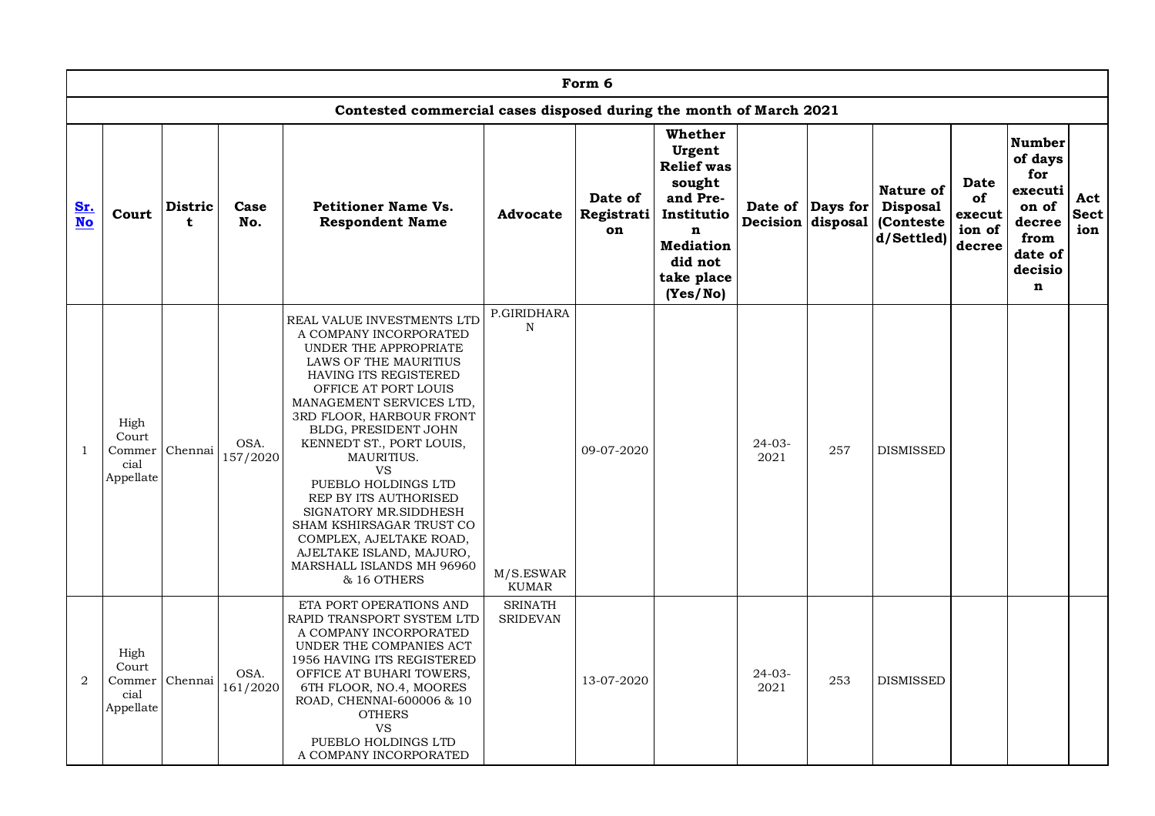|                  | Form 6<br>Contested commercial cases disposed during the month of March 2021 |                               |                  |                                                                                                                                                                                                                                                                                                                                                                                                                                                                                                        |                                                         |                             |                                                                                                                                         |                     |                                       |                                                         |                                          |                                                                                           |                           |  |
|------------------|------------------------------------------------------------------------------|-------------------------------|------------------|--------------------------------------------------------------------------------------------------------------------------------------------------------------------------------------------------------------------------------------------------------------------------------------------------------------------------------------------------------------------------------------------------------------------------------------------------------------------------------------------------------|---------------------------------------------------------|-----------------------------|-----------------------------------------------------------------------------------------------------------------------------------------|---------------------|---------------------------------------|---------------------------------------------------------|------------------------------------------|-------------------------------------------------------------------------------------------|---------------------------|--|
|                  | Whether<br><b>Number</b>                                                     |                               |                  |                                                                                                                                                                                                                                                                                                                                                                                                                                                                                                        |                                                         |                             |                                                                                                                                         |                     |                                       |                                                         |                                          |                                                                                           |                           |  |
| Sr.<br><b>No</b> | Court                                                                        | <b>Distric</b><br>$\mathbf t$ | Case<br>No.      | <b>Petitioner Name Vs.</b><br><b>Respondent Name</b>                                                                                                                                                                                                                                                                                                                                                                                                                                                   | <b>Advocate</b>                                         | Date of<br>Registrati<br>on | Urgent<br><b>Relief</b> was<br>sought<br>and Pre-<br>Institutio<br>$\mathbf n$<br><b>Mediation</b><br>did not<br>take place<br>(Yes/No) |                     | Date of Days for<br>Decision disposal | Nature of<br><b>Disposal</b><br>(Conteste<br>d/Settled) | Date<br>of<br>execut<br>ion of<br>decree | of days<br>for<br>executi<br>on of<br>decree<br>from<br>date of<br>decisio<br>$\mathbf n$ | Act<br><b>Sect</b><br>ion |  |
| $\mathbf{1}$     | High<br>Court<br>Commer<br>cial<br>Appellate                                 | Chennai                       | OSA.<br>157/2020 | REAL VALUE INVESTMENTS LTD<br>A COMPANY INCORPORATED<br>UNDER THE APPROPRIATE<br>LAWS OF THE MAURITIUS<br>HAVING ITS REGISTERED<br>OFFICE AT PORT LOUIS<br>MANAGEMENT SERVICES LTD,<br>3RD FLOOR, HARBOUR FRONT<br>BLDG, PRESIDENT JOHN<br>KENNEDT ST., PORT LOUIS,<br>MAURITIUS.<br><b>VS</b><br>PUEBLO HOLDINGS LTD<br>REP BY ITS AUTHORISED<br>SIGNATORY MR.SIDDHESH<br>SHAM KSHIRSAGAR TRUST CO<br>COMPLEX, AJELTAKE ROAD,<br>AJELTAKE ISLAND, MAJURO,<br>MARSHALL ISLANDS MH 96960<br>& 16 OTHERS | P.GIRIDHARA<br>$\mathbf N$<br>M/S.ESWAR<br><b>KUMAR</b> | 09-07-2020                  |                                                                                                                                         | $24 - 03 -$<br>2021 | 257                                   | <b>DISMISSED</b>                                        |                                          |                                                                                           |                           |  |
| $\boldsymbol{2}$ | High<br>Court<br>Commer<br>cial<br>Appellate                                 | Chennai                       | OSA.<br>161/2020 | ETA PORT OPERATIONS AND<br>RAPID TRANSPORT SYSTEM LTD<br>A COMPANY INCORPORATED<br>UNDER THE COMPANIES ACT<br>1956 HAVING ITS REGISTERED<br>OFFICE AT BUHARI TOWERS,<br>6TH FLOOR, NO.4, MOORES<br>ROAD, CHENNAI-600006 & 10<br><b>OTHERS</b><br>VS<br>PUEBLO HOLDINGS LTD<br>A COMPANY INCORPORATED                                                                                                                                                                                                   | <b>SRINATH</b><br><b>SRIDEVAN</b>                       | 13-07-2020                  |                                                                                                                                         | $24 - 03 -$<br>2021 | 253                                   | <b>DISMISSED</b>                                        |                                          |                                                                                           |                           |  |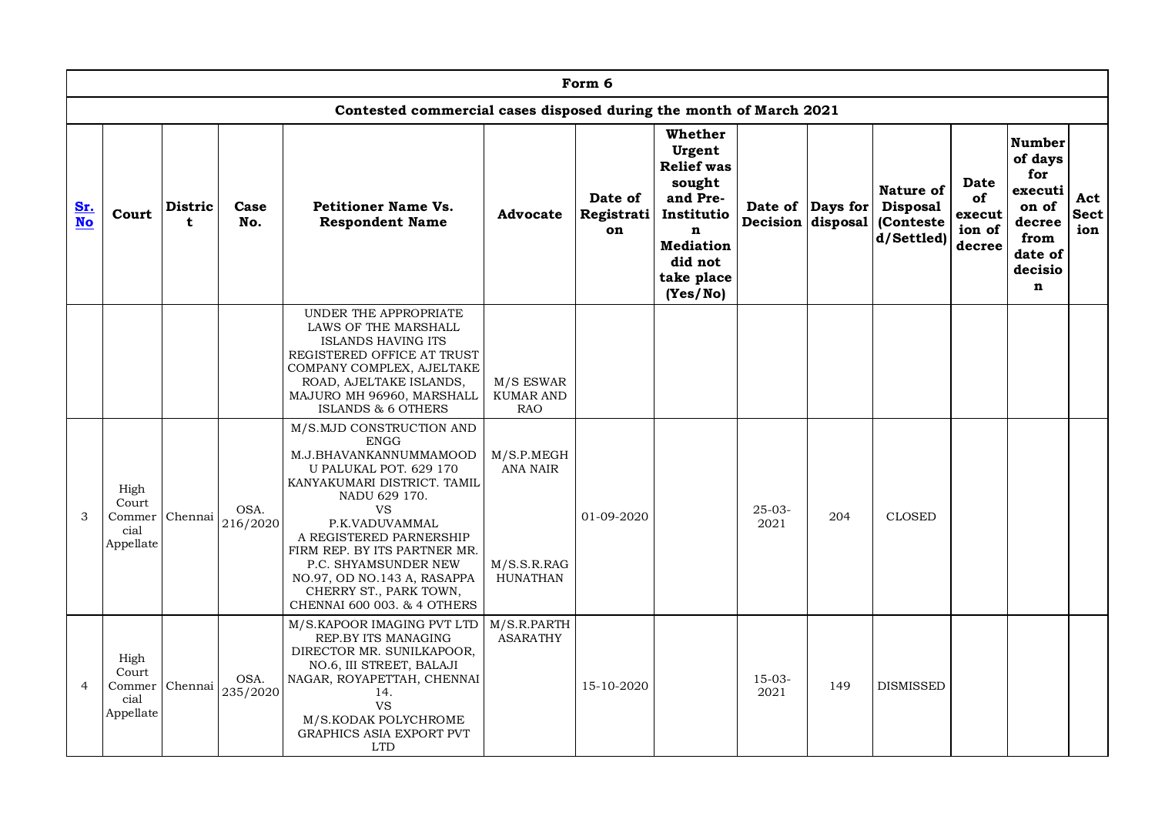|                  | Form 6<br>Contested commercial cases disposed during the month of March 2021 |                               |                  |                                                                                                                                                                                                                                                                                                                                                       |                                                          |                             |                                                                                                                                         |                  |                  |                                                                                  |                                          |                                                                                           |                           |
|------------------|------------------------------------------------------------------------------|-------------------------------|------------------|-------------------------------------------------------------------------------------------------------------------------------------------------------------------------------------------------------------------------------------------------------------------------------------------------------------------------------------------------------|----------------------------------------------------------|-----------------------------|-----------------------------------------------------------------------------------------------------------------------------------------|------------------|------------------|----------------------------------------------------------------------------------|------------------------------------------|-------------------------------------------------------------------------------------------|---------------------------|
|                  | Whether<br><b>Number</b>                                                     |                               |                  |                                                                                                                                                                                                                                                                                                                                                       |                                                          |                             |                                                                                                                                         |                  |                  |                                                                                  |                                          |                                                                                           |                           |
| Sr.<br><b>No</b> | Court                                                                        | <b>Distric</b><br>$\mathbf t$ | Case<br>No.      | <b>Petitioner Name Vs.</b><br><b>Respondent Name</b>                                                                                                                                                                                                                                                                                                  | Advocate                                                 | Date of<br>Registrati<br>on | Urgent<br><b>Relief</b> was<br>sought<br>and Pre-<br>Institutio<br>$\mathbf n$<br><b>Mediation</b><br>did not<br>take place<br>(Yes/No) |                  | Date of Days for | <b>Nature of</b><br><b>Disposal</b><br>Decision disposal (Conteste<br>d/Settled) | Date<br>of<br>execut<br>ion of<br>decree | of days<br>for<br>executi<br>on of<br>decree<br>from<br>date of<br>decisio<br>$\mathbf n$ | Act<br><b>Sect</b><br>ion |
|                  |                                                                              |                               |                  | UNDER THE APPROPRIATE<br>LAWS OF THE MARSHALL<br>ISLANDS HAVING ITS<br>REGISTERED OFFICE AT TRUST<br>COMPANY COMPLEX, AJELTAKE<br>ROAD, AJELTAKE ISLANDS,<br>MAJURO MH 96960, MARSHALL<br>ISLANDS & 6 OTHERS                                                                                                                                          | M/S ESWAR<br><b>KUMAR AND</b><br><b>RAO</b>              |                             |                                                                                                                                         |                  |                  |                                                                                  |                                          |                                                                                           |                           |
| 3                | High<br>Court<br>Commer Chennai<br>cial<br>Appellate                         |                               | OSA.<br>216/2020 | M/S.MJD CONSTRUCTION AND<br><b>ENGG</b><br>M.J.BHAVANKANNUMMAMOOD<br>U PALUKAL POT. 629 170<br>KANYAKUMARI DISTRICT. TAMIL<br>NADU 629 170.<br><b>VS</b><br>P.K.VADUVAMMAL<br>A REGISTERED PARNERSHIP<br>FIRM REP. BY ITS PARTNER MR.<br>P.C. SHYAMSUNDER NEW<br>NO.97, OD NO.143 A, RASAPPA<br>CHERRY ST., PARK TOWN,<br>CHENNAI 600 003. & 4 OTHERS | M/S.P.MEGH<br><b>ANA NAIR</b><br>M/S.S.R.RAG<br>HUNATHAN | 01-09-2020                  |                                                                                                                                         | $25-03-$<br>2021 | 204              | <b>CLOSED</b>                                                                    |                                          |                                                                                           |                           |
| $\overline{4}$   | High<br>Court<br>cial<br>Appellate                                           | Commer Chennai                | OSA.<br>235/2020 | M/S.KAPOOR IMAGING PVT LTD<br>REP.BY ITS MANAGING<br>DIRECTOR MR. SUNILKAPOOR,<br>NO.6, III STREET, BALAJI<br>NAGAR, ROYAPETTAH, CHENNAI<br>14.<br><b>VS</b><br>M/S.KODAK POLYCHROME<br><b>GRAPHICS ASIA EXPORT PVT</b><br><b>LTD</b>                                                                                                                 | M/S.R.PARTH<br><b>ASARATHY</b>                           | 15-10-2020                  |                                                                                                                                         | $15-03-$<br>2021 | 149              | <b>DISMISSED</b>                                                                 |                                          |                                                                                           |                           |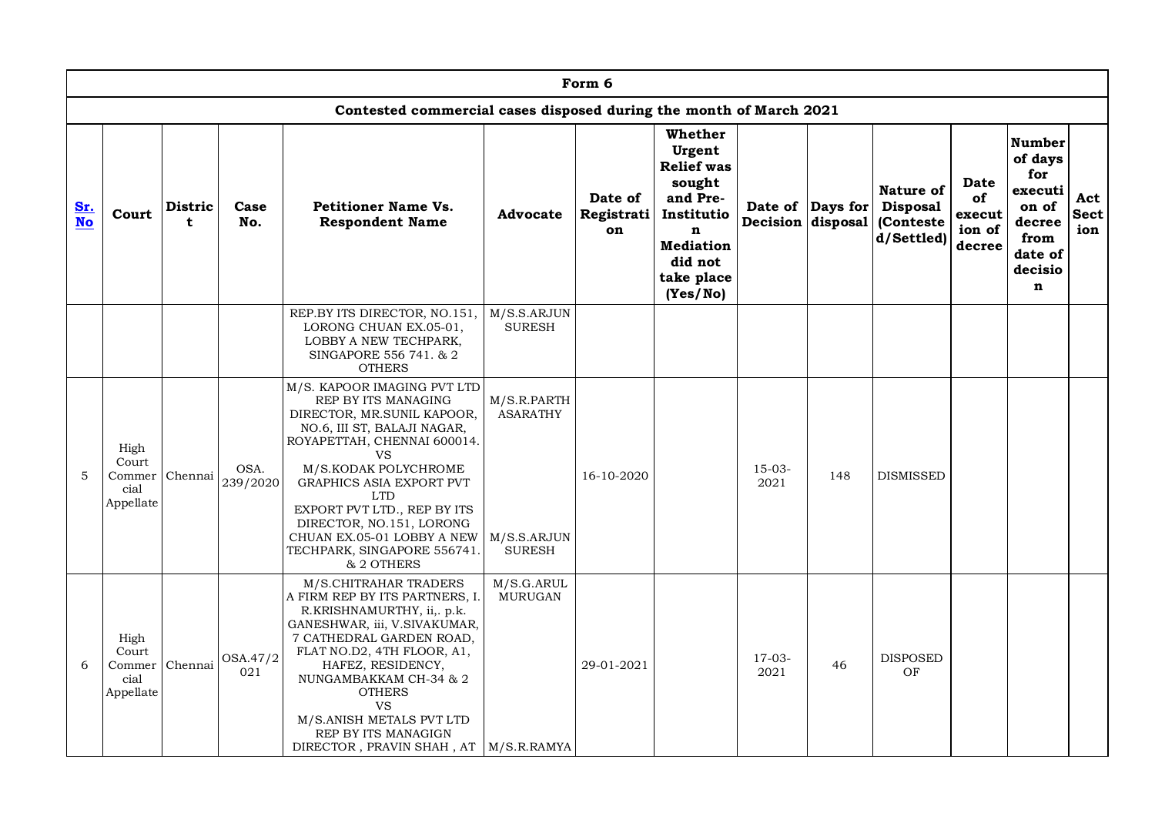|                  | Form 6<br>Contested commercial cases disposed during the month of March 2021 |                               |                  |                                                                                                                                                                                                                                                                                                                                                                     |                                                                |                             |                                                                                                                                         |                  |                  |                                                                           |                                                 |                                                                                           |                           |
|------------------|------------------------------------------------------------------------------|-------------------------------|------------------|---------------------------------------------------------------------------------------------------------------------------------------------------------------------------------------------------------------------------------------------------------------------------------------------------------------------------------------------------------------------|----------------------------------------------------------------|-----------------------------|-----------------------------------------------------------------------------------------------------------------------------------------|------------------|------------------|---------------------------------------------------------------------------|-------------------------------------------------|-------------------------------------------------------------------------------------------|---------------------------|
|                  | Whether<br><b>Number</b>                                                     |                               |                  |                                                                                                                                                                                                                                                                                                                                                                     |                                                                |                             |                                                                                                                                         |                  |                  |                                                                           |                                                 |                                                                                           |                           |
| Sr.<br><b>No</b> | Court                                                                        | <b>Distric</b><br>$\mathbf t$ | Case<br>No.      | <b>Petitioner Name Vs.</b><br><b>Respondent Name</b>                                                                                                                                                                                                                                                                                                                | <b>Advocate</b>                                                | Date of<br>Registrati<br>on | Urgent<br><b>Relief</b> was<br>sought<br>and Pre-<br>Institutio<br>$\mathbf n$<br><b>Mediation</b><br>did not<br>take place<br>(Yes/No) |                  | Date of Days for | Nature of<br><b>Disposal</b><br>Decision disposal (Conteste<br>d/Settled) | <b>Date</b><br>of<br>execut<br>ion of<br>decree | of days<br>for<br>executi<br>on of<br>decree<br>from<br>date of<br>decisio<br>$\mathbf n$ | Act<br><b>Sect</b><br>ion |
|                  |                                                                              |                               |                  | REP.BY ITS DIRECTOR, NO.151,<br>LORONG CHUAN EX.05-01,<br>LOBBY A NEW TECHPARK,<br>SINGAPORE 556 741. & 2<br><b>OTHERS</b>                                                                                                                                                                                                                                          | M/S.S.ARJUN<br><b>SURESH</b>                                   |                             |                                                                                                                                         |                  |                  |                                                                           |                                                 |                                                                                           |                           |
| 5                | High<br>Court<br>Commer<br>cial<br>Appellate                                 | Chennai                       | OSA.<br>239/2020 | M/S. KAPOOR IMAGING PVT LTD<br>REP BY ITS MANAGING<br>DIRECTOR, MR.SUNIL KAPOOR,<br>NO.6, III ST, BALAJI NAGAR,<br>ROYAPETTAH, CHENNAI 600014.<br><b>VS</b><br>M/S.KODAK POLYCHROME<br>GRAPHICS ASIA EXPORT PVT<br><b>LTD</b><br>EXPORT PVT LTD., REP BY ITS<br>DIRECTOR, NO.151, LORONG<br>CHUAN EX.05-01 LOBBY A NEW<br>TECHPARK, SINGAPORE 556741.<br>& 2 OTHERS | M/S.R.PARTH<br><b>ASARATHY</b><br>M/S.S.ARJUN<br><b>SURESH</b> | 16-10-2020                  |                                                                                                                                         | $15-03-$<br>2021 | 148              | <b>DISMISSED</b>                                                          |                                                 |                                                                                           |                           |
| 6                | High<br>Court<br>cial<br>Appellate                                           | Commer Chennai                | OSA.47/2<br>021  | M/S.CHITRAHAR TRADERS<br>A FIRM REP BY ITS PARTNERS, I.<br>R.KRISHNAMURTHY, ii,. p.k.<br>GANESHWAR, iii, V.SIVAKUMAR,<br>7 CATHEDRAL GARDEN ROAD,<br>FLAT NO.D2, 4TH FLOOR, A1,<br>HAFEZ, RESIDENCY,<br>NUNGAMBAKKAM CH-34 & 2<br><b>OTHERS</b><br><b>VS</b><br>M/S.ANISH METALS PVT LTD<br>REP BY ITS MANAGIGN<br>DIRECTOR, PRAVIN SHAH, AT   M/S.R.RAMYA          | M/S.G.ARUL<br><b>MURUGAN</b>                                   | 29-01-2021                  |                                                                                                                                         | $17-03-$<br>2021 | 46               | <b>DISPOSED</b><br>OF                                                     |                                                 |                                                                                           |                           |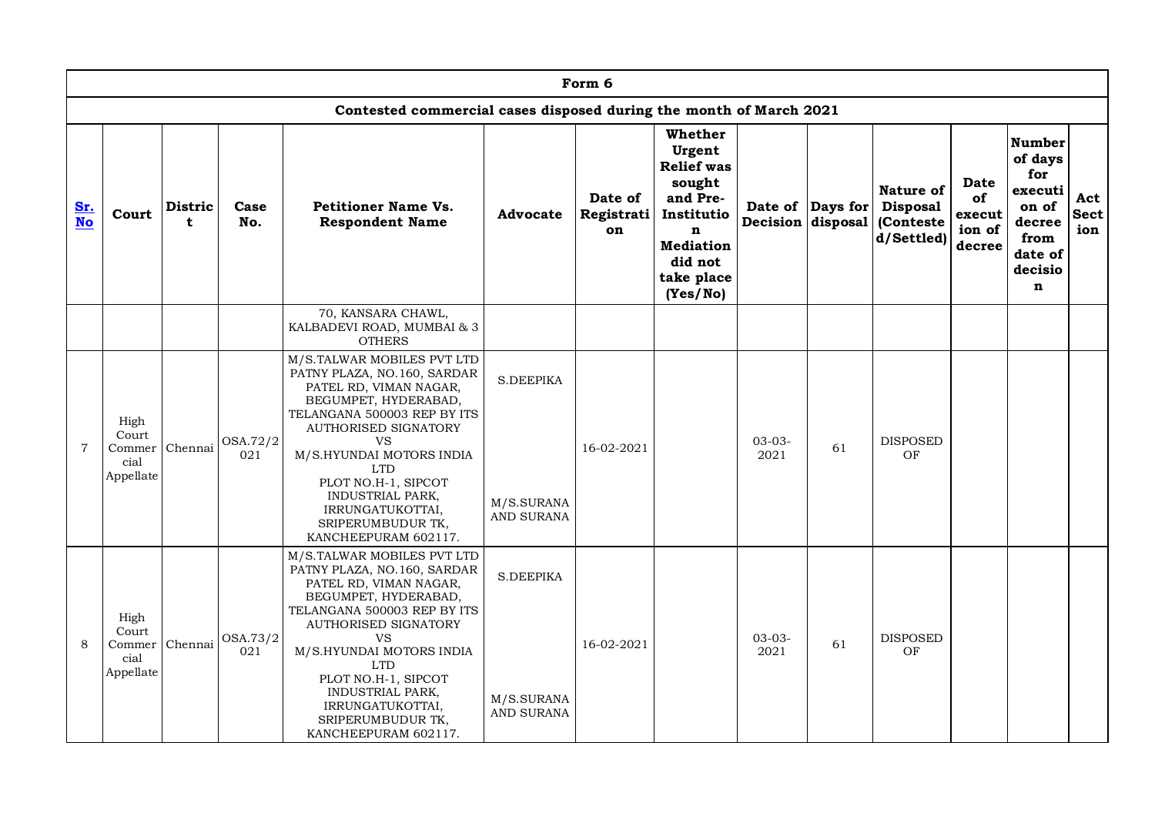|                         | Form 6<br>Contested commercial cases disposed during the month of March 2021 |                     |                 |                                                                                                                                                                                                                                                                                                                                              |                                              |                             |                                                                                                                               |                     |                                       |                                                         |                                         |                                                                                           |                           |
|-------------------------|------------------------------------------------------------------------------|---------------------|-----------------|----------------------------------------------------------------------------------------------------------------------------------------------------------------------------------------------------------------------------------------------------------------------------------------------------------------------------------------------|----------------------------------------------|-----------------------------|-------------------------------------------------------------------------------------------------------------------------------|---------------------|---------------------------------------|---------------------------------------------------------|-----------------------------------------|-------------------------------------------------------------------------------------------|---------------------------|
|                         | Whether<br><b>Number</b>                                                     |                     |                 |                                                                                                                                                                                                                                                                                                                                              |                                              |                             |                                                                                                                               |                     |                                       |                                                         |                                         |                                                                                           |                           |
| <u>Sr.</u><br><b>No</b> | Court                                                                        | <b>Distric</b><br>t | Case<br>No.     | <b>Petitioner Name Vs.</b><br><b>Respondent Name</b>                                                                                                                                                                                                                                                                                         | <b>Advocate</b>                              | Date of<br>Registrati<br>on | Urgent<br><b>Relief</b> was<br>sought<br>and Pre-<br>Institutio<br>n<br><b>Mediation</b><br>did not<br>take place<br>(Yes/No) |                     | Date of Days for<br>Decision disposal | Nature of<br><b>Disposal</b><br>(Conteste<br>d/Settled) | Date<br>of<br>execut<br>ion of<br>decre | of days<br>for<br>executi<br>on of<br>decree<br>from<br>date of<br>decisio<br>$\mathbf n$ | Act<br><b>Sect</b><br>ion |
|                         |                                                                              |                     |                 | 70, KANSARA CHAWL,<br>KALBADEVI ROAD, MUMBAI & 3<br><b>OTHERS</b>                                                                                                                                                                                                                                                                            |                                              |                             |                                                                                                                               |                     |                                       |                                                         |                                         |                                                                                           |                           |
| $\overline{7}$          | High<br>Court<br>Commer<br>cial<br>Appellate                                 | Chennai             | OSA.72/2<br>021 | M/S.TALWAR MOBILES PVT LTD<br>PATNY PLAZA, NO.160, SARDAR<br>PATEL RD, VIMAN NAGAR,<br>BEGUMPET, HYDERABAD,<br>TELANGANA 500003 REP BY ITS<br>AUTHORISED SIGNATORY<br><b>VS</b><br>M/S.HYUNDAI MOTORS INDIA<br><b>LTD</b><br>PLOT NO.H-1, SIPCOT<br><b>INDUSTRIAL PARK,</b><br>IRRUNGATUKOTTAI,<br>SRIPERUMBUDUR TK,<br>KANCHEEPURAM 602117. | <b>S.DEEPIKA</b><br>M/S.SURANA<br>AND SURANA | 16-02-2021                  |                                                                                                                               | $03 - 03 -$<br>2021 | 61                                    | <b>DISPOSED</b><br>OF                                   |                                         |                                                                                           |                           |
| 8                       | High<br>Court<br>Commer<br>cial<br>Appellate                                 | Chennai             | OSA.73/2<br>021 | M/S.TALWAR MOBILES PVT LTD<br>PATNY PLAZA, NO.160, SARDAR<br>PATEL RD, VIMAN NAGAR,<br>BEGUMPET, HYDERABAD,<br>TELANGANA 500003 REP BY ITS<br>AUTHORISED SIGNATORY<br>VS<br>M/S.HYUNDAI MOTORS INDIA<br><b>LTD</b><br>PLOT NO.H-1, SIPCOT<br>INDUSTRIAL PARK,<br>IRRUNGATUKOTTAI,<br>SRIPERUMBUDUR TK,<br>KANCHEEPURAM 602117.               | <b>S.DEEPIKA</b><br>M/S.SURANA<br>AND SURANA | 16-02-2021                  |                                                                                                                               | $03 - 03 -$<br>2021 | 61                                    | <b>DISPOSED</b><br>OF                                   |                                         |                                                                                           |                           |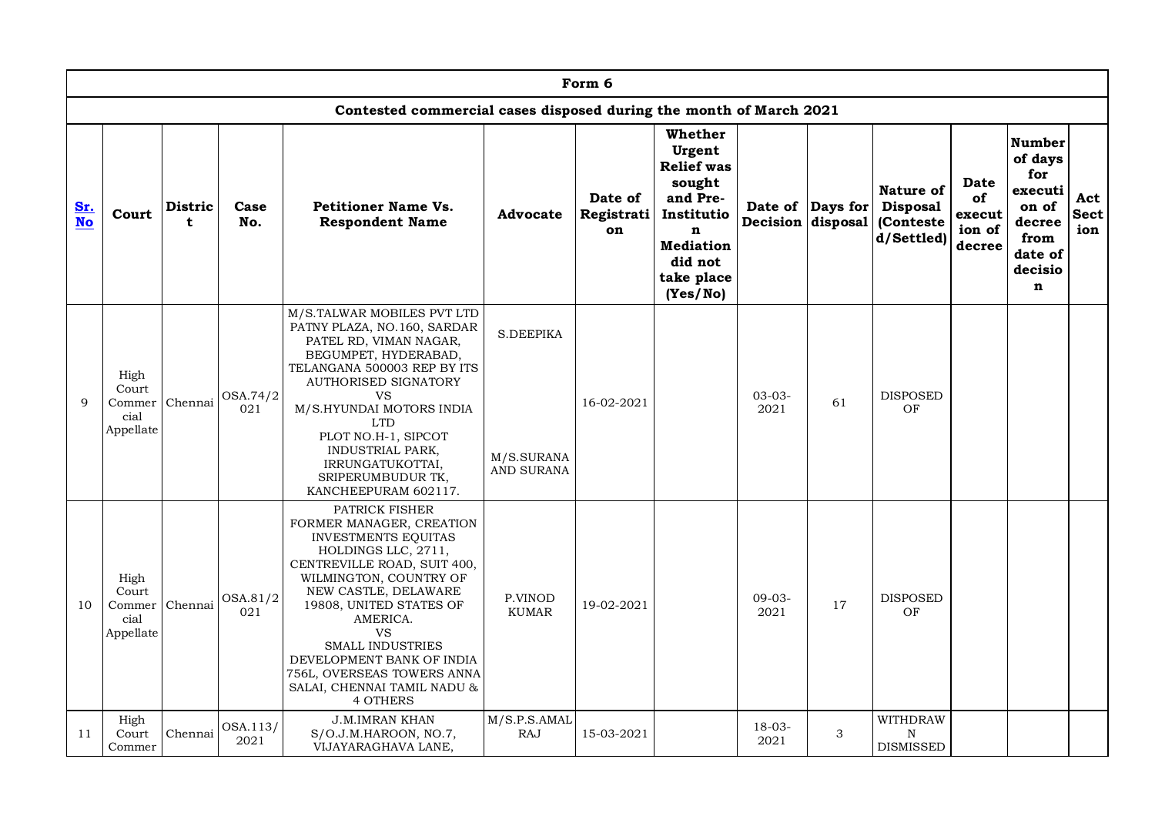|                  | Form 6<br>Contested commercial cases disposed during the month of March 2021 |                     |                  |                                                                                                                                                                                                                                                                                                                                                                              |                                              |                             |                                                                                                                               |                     |                  |                                                                                  |                                                 |                                                                                           |                           |  |
|------------------|------------------------------------------------------------------------------|---------------------|------------------|------------------------------------------------------------------------------------------------------------------------------------------------------------------------------------------------------------------------------------------------------------------------------------------------------------------------------------------------------------------------------|----------------------------------------------|-----------------------------|-------------------------------------------------------------------------------------------------------------------------------|---------------------|------------------|----------------------------------------------------------------------------------|-------------------------------------------------|-------------------------------------------------------------------------------------------|---------------------------|--|
|                  | Whether<br>Number                                                            |                     |                  |                                                                                                                                                                                                                                                                                                                                                                              |                                              |                             |                                                                                                                               |                     |                  |                                                                                  |                                                 |                                                                                           |                           |  |
| Sr.<br><b>No</b> | Court                                                                        | <b>Distric</b><br>t | Case<br>No.      | <b>Petitioner Name Vs.</b><br><b>Respondent Name</b>                                                                                                                                                                                                                                                                                                                         | Advocate                                     | Date of<br>Registrati<br>on | Urgent<br><b>Relief</b> was<br>sought<br>and Pre-<br>Institutio<br>n<br><b>Mediation</b><br>did not<br>take place<br>(Yes/No) |                     | Date of Days for | <b>Nature of</b><br><b>Disposal</b><br>Decision disposal (Conteste<br>d/Settled) | <b>Date</b><br>of<br>execut<br>ion of<br>decree | of days<br>for<br>executi<br>on of<br>decree<br>from<br>date of<br>decisio<br>$\mathbf n$ | Act<br><b>Sect</b><br>ion |  |
| 9                | High<br>Court<br>Commer<br>cial<br>Appellate                                 | Chennai             | OSA.74/2<br>021  | M/S.TALWAR MOBILES PVT LTD<br>PATNY PLAZA, NO.160, SARDAR<br>PATEL RD, VIMAN NAGAR,<br>BEGUMPET, HYDERABAD,<br>TELANGANA 500003 REP BY ITS<br>AUTHORISED SIGNATORY<br>VS<br>M/S.HYUNDAI MOTORS INDIA<br><b>LTD</b><br>PLOT NO.H-1, SIPCOT<br><b>INDUSTRIAL PARK,</b><br>IRRUNGATUKOTTAI,<br>SRIPERUMBUDUR TK,<br>KANCHEEPURAM 602117.                                        | S.DEEPIKA<br>M/S.SURANA<br><b>AND SURANA</b> | 16-02-2021                  |                                                                                                                               | $03 - 03 -$<br>2021 | 61               | <b>DISPOSED</b><br>OF                                                            |                                                 |                                                                                           |                           |  |
| 10               | High<br>Court<br>Commer<br>cial<br>Appellate                                 | Chennai             | OSA.81/2<br>021  | PATRICK FISHER<br>FORMER MANAGER, CREATION<br><b>INVESTMENTS EQUITAS</b><br>HOLDINGS LLC, 2711,<br>CENTREVILLE ROAD, SUIT 400,<br>WILMINGTON, COUNTRY OF<br>NEW CASTLE, DELAWARE<br>19808, UNITED STATES OF<br>AMERICA.<br><b>VS</b><br><b>SMALL INDUSTRIES</b><br>DEVELOPMENT BANK OF INDIA<br>756L, OVERSEAS TOWERS ANNA<br>SALAI, CHENNAI TAMIL NADU &<br><b>4 OTHERS</b> | P.VINOD<br><b>KUMAR</b>                      | 19-02-2021                  |                                                                                                                               | $09-03-$<br>2021    | 17               | <b>DISPOSED</b><br>OF                                                            |                                                 |                                                                                           |                           |  |
| 11               | High<br>Court<br>Commer                                                      | Chennai             | OSA.113/<br>2021 | <b>J.M.IMRAN KHAN</b><br>S/O.J.M.HAROON, NO.7,<br>VIJAYARAGHAVA LANE,                                                                                                                                                                                                                                                                                                        | M/S.P.S.AMAL<br><b>RAJ</b>                   | 15-03-2021                  |                                                                                                                               | $18 - 03 -$<br>2021 | 3                | <b>WITHDRAW</b><br>N<br><b>DISMISSED</b>                                         |                                                 |                                                                                           |                           |  |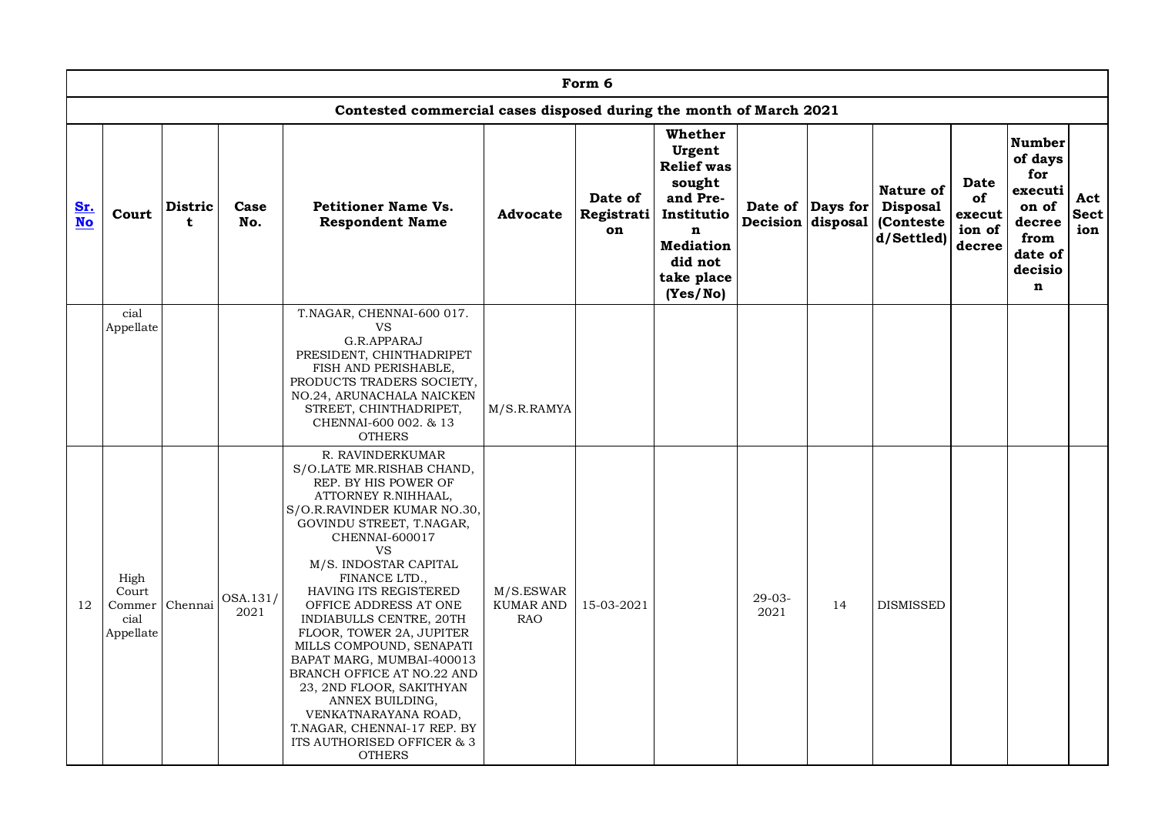|                  | Form 6<br>Contested commercial cases disposed during the month of March 2021 |                     |                  |                                                                                                                                                                                                                                                                                                                                                                                                                                                                                                                                                                                        |                                             |                             |                                                                                                                                          |                  |                  |                                                                           |                                          |                                                                                                            |                           |
|------------------|------------------------------------------------------------------------------|---------------------|------------------|----------------------------------------------------------------------------------------------------------------------------------------------------------------------------------------------------------------------------------------------------------------------------------------------------------------------------------------------------------------------------------------------------------------------------------------------------------------------------------------------------------------------------------------------------------------------------------------|---------------------------------------------|-----------------------------|------------------------------------------------------------------------------------------------------------------------------------------|------------------|------------------|---------------------------------------------------------------------------|------------------------------------------|------------------------------------------------------------------------------------------------------------|---------------------------|
|                  |                                                                              |                     |                  |                                                                                                                                                                                                                                                                                                                                                                                                                                                                                                                                                                                        |                                             |                             |                                                                                                                                          |                  |                  |                                                                           |                                          |                                                                                                            |                           |
| Sr.<br><b>No</b> | Court                                                                        | <b>Distric</b><br>t | Case<br>No.      | <b>Petitioner Name Vs.</b><br><b>Respondent Name</b>                                                                                                                                                                                                                                                                                                                                                                                                                                                                                                                                   | <b>Advocate</b>                             | Date of<br>Registrati<br>on | Whether<br>Urgent<br><b>Relief</b> was<br>sought<br>and Pre-<br>Institutio<br>n<br><b>Mediation</b><br>did not<br>take place<br>(Yes/No) |                  | Date of Days for | Nature of<br><b>Disposal</b><br>Decision disposal (Conteste<br>d/Settled) | Date<br>of<br>execut<br>ion of<br>decree | <b>Number</b><br>of days<br>for<br>executi<br>on of<br>decree<br>from<br>date of<br>decisio<br>$\mathbf n$ | Act<br><b>Sect</b><br>ion |
|                  | cial<br>Appellate                                                            |                     |                  | T.NAGAR, CHENNAI-600 017.<br>VS<br>G.R.APPARAJ<br>PRESIDENT, CHINTHADRIPET<br>FISH AND PERISHABLE,<br>PRODUCTS TRADERS SOCIETY,<br>NO.24, ARUNACHALA NAICKEN<br>STREET, CHINTHADRIPET,<br>CHENNAI-600 002. & 13<br><b>OTHERS</b>                                                                                                                                                                                                                                                                                                                                                       | M/S.R.RAMYA                                 |                             |                                                                                                                                          |                  |                  |                                                                           |                                          |                                                                                                            |                           |
| 12               | High<br>Court<br>Commer Chennai<br>cial<br>Appellate                         |                     | OSA.131/<br>2021 | R. RAVINDERKUMAR<br>S/O.LATE MR.RISHAB CHAND,<br>REP. BY HIS POWER OF<br>ATTORNEY R.NIHHAAL,<br>S/O.R. RAVINDER KUMAR NO.30,<br>GOVINDU STREET, T.NAGAR,<br>CHENNAI-600017<br><b>VS</b><br>M/S. INDOSTAR CAPITAL<br>FINANCE LTD.,<br>HAVING ITS REGISTERED<br>OFFICE ADDRESS AT ONE<br>INDIABULLS CENTRE, 20TH<br>FLOOR, TOWER 2A, JUPITER<br>MILLS COMPOUND, SENAPATI<br>BAPAT MARG, MUMBAI-400013<br>BRANCH OFFICE AT NO.22 AND<br>23, 2ND FLOOR, SAKITHYAN<br>ANNEX BUILDING,<br>VENKATNARAYANA ROAD,<br>T.NAGAR, CHENNAI-17 REP. BY<br>ITS AUTHORISED OFFICER & 3<br><b>OTHERS</b> | M/S.ESWAR<br><b>KUMAR AND</b><br><b>RAO</b> | 15-03-2021                  |                                                                                                                                          | $29-03-$<br>2021 | 14               | <b>DISMISSED</b>                                                          |                                          |                                                                                                            |                           |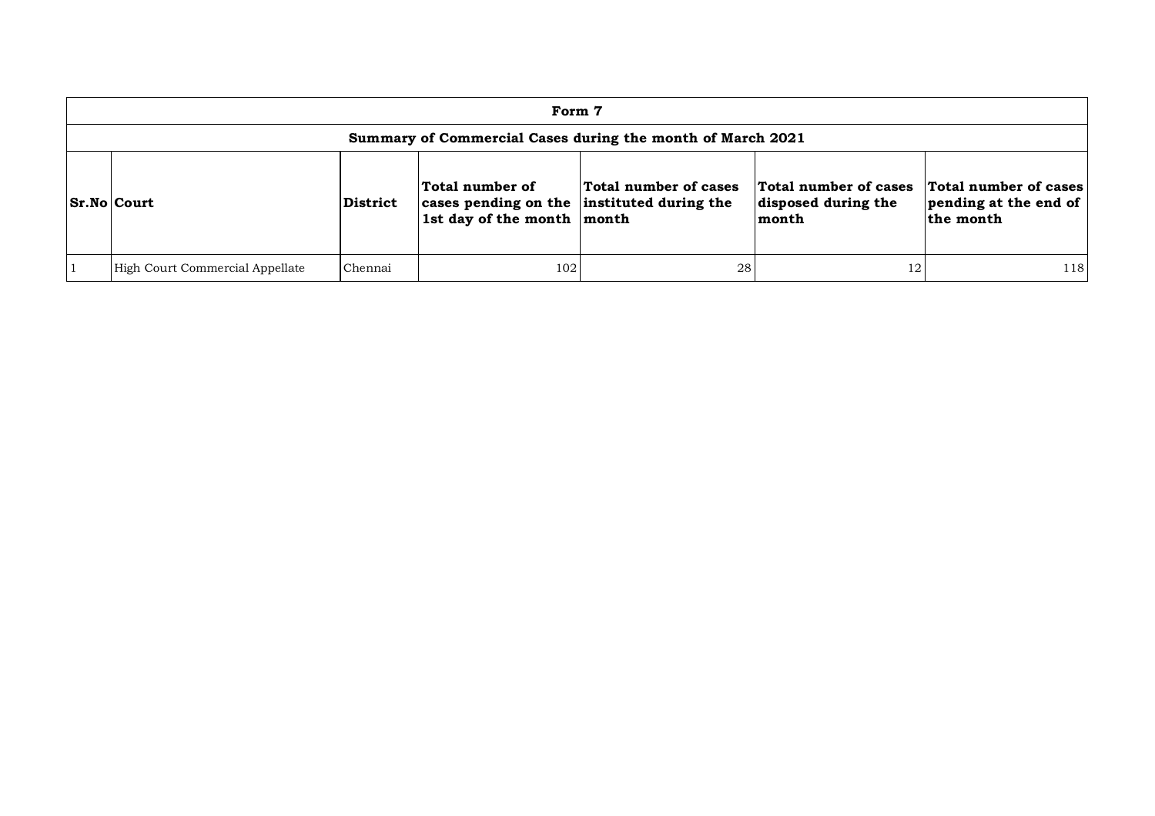| Form 7                                                                                                                                                                                                                                                                         |         |     |    |    |     |  |  |  |  |  |  |
|--------------------------------------------------------------------------------------------------------------------------------------------------------------------------------------------------------------------------------------------------------------------------------|---------|-----|----|----|-----|--|--|--|--|--|--|
| Summary of Commercial Cases during the month of March 2021                                                                                                                                                                                                                     |         |     |    |    |     |  |  |  |  |  |  |
| Total number of cases<br>Total number of cases<br>Total number of cases<br>Total number of<br>pending at the end of<br>cases pending on the instituted during the<br>Sr.No Court<br>disposed during the<br><b>District</b><br>1st day of the month month<br>the month<br>month |         |     |    |    |     |  |  |  |  |  |  |
| High Court Commercial Appellate                                                                                                                                                                                                                                                | Chennai | 102 | 28 | 12 | 118 |  |  |  |  |  |  |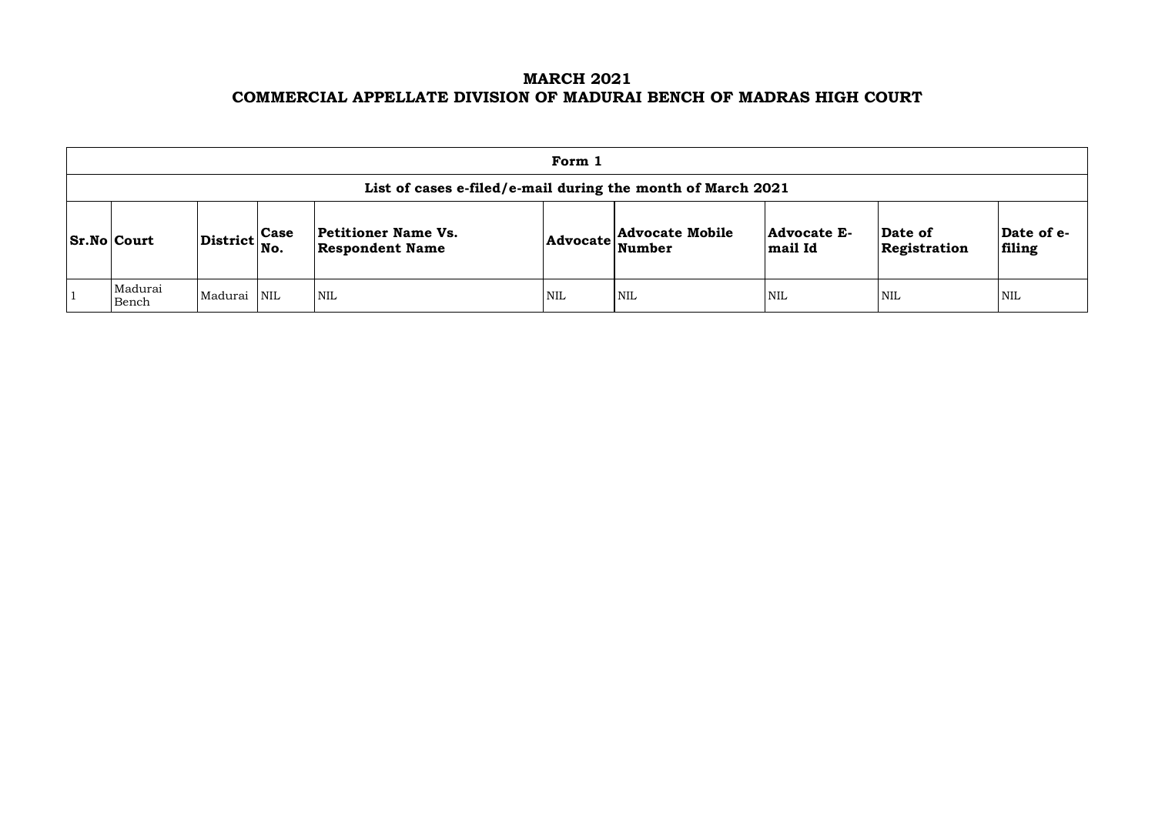### **MARCH 2021 COMMERCIAL APPELLATE DIVISION OF MADURAI BENCH OF MADRAS HIGH COURT**

| Form 1                                                                                                                                                                                                                                                                                                                    |             |  |            |            |            |            |            |            |  |  |  |
|---------------------------------------------------------------------------------------------------------------------------------------------------------------------------------------------------------------------------------------------------------------------------------------------------------------------------|-------------|--|------------|------------|------------|------------|------------|------------|--|--|--|
| List of cases e-filed/e-mail during the month of March 2021                                                                                                                                                                                                                                                               |             |  |            |            |            |            |            |            |  |  |  |
| Date of e-<br>$ {\bf Advocate}\n \begin{array}{ l} \textbf{Advocate Mobile} \\ \textbf{Number} \end{array}$<br>Petitioner Name Vs.<br>Date of<br>Advocate E-<br>$\left  \text{District} \right _{\text{No.}}^{\text{Case}}$<br>$\vert$ Sr.No $\vert$ Court<br>filing<br><b>Respondent Name</b><br>mail Id<br>Registration |             |  |            |            |            |            |            |            |  |  |  |
| Madurai<br>Bench                                                                                                                                                                                                                                                                                                          | Madurai NIL |  | <b>NIL</b> | <b>NIL</b> | <b>NIL</b> | <b>NIL</b> | <b>NIL</b> | <b>NIL</b> |  |  |  |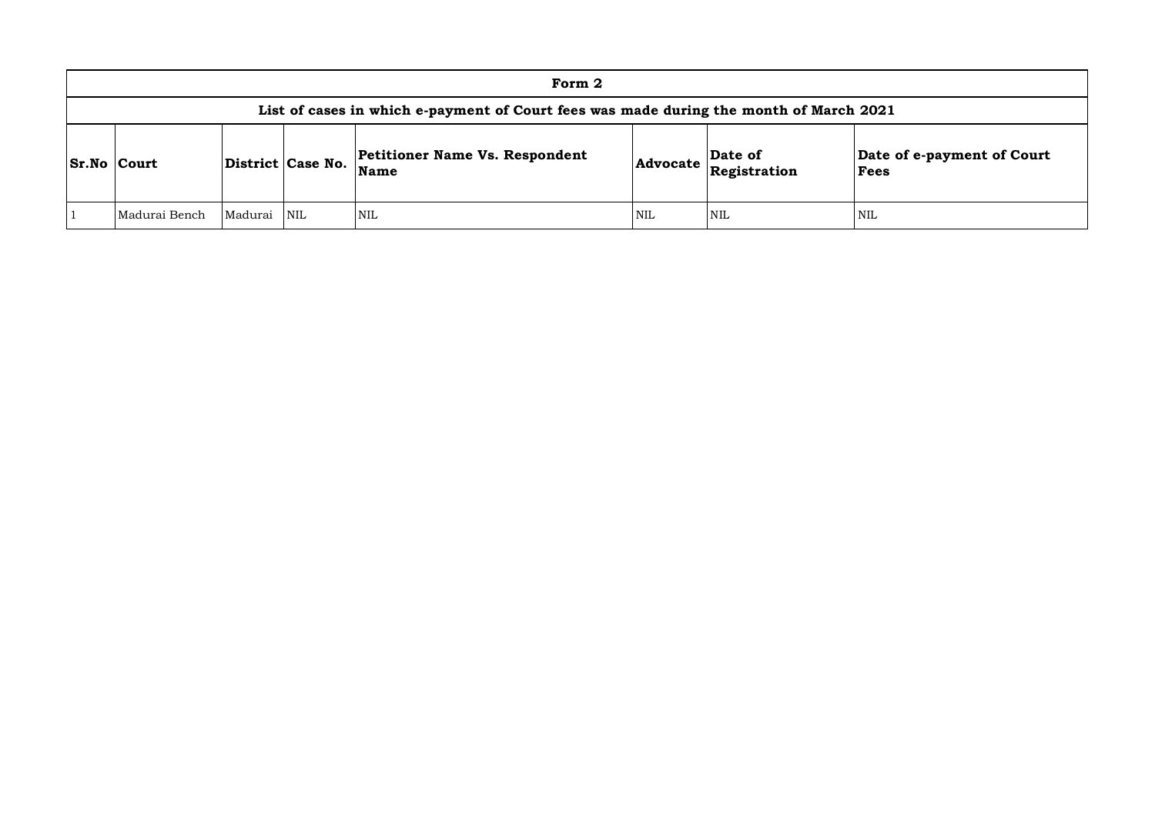|                    |                                                                                        |             |                   | Form 2                                               |            |                                          |                                    |  |  |  |  |
|--------------------|----------------------------------------------------------------------------------------|-------------|-------------------|------------------------------------------------------|------------|------------------------------------------|------------------------------------|--|--|--|--|
|                    | List of cases in which e-payment of Court fees was made during the month of March 2021 |             |                   |                                                      |            |                                          |                                    |  |  |  |  |
| <b>Sr.No Court</b> |                                                                                        |             | District Case No. | <b>Petitioner Name Vs. Respondent</b><br><b>Name</b> |            | Date of<br>$ $ Advocate $ $ Registration | Date of e-payment of Court<br>Fees |  |  |  |  |
|                    | Madurai Bench                                                                          | Madurai NIL |                   | <b>NIL</b>                                           | <b>NIL</b> | NIL                                      | <b>NIL</b>                         |  |  |  |  |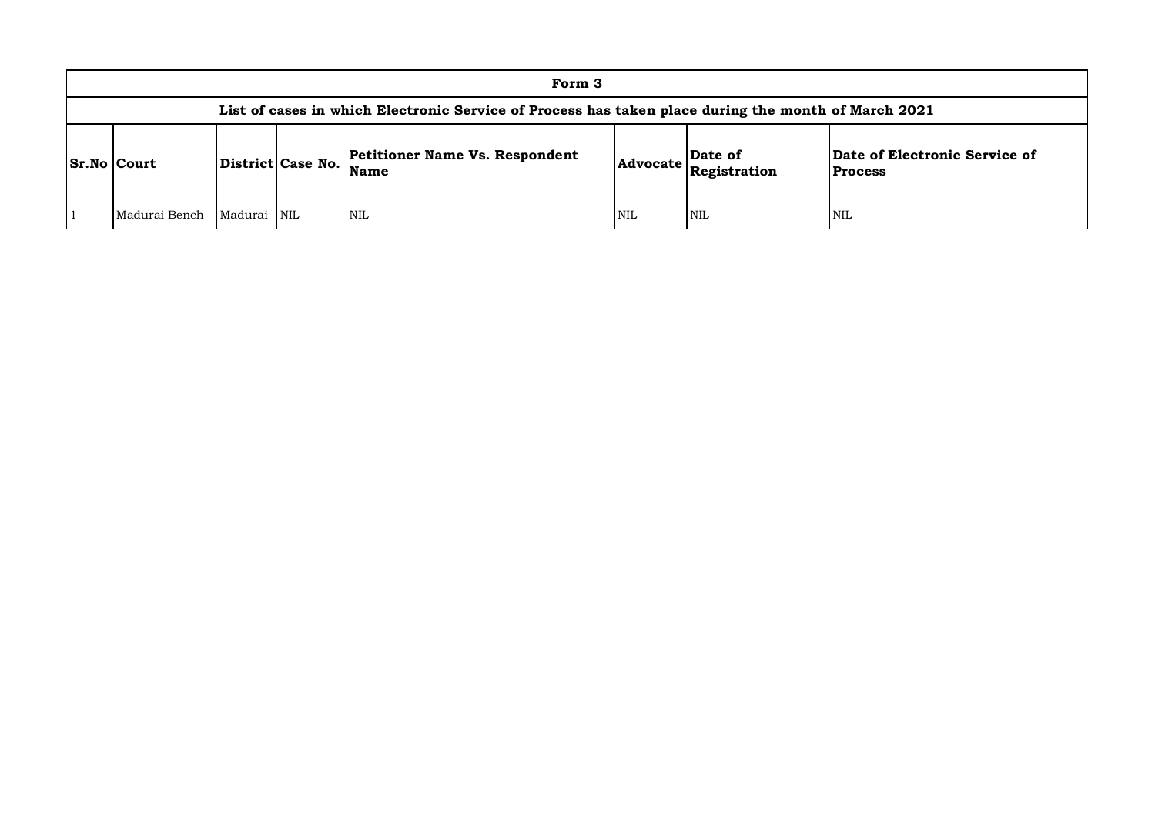|                                                                                                     |         |                         | Form 3                                        |     |                                                                               |                                                 |  |  |  |
|-----------------------------------------------------------------------------------------------------|---------|-------------------------|-----------------------------------------------|-----|-------------------------------------------------------------------------------|-------------------------------------------------|--|--|--|
| List of cases in which Electronic Service of Process has taken place during the month of March 2021 |         |                         |                                               |     |                                                                               |                                                 |  |  |  |
| $ S_rN_0 $ Court                                                                                    |         | District Case No.       | Petitioner Name Vs. Respondent<br><b>Name</b> |     | Date of<br>$ {\bf Advocate}\left \overline{\bf \textbf{Registration}}\right $ | Date of Electronic Service of<br><b>Process</b> |  |  |  |
| Madurai Bench                                                                                       | Madurai | $\overline{\text{NIL}}$ | NIL                                           | NIL | NIL                                                                           | <b>NIL</b>                                      |  |  |  |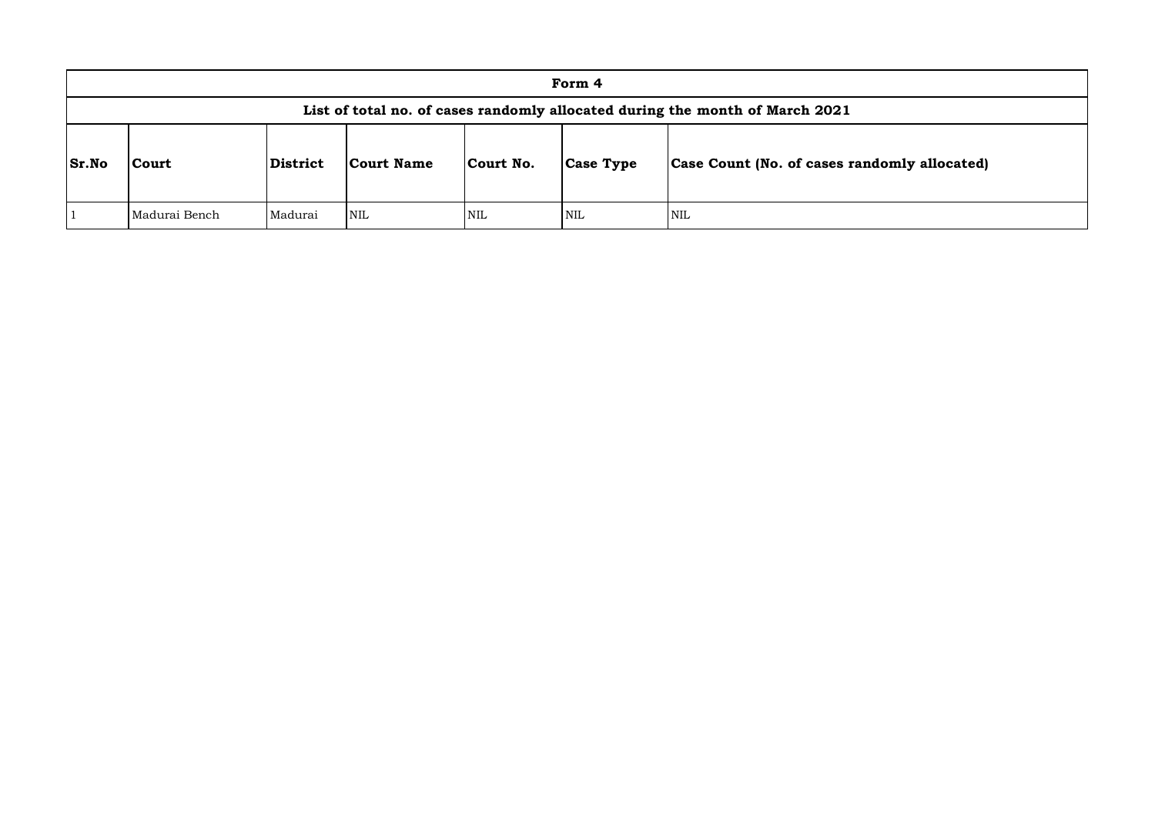|       |                                                                              |          |            |            | Form 4           |                                              |  |  |  |  |  |  |
|-------|------------------------------------------------------------------------------|----------|------------|------------|------------------|----------------------------------------------|--|--|--|--|--|--|
|       | List of total no. of cases randomly allocated during the month of March 2021 |          |            |            |                  |                                              |  |  |  |  |  |  |
| Sr.No | Court                                                                        | District | Court Name | Court No.  | <b>Case Type</b> | Case Count (No. of cases randomly allocated) |  |  |  |  |  |  |
|       | Madurai Bench                                                                | Madurai  | NIL        | <b>NIL</b> | NIL              | <b>NIL</b>                                   |  |  |  |  |  |  |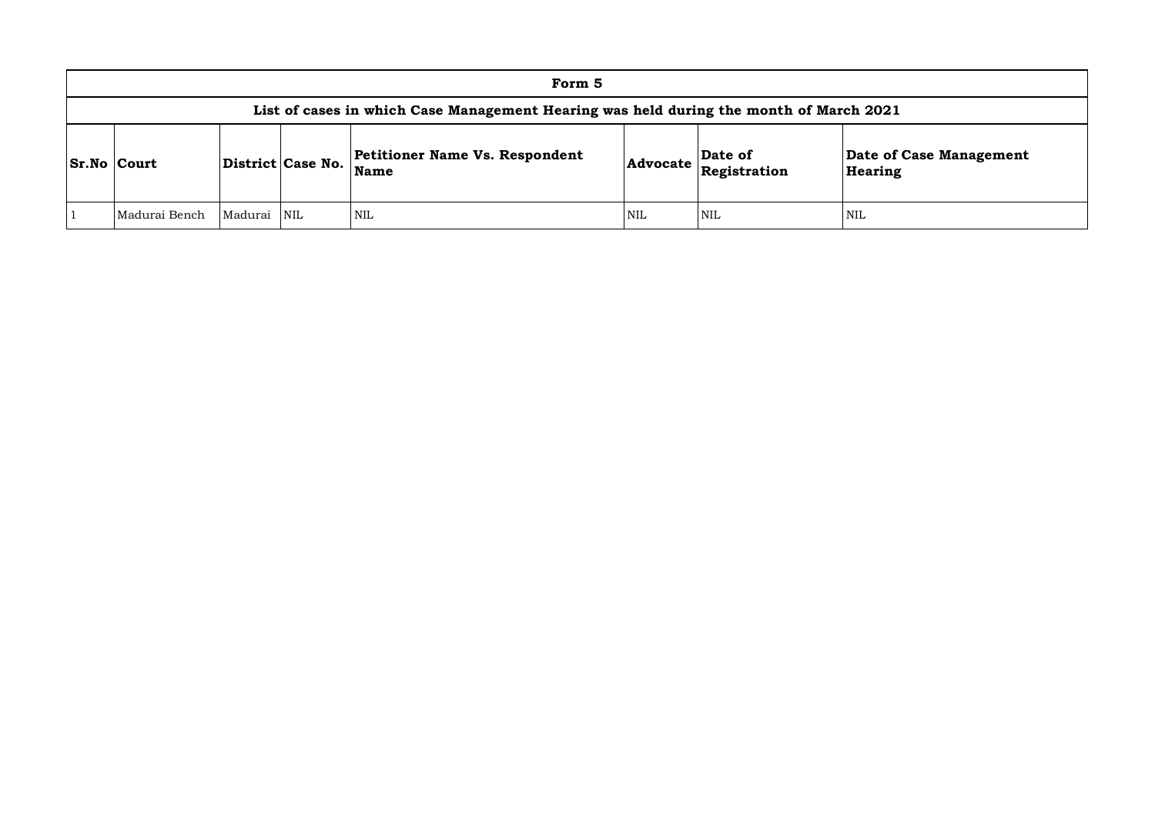|                                                                                        |  |                   | Form 5                                        |  |                                          |                                    |  |  |  |  |
|----------------------------------------------------------------------------------------|--|-------------------|-----------------------------------------------|--|------------------------------------------|------------------------------------|--|--|--|--|
| List of cases in which Case Management Hearing was held during the month of March 2021 |  |                   |                                               |  |                                          |                                    |  |  |  |  |
| <b>Sr.No Court</b>                                                                     |  | District Case No. | Petitioner Name Vs. Respondent<br><b>Name</b> |  | Date of<br>$ $ Advocate $ $ Registration | Date of Case Management<br>Hearing |  |  |  |  |
| <b>NIL</b><br>Madurai NIL<br><b>NIL</b><br>NIL<br><b>NIL</b><br>Madurai Bench          |  |                   |                                               |  |                                          |                                    |  |  |  |  |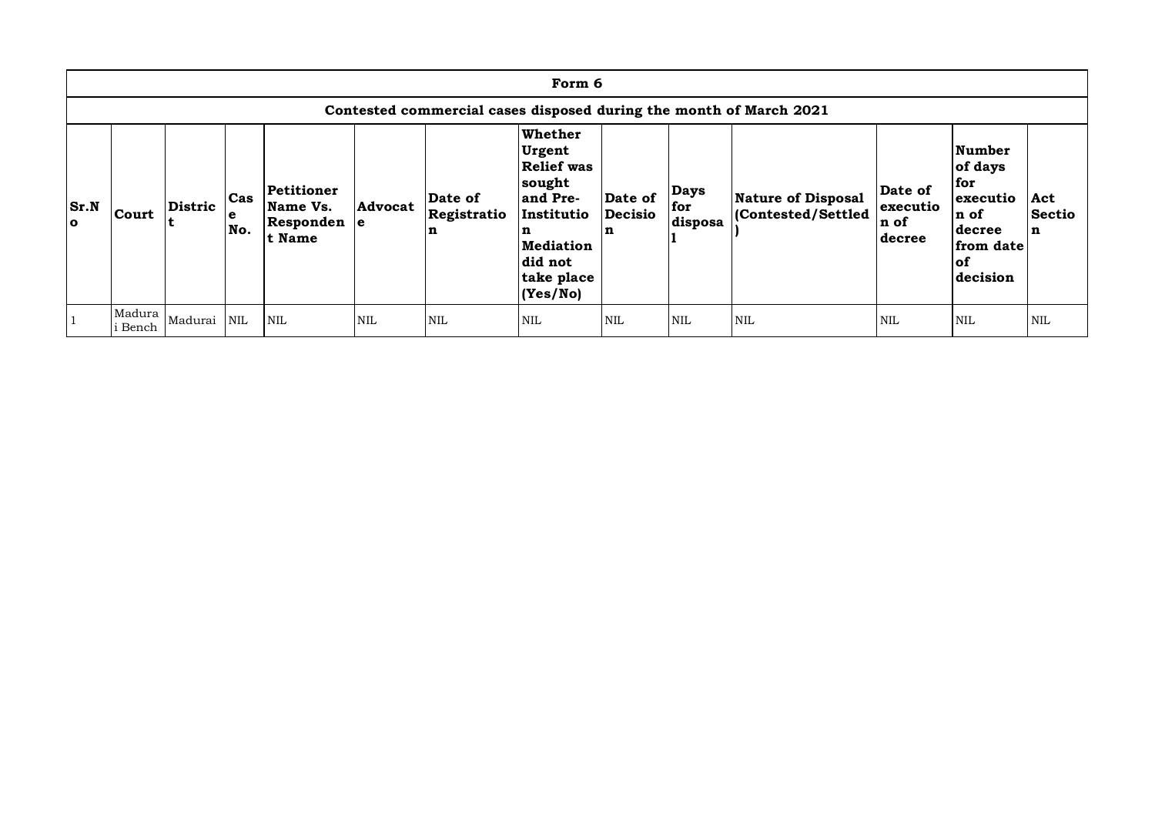| Form 6                                                             |                   |             |                     |                                                 |                |                             |                                                                                                                                   |                                |                               |                                                |                                        |                                                                                        |                           |
|--------------------------------------------------------------------|-------------------|-------------|---------------------|-------------------------------------------------|----------------|-----------------------------|-----------------------------------------------------------------------------------------------------------------------------------|--------------------------------|-------------------------------|------------------------------------------------|----------------------------------------|----------------------------------------------------------------------------------------|---------------------------|
| Contested commercial cases disposed during the month of March 2021 |                   |             |                     |                                                 |                |                             |                                                                                                                                   |                                |                               |                                                |                                        |                                                                                        |                           |
| Sr.N<br>$\bullet$                                                  | Court             | Distric     | $\cosh$<br>e<br>No. | Petitioner<br>Name Vs.<br>Responden e<br>t Name | <b>Advocat</b> | Date of<br>Registratio<br>n | Whether<br>Urgent<br><b>Relief</b> was<br>sought<br>and Pre-<br>Institutio<br>n<br>Mediation<br>did not<br>take place<br>(Yes/No) | Date of<br><b>Decisio</b><br>n | <b>Days</b><br>for<br>disposa | <b>Nature of Disposal</b><br>Contested/Settled | Date of<br>executio<br>n of<br> decree | Number<br>of days<br>for<br>executio<br>n of<br>decree<br>from date<br> of<br>decision | Act<br><b>Sectio</b><br>n |
|                                                                    | Madura<br>i Bench | Madurai NIL |                     | <b>NIL</b>                                      | <b>NIL</b>     | <b>NIL</b>                  | NIL                                                                                                                               | NIL                            | <b>NIL</b>                    | <b>NIL</b>                                     | <b>NIL</b>                             | <b>NIL</b>                                                                             | <b>NIL</b>                |